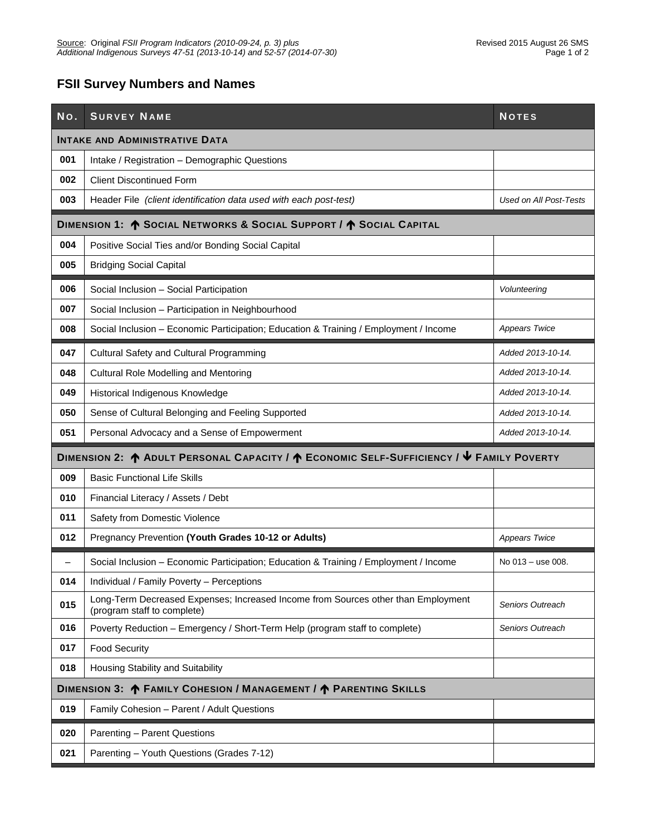#### **FSII Survey Numbers and Names**

| No.                      | <b>SURVEY NAME</b>                                                                                               | <b>NOTES</b>           |  |  |  |  |
|--------------------------|------------------------------------------------------------------------------------------------------------------|------------------------|--|--|--|--|
|                          | <b>INTAKE AND ADMINISTRATIVE DATA</b>                                                                            |                        |  |  |  |  |
| 001                      | Intake / Registration - Demographic Questions                                                                    |                        |  |  |  |  |
| 002                      | <b>Client Discontinued Form</b>                                                                                  |                        |  |  |  |  |
| 003                      | Header File (client identification data used with each post-test)                                                | Used on All Post-Tests |  |  |  |  |
|                          | DIMENSION 1: ^ SOCIAL NETWORKS & SOCIAL SUPPORT / ^ SOCIAL CAPITAL                                               |                        |  |  |  |  |
| 004                      | Positive Social Ties and/or Bonding Social Capital                                                               |                        |  |  |  |  |
| 005                      | <b>Bridging Social Capital</b>                                                                                   |                        |  |  |  |  |
| 006                      | Social Inclusion - Social Participation                                                                          | Volunteering           |  |  |  |  |
| 007                      | Social Inclusion - Participation in Neighbourhood                                                                |                        |  |  |  |  |
| 008                      | Social Inclusion - Economic Participation; Education & Training / Employment / Income                            | <b>Appears Twice</b>   |  |  |  |  |
| 047                      | Cultural Safety and Cultural Programming                                                                         | Added 2013-10-14.      |  |  |  |  |
| 048                      | Cultural Role Modelling and Mentoring                                                                            | Added 2013-10-14.      |  |  |  |  |
| 049                      | Historical Indigenous Knowledge                                                                                  | Added 2013-10-14.      |  |  |  |  |
| 050                      | Sense of Cultural Belonging and Feeling Supported                                                                | Added 2013-10-14.      |  |  |  |  |
| 051                      | Personal Advocacy and a Sense of Empowerment                                                                     | Added 2013-10-14.      |  |  |  |  |
|                          | DIMENSION 2: ↑ ADULT PERSONAL CAPACITY / ↑ ECONOMIC SELF-SUFFICIENCY / ↓ FAMILY POVERTY                          |                        |  |  |  |  |
|                          |                                                                                                                  |                        |  |  |  |  |
| 009                      | <b>Basic Functional Life Skills</b>                                                                              |                        |  |  |  |  |
| 010                      | Financial Literacy / Assets / Debt                                                                               |                        |  |  |  |  |
| 011                      | Safety from Domestic Violence                                                                                    |                        |  |  |  |  |
| 012                      | Pregnancy Prevention (Youth Grades 10-12 or Adults)                                                              | <b>Appears Twice</b>   |  |  |  |  |
| $\overline{\phantom{0}}$ | Social Inclusion - Economic Participation; Education & Training / Employment / Income                            | No 013 - use 008.      |  |  |  |  |
| 014                      | Individual / Family Poverty - Perceptions                                                                        |                        |  |  |  |  |
| 015                      | Long-Term Decreased Expenses; Increased Income from Sources other than Employment<br>(program staff to complete) | Seniors Outreach       |  |  |  |  |
| 016                      | Poverty Reduction - Emergency / Short-Term Help (program staff to complete)                                      | Seniors Outreach       |  |  |  |  |
| 017                      | <b>Food Security</b>                                                                                             |                        |  |  |  |  |
| 018                      | Housing Stability and Suitability                                                                                |                        |  |  |  |  |
|                          | DIMENSION 3: ^ FAMILY COHESION / MANAGEMENT / ^ PARENTING SKILLS                                                 |                        |  |  |  |  |
| 019                      | Family Cohesion - Parent / Adult Questions                                                                       |                        |  |  |  |  |
| 020                      | Parenting - Parent Questions                                                                                     |                        |  |  |  |  |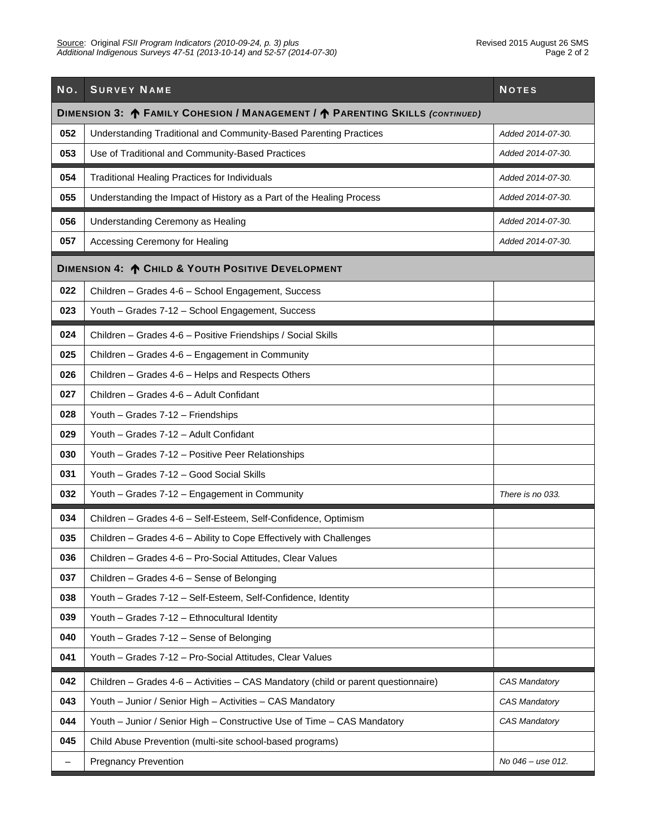| No. | <b>SURVEY NAME</b>                                                                                 | <b>NOTES</b>      |  |  |  |  |  |
|-----|----------------------------------------------------------------------------------------------------|-------------------|--|--|--|--|--|
|     | DIMENSION 3: $\spadesuit$ FAMILY COHESION / MANAGEMENT / $\spadesuit$ PARENTING SKILLS (CONTINUED) |                   |  |  |  |  |  |
| 052 | Understanding Traditional and Community-Based Parenting Practices                                  | Added 2014-07-30. |  |  |  |  |  |
| 053 | Use of Traditional and Community-Based Practices                                                   | Added 2014-07-30. |  |  |  |  |  |
| 054 | <b>Traditional Healing Practices for Individuals</b>                                               | Added 2014-07-30. |  |  |  |  |  |
| 055 | Understanding the Impact of History as a Part of the Healing Process                               | Added 2014-07-30. |  |  |  |  |  |
| 056 | Understanding Ceremony as Healing                                                                  | Added 2014-07-30. |  |  |  |  |  |
| 057 | Accessing Ceremony for Healing                                                                     | Added 2014-07-30. |  |  |  |  |  |
|     | DIMENSION 4: ^ CHILD & YOUTH POSITIVE DEVELOPMENT                                                  |                   |  |  |  |  |  |
| 022 | Children - Grades 4-6 - School Engagement, Success                                                 |                   |  |  |  |  |  |
| 023 | Youth - Grades 7-12 - School Engagement, Success                                                   |                   |  |  |  |  |  |
| 024 | Children - Grades 4-6 - Positive Friendships / Social Skills                                       |                   |  |  |  |  |  |
| 025 | Children - Grades 4-6 - Engagement in Community                                                    |                   |  |  |  |  |  |
| 026 | Children - Grades 4-6 - Helps and Respects Others                                                  |                   |  |  |  |  |  |
| 027 | Children - Grades 4-6 - Adult Confidant                                                            |                   |  |  |  |  |  |
| 028 | Youth - Grades 7-12 - Friendships                                                                  |                   |  |  |  |  |  |
| 029 | Youth - Grades 7-12 - Adult Confidant                                                              |                   |  |  |  |  |  |
| 030 | Youth - Grades 7-12 - Positive Peer Relationships                                                  |                   |  |  |  |  |  |
| 031 | Youth - Grades 7-12 - Good Social Skills                                                           |                   |  |  |  |  |  |
| 032 | Youth - Grades 7-12 - Engagement in Community                                                      | There is no 033.  |  |  |  |  |  |
| 034 | Children - Grades 4-6 - Self-Esteem, Self-Confidence, Optimism                                     |                   |  |  |  |  |  |
| 035 | Children - Grades 4-6 - Ability to Cope Effectively with Challenges                                |                   |  |  |  |  |  |
| 036 | Children - Grades 4-6 - Pro-Social Attitudes, Clear Values                                         |                   |  |  |  |  |  |
| 037 | Children - Grades 4-6 - Sense of Belonging                                                         |                   |  |  |  |  |  |
| 038 | Youth - Grades 7-12 - Self-Esteem, Self-Confidence, Identity                                       |                   |  |  |  |  |  |
| 039 | Youth - Grades 7-12 - Ethnocultural Identity                                                       |                   |  |  |  |  |  |
| 040 | Youth - Grades 7-12 - Sense of Belonging                                                           |                   |  |  |  |  |  |
| 041 | Youth - Grades 7-12 - Pro-Social Attitudes, Clear Values                                           |                   |  |  |  |  |  |
| 042 | Children - Grades 4-6 - Activities - CAS Mandatory (child or parent questionnaire)                 | CAS Mandatory     |  |  |  |  |  |
| 043 | Youth - Junior / Senior High - Activities - CAS Mandatory                                          | CAS Mandatory     |  |  |  |  |  |
| 044 | Youth - Junior / Senior High - Constructive Use of Time - CAS Mandatory                            | CAS Mandatory     |  |  |  |  |  |
| 045 | Child Abuse Prevention (multi-site school-based programs)                                          |                   |  |  |  |  |  |
| -   | <b>Pregnancy Prevention</b>                                                                        | No 046 - use 012. |  |  |  |  |  |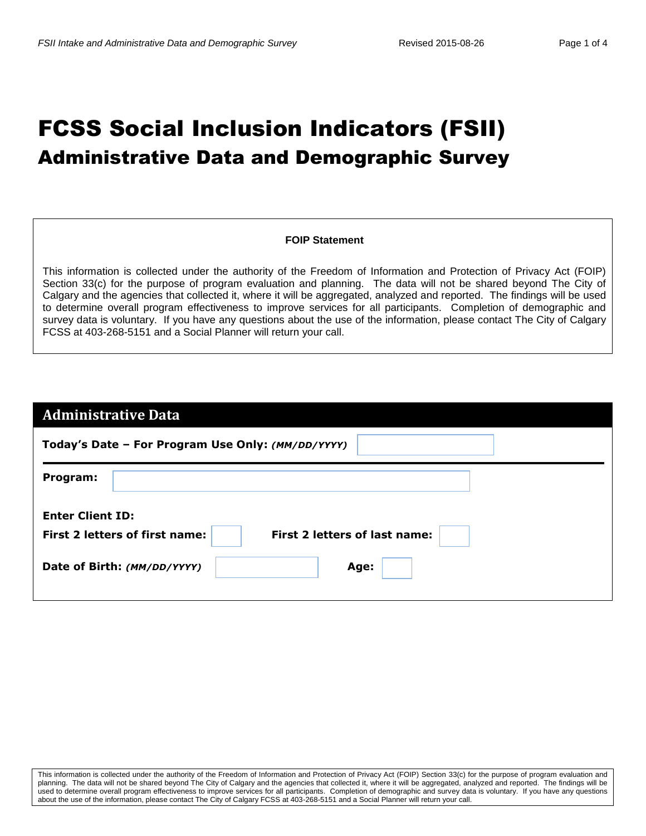# FCSS Social Inclusion Indicators (FSII) Administrative Data and Demographic Survey

#### **FOIP Statement**

This information is collected under the authority of the Freedom of Information and Protection of Privacy Act (FOIP) Section 33(c) for the purpose of program evaluation and planning. The data will not be shared beyond The City of Calgary and the agencies that collected it, where it will be aggregated, analyzed and reported. The findings will be used to determine overall program effectiveness to improve services for all participants. Completion of demographic and survey data is voluntary. If you have any questions about the use of the information, please contact The City of Calgary FCSS at 403-268-5151 and a Social Planner will return your call.

| <b>Administrative Data</b>                                      |  |  |  |  |
|-----------------------------------------------------------------|--|--|--|--|
| Today's Date - For Program Use Only: (MM/DD/YYYY)               |  |  |  |  |
| Program:                                                        |  |  |  |  |
| <b>Enter Client ID:</b>                                         |  |  |  |  |
| First 2 letters of first name:<br>First 2 letters of last name: |  |  |  |  |
| Date of Birth: (MM/DD/YYYY)<br>Age:                             |  |  |  |  |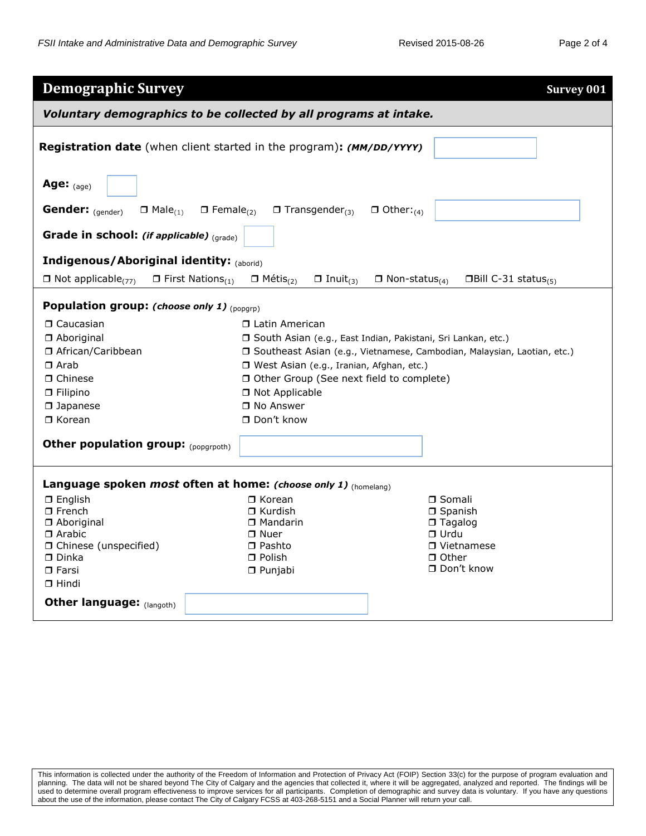| <b>Demographic Survey</b>                                                      |                                                                                                | <b>Survey 001</b>            |  |  |  |  |  |
|--------------------------------------------------------------------------------|------------------------------------------------------------------------------------------------|------------------------------|--|--|--|--|--|
| Voluntary demographics to be collected by all programs at intake.              |                                                                                                |                              |  |  |  |  |  |
| <b>Registration date</b> (when client started in the program): (MM/DD/YYYY)    |                                                                                                |                              |  |  |  |  |  |
| Age: $_{(age)}$                                                                |                                                                                                |                              |  |  |  |  |  |
| Gender: (gender)<br>$\Box$ Male <sub>(1)</sub><br>$\Box$ Female <sub>(2)</sub> | $\Box$ Transgender <sub>(3)</sub><br>$\Box$ Other: <sub>(4)</sub>                              |                              |  |  |  |  |  |
| Grade in school: (if applicable) $_{(grade)}$                                  |                                                                                                |                              |  |  |  |  |  |
| <b>Indigenous/Aboriginal identity: (aborid)</b>                                |                                                                                                |                              |  |  |  |  |  |
| $\Box$ Not applicable <sub>(77)</sub><br>$\Box$ First Nations <sub>(1)</sub>   | $\Box$ Métis <sub>(2)</sub><br>$\Box$ Inuit <sub>(3)</sub><br>$\Box$ Non-status <sub>(4)</sub> | <b>OBill C-31 status</b> (5) |  |  |  |  |  |
| Population group: (choose only 1) (popqrp)                                     |                                                                                                |                              |  |  |  |  |  |
| □ Caucasian                                                                    | □ Latin American                                                                               |                              |  |  |  |  |  |
| $\Box$ Aboriginal                                                              | □ South Asian (e.g., East Indian, Pakistani, Sri Lankan, etc.)                                 |                              |  |  |  |  |  |
| □ African/Caribbean                                                            | □ Southeast Asian (e.g., Vietnamese, Cambodian, Malaysian, Laotian, etc.)                      |                              |  |  |  |  |  |
| $\Box$ Arab                                                                    | □ West Asian (e.g., Iranian, Afghan, etc.)                                                     |                              |  |  |  |  |  |
| $\Box$ Chinese                                                                 | □ Other Group (See next field to complete)                                                     |                              |  |  |  |  |  |
| $\Box$ Filipino                                                                | □ Not Applicable                                                                               |                              |  |  |  |  |  |
| $\Box$ Japanese<br>$\Box$ Korean                                               | □ No Answer<br>$\Box$ Don't know                                                               |                              |  |  |  |  |  |
|                                                                                |                                                                                                |                              |  |  |  |  |  |
| Other population group: (popgrpoth)                                            |                                                                                                |                              |  |  |  |  |  |
| Language spoken most often at home: (choose only 1) (homelang)                 |                                                                                                |                              |  |  |  |  |  |
| $\square$ English                                                              | $\Box$ Korean                                                                                  | $\Box$ Somali                |  |  |  |  |  |
| $\Box$ French                                                                  | $\Box$ Kurdish                                                                                 | $\Box$ Spanish               |  |  |  |  |  |
| □ Aboriginal                                                                   | □ Mandarin                                                                                     | $\Box$ Tagalog               |  |  |  |  |  |
| □ Arabic<br>□ Chinese (unspecified)                                            | $\Box$ Nuer<br>□ Pashto                                                                        | $\Box$ Urdu<br>□ Vietnamese  |  |  |  |  |  |
| $\Box$ Dinka                                                                   | $\Box$ Polish                                                                                  | $\Box$ Other                 |  |  |  |  |  |
| $\Box$ Farsi                                                                   | $\Box$ Punjabi                                                                                 | □ Don't know                 |  |  |  |  |  |
| $\Box$ Hindi                                                                   |                                                                                                |                              |  |  |  |  |  |
| Other language: (langoth)                                                      |                                                                                                |                              |  |  |  |  |  |
|                                                                                |                                                                                                |                              |  |  |  |  |  |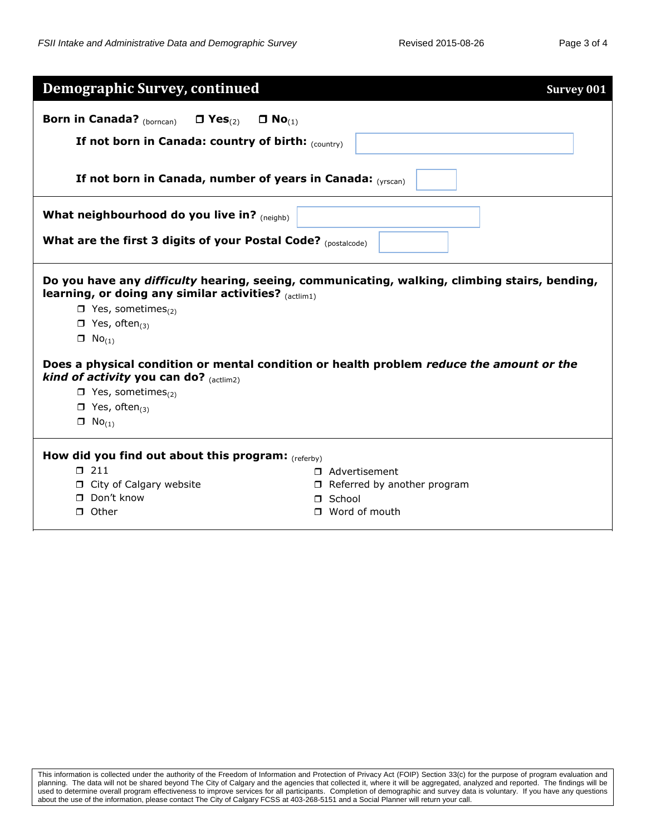| <b>Born in Canada?</b> (borncan)<br>$\Box$ Yes <sub>(2)</sub><br>$\Box$ No <sub>(1)</sub>                                                                                                                                                                                                                                                                                                                                                                                                                             |  |  |  |  |  |  |  |  |
|-----------------------------------------------------------------------------------------------------------------------------------------------------------------------------------------------------------------------------------------------------------------------------------------------------------------------------------------------------------------------------------------------------------------------------------------------------------------------------------------------------------------------|--|--|--|--|--|--|--|--|
|                                                                                                                                                                                                                                                                                                                                                                                                                                                                                                                       |  |  |  |  |  |  |  |  |
| If not born in Canada: country of birth: $_{(counter)}$                                                                                                                                                                                                                                                                                                                                                                                                                                                               |  |  |  |  |  |  |  |  |
| If not born in Canada, number of years in Canada: (VISCan)                                                                                                                                                                                                                                                                                                                                                                                                                                                            |  |  |  |  |  |  |  |  |
| What neighbourhood do you live in? (neighb)                                                                                                                                                                                                                                                                                                                                                                                                                                                                           |  |  |  |  |  |  |  |  |
| What are the first 3 digits of your Postal Code? (postalcode)                                                                                                                                                                                                                                                                                                                                                                                                                                                         |  |  |  |  |  |  |  |  |
| Do you have any difficulty hearing, seeing, communicating, walking, climbing stairs, bending,<br>learning, or doing any similar activities? $_{(actlim1)}$<br>$\Box$ Yes, sometimes <sub>(2)</sub><br>$\Box$ Yes, often <sub>(3)</sub><br>$\Box$ No <sub>(1)</sub><br>Does a physical condition or mental condition or health problem reduce the amount or the<br>kind of activity you can do? $_{(actlim2)}$<br>$\Box$ Yes, sometimes <sub>(2)</sub><br>$\Box$ Yes, often <sub>(3)</sub><br>$\Box$ No <sub>(1)</sub> |  |  |  |  |  |  |  |  |
| How did you find out about this program: $_{(referby)}$<br>$\Box$ 211<br>□ Advertisement<br>City of Calgary website<br>$\Box$ Referred by another program                                                                                                                                                                                                                                                                                                                                                             |  |  |  |  |  |  |  |  |
| □ Don't know<br>□ School<br>$\Box$ Word of mouth<br>$\Box$ Other                                                                                                                                                                                                                                                                                                                                                                                                                                                      |  |  |  |  |  |  |  |  |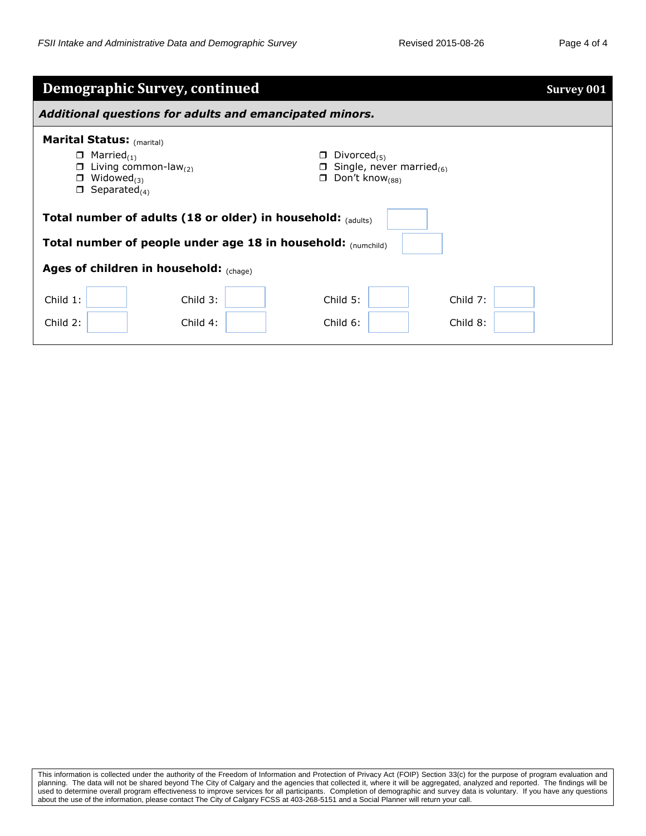| <b>Demographic Survey, continued</b><br><b>Survey 001</b>                                                                                                                                                                                                                                                    |                                                              |                          |                        |  |  |  |  |  |
|--------------------------------------------------------------------------------------------------------------------------------------------------------------------------------------------------------------------------------------------------------------------------------------------------------------|--------------------------------------------------------------|--------------------------|------------------------|--|--|--|--|--|
| Additional questions for adults and emancipated minors.                                                                                                                                                                                                                                                      |                                                              |                          |                        |  |  |  |  |  |
| <b>Marital Status: (marital)</b><br>$\Box$ Married <sub>(1)</sub><br>Divorced <sub>(5)</sub><br>π.<br>Living common-law $_{(2)}$<br><b><math>\Box</math></b> Single, never married <sub>(6)</sub><br>$\Box$<br>$\Box$ Don't know <sub>(88)</sub><br>Widowed $_{(3)}$<br>0<br>$\Box$ Separated <sub>(4)</sub> |                                                              |                          |                        |  |  |  |  |  |
|                                                                                                                                                                                                                                                                                                              | Total number of adults (18 or older) in household: (adults)  |                          |                        |  |  |  |  |  |
|                                                                                                                                                                                                                                                                                                              | Total number of people under age 18 in household: (numchild) |                          |                        |  |  |  |  |  |
| Ages of children in household: $_{(chage)}$                                                                                                                                                                                                                                                                  |                                                              |                          |                        |  |  |  |  |  |
| Child $1$ :<br>Child 2:                                                                                                                                                                                                                                                                                      | Child $3:$<br>Child $4:$                                     | Child $5:$<br>Child $6:$ | Child $7:$<br>Child 8: |  |  |  |  |  |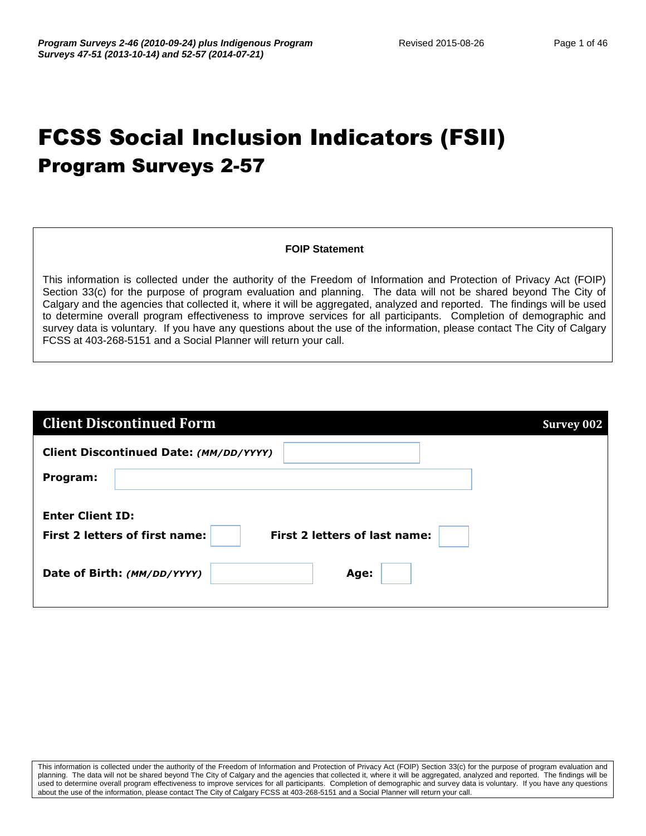# FCSS Social Inclusion Indicators (FSII) Program Surveys 2-57

#### **FOIP Statement**

This information is collected under the authority of the Freedom of Information and Protection of Privacy Act (FOIP) Section 33(c) for the purpose of program evaluation and planning. The data will not be shared beyond The City of Calgary and the agencies that collected it, where it will be aggregated, analyzed and reported. The findings will be used to determine overall program effectiveness to improve services for all participants. Completion of demographic and survey data is voluntary. If you have any questions about the use of the information, please contact The City of Calgary FCSS at 403-268-5151 and a Social Planner will return your call.

| <b>Client Discontinued Form</b>                                        | <b>Survey 002</b> |
|------------------------------------------------------------------------|-------------------|
| Client Discontinued Date: (MM/DD/YYYY)                                 |                   |
| Program:                                                               |                   |
| <b>Enter Client ID:</b>                                                |                   |
| <b>First 2 letters of first name:</b><br>First 2 letters of last name: |                   |
| Date of Birth: (MM/DD/YYYY)<br>Age:                                    |                   |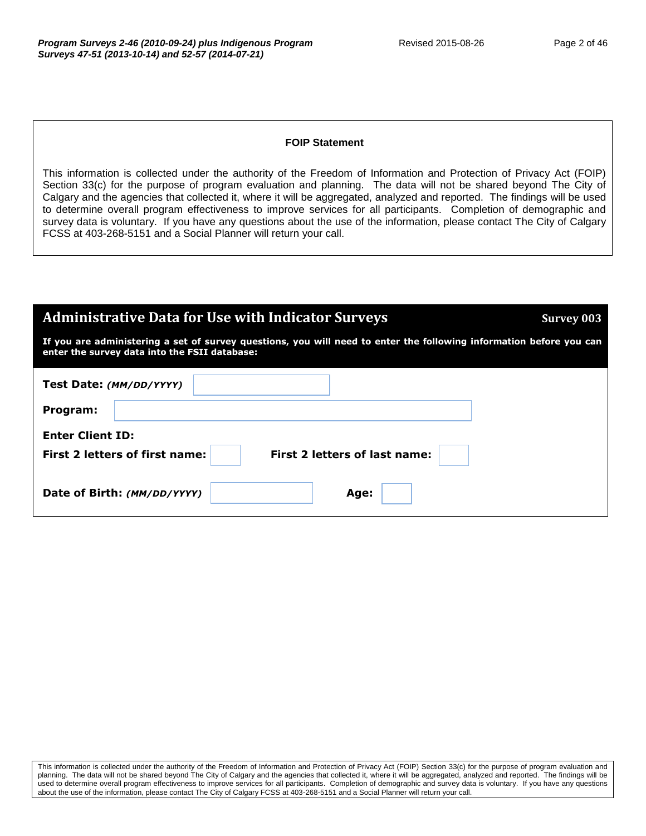#### **FOIP Statement**

| <b>Administrative Data for Use with Indicator Surveys</b>                                                                                                            | <b>Survey 003</b> |  |  |  |  |  |
|----------------------------------------------------------------------------------------------------------------------------------------------------------------------|-------------------|--|--|--|--|--|
| If you are administering a set of survey questions, you will need to enter the following information before you can<br>enter the survey data into the FSII database: |                   |  |  |  |  |  |
| Test Date: (MM/DD/YYYY)                                                                                                                                              |                   |  |  |  |  |  |
| Program:                                                                                                                                                             |                   |  |  |  |  |  |
| <b>Enter Client ID:</b>                                                                                                                                              |                   |  |  |  |  |  |
| <b>First 2 letters of last name:</b><br><b>First 2 letters of first name:</b>                                                                                        |                   |  |  |  |  |  |
| Date of Birth: (MM/DD/YYYY)<br>Age:                                                                                                                                  |                   |  |  |  |  |  |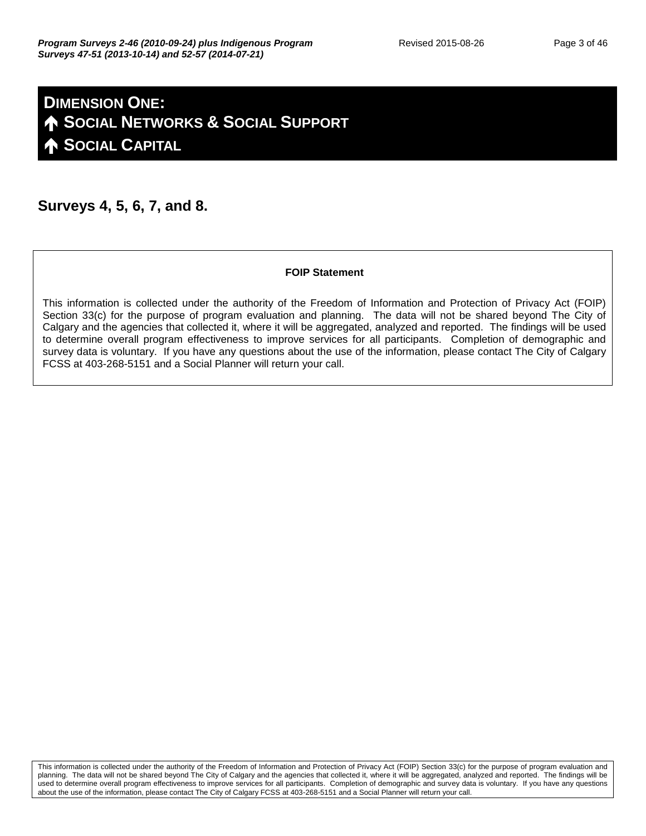## **DIMENSION ONE: SOCIAL NETWORKS & SOCIAL SUPPORT SOCIAL CAPITAL**

#### **Surveys 4, 5, 6, 7, and 8.**

#### **FOIP Statement**

This information is collected under the authority of the Freedom of Information and Protection of Privacy Act (FOIP) Section 33(c) for the purpose of program evaluation and planning. The data will not be shared beyond The City of Calgary and the agencies that collected it, where it will be aggregated, analyzed and reported. The findings will be used to determine overall program effectiveness to improve services for all participants. Completion of demographic and survey data is voluntary. If you have any questions about the use of the information, please contact The City of Calgary FCSS at 403-268-5151 and a Social Planner will return your call.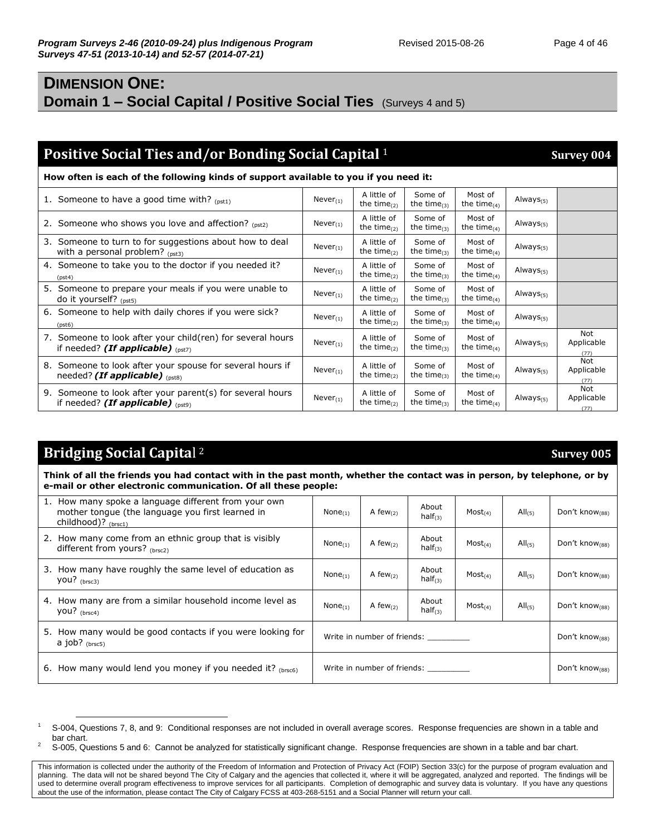## **DIMENSION ONE: Domain 1 – Social Capital / Positive Social Ties** (Surveys 4 and 5)

## **Positive Social Ties and/or Bonding Social Capital** <sup>1</sup> **Survey 004 Survey 004**

**How often is each of the following kinds of support available to you if you need it:**

| 1. Someone to have a good time with? $_{(pst)}$                                                        | $Never_{(1)}$  | A little of<br>the time $_{(2)}$ | Some of<br>the time $_{(3)}$ | Most of<br>the time $_{(4)}$ | Always $(5)$    |                           |
|--------------------------------------------------------------------------------------------------------|----------------|----------------------------------|------------------------------|------------------------------|-----------------|---------------------------|
| 2. Someone who shows you love and affection? $_{(sst2)}$                                               | Never $_{(1)}$ | A little of<br>the time $_{(2)}$ | Some of<br>the time $_{(3)}$ | Most of<br>the time $_{(4)}$ | Always $_{(5)}$ |                           |
| 3. Someone to turn to for suggestions about how to deal<br>with a personal problem? $_{(pst3)}$        | $Never_{(1)}$  | A little of<br>the time $_{(2)}$ | Some of<br>the time $_{(3)}$ | Most of<br>the time $_{(4)}$ | Always $_{(5)}$ |                           |
| 4. Someone to take you to the doctor if you needed it?<br>(pst4)                                       | $Never_{(1)}$  | A little of<br>the time $_{(2)}$ | Some of<br>the time $(3)$    | Most of<br>the time $_{(4)}$ | Always $_{(5)}$ |                           |
| 5. Someone to prepare your meals if you were unable to<br>do it yourself? $_{(pst5)}$                  | $Never_{(1)}$  | A little of<br>the time $_{(2)}$ | Some of<br>the time $_{(3)}$ | Most of<br>the time $_{(4)}$ | Always $(5)$    |                           |
| 6. Someone to help with daily chores if you were sick?<br>(pst6)                                       | Never $_{(1)}$ | A little of<br>the time $_{(2)}$ | Some of<br>the time $_{(3)}$ | Most of<br>the time $_{(4)}$ | Always $_{(5)}$ |                           |
| 7. Someone to look after your child(ren) for several hours<br>if needed? (If applicable) $_{(pst)}$    | $Never_{(1)}$  | A little of<br>the time $_{(2)}$ | Some of<br>the time $_{(3)}$ | Most of<br>the time $_{(4)}$ | Always $_{(5)}$ | Not<br>Applicable<br>(77) |
| 8. Someone to look after your spouse for several hours if<br>needed? (If applicable) (pst8)            | $Never_{(1)}$  | A little of<br>the time $_{(2)}$ | Some of<br>the time $_{(3)}$ | Most of<br>the time $_{(4)}$ | Always $_{(5)}$ | Not<br>Applicable<br>(77) |
| Someone to look after your parent(s) for several hours<br>9.<br>if needed? (If applicable) $_{(pst9)}$ | $Never_{(1)}$  | A little of<br>the time $(2)$    | Some of<br>the time $_{(3)}$ | Most of<br>the time $_{(4)}$ | Always $_{(5)}$ | Not<br>Applicable<br>(77) |

#### **Bridging Social Capita**l

<sup>2</sup> **Survey 005**

**Think of all the friends you had contact with in the past month, whether the contact was in person, by telephone, or by e-mail or other electronic communication. Of all these people:**

| 1. How many spoke a language different from your own<br>mother tongue (the language you first learned in<br>childhood)? (brsc1) | None $(1)$                  | A few $(2)$ | About<br>half <sub>(3)</sub> | Most <sub>(4)</sub>   | $All_{(5)}$                | Don't know $(88)$          |
|---------------------------------------------------------------------------------------------------------------------------------|-----------------------------|-------------|------------------------------|-----------------------|----------------------------|----------------------------|
| 2. How many come from an ethnic group that is visibly<br>different from yours? (brsc2)                                          | $None_{(1)}$                | A few $(2)$ | About<br>half $_{(3)}$       | Most <sub>(4)</sub>   | $All_{(5)}$                | Don't know $(88)$          |
| 3. How many have roughly the same level of education as<br>you? $_{(brsc3)}$                                                    | $None_{(1)}$                | A few $(2)$ | About<br>half <sub>(3)</sub> | $Most$ <sub>(4)</sub> | $All_{(5)}$                | Don't know <sub>(88)</sub> |
| 4. How many are from a similar household income level as<br>you? $(brsc4)$                                                      | None $(1)$                  | A few $(2)$ | About<br>half $_{(3)}$       | Most <sub>(4)</sub>   | $All_{(5)}$                | Don't know <sub>(88)</sub> |
| 5. How many would be good contacts if you were looking for<br>a job? $_{(brsc5)}$                                               | Write in number of friends: |             |                              |                       | Don't know $_{(88)}$       |                            |
| 6. How many would lend you money if you needed it? $_{(brsc6)}$                                                                 | Write in number of friends: |             |                              |                       | Don't know <sub>(88)</sub> |                            |

 $\overline{a}$ <sup>1</sup> S-004, Questions 7, 8, and 9: Conditional responses are not included in overall average scores. Response frequencies are shown in a table and bar chart.

 $2^2$  S-005, Questions 5 and 6: Cannot be analyzed for statistically significant change. Response frequencies are shown in a table and bar chart.

This information is collected under the authority of the Freedom of Information and Protection of Privacy Act (FOIP) Section 33(c) for the purpose of program evaluation and planning. The data will not be shared beyond The City of Calgary and the agencies that collected it, where it will be aggregated, analyzed and reported. The findings will be used to determine overall program effectiveness to improve services for all participants. Completion of demographic and survey data is voluntary. If you have any questions about the use of the information, please contact The City of Calgary FCSS at 403-268-5151 and a Social Planner will return your call.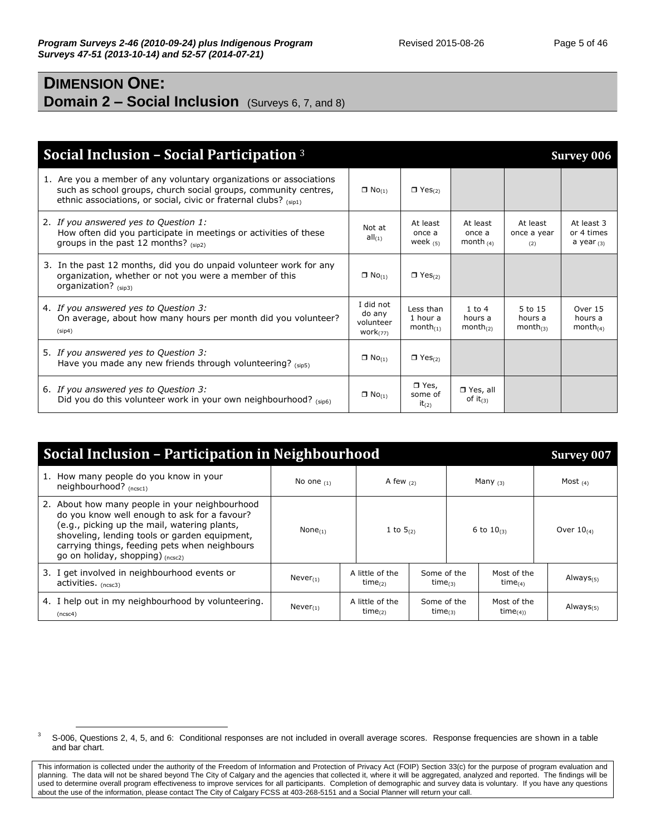## **DIMENSION ONE: Domain 2 – Social Inclusion** (Surveys 6, 7, and 8)

| Social Inclusion - Social Participation $3$                                                                                                                                                               |                                                   |                                        |                                               |                                      | <b>Survey 006</b>                        |
|-----------------------------------------------------------------------------------------------------------------------------------------------------------------------------------------------------------|---------------------------------------------------|----------------------------------------|-----------------------------------------------|--------------------------------------|------------------------------------------|
| 1. Are you a member of any voluntary organizations or associations<br>such as school groups, church social groups, community centres,<br>ethnic associations, or social, civic or fraternal clubs? (sip1) | $\Box$ No <sub>(1)</sub>                          | $\Box$ Yes <sub>(2)</sub>              |                                               |                                      |                                          |
| 2. If you answered yes to Question 1:<br>How often did you participate in meetings or activities of these<br>groups in the past 12 months? $(sip2)$                                                       | Not at<br>$all_{(1)}$                             | At least<br>once a<br>week $(5)$       | At least<br>once a<br>month $(4)$             | At least<br>once a year<br>(2)       | At least 3<br>or 4 times<br>a year $(3)$ |
| 3. In the past 12 months, did you do unpaid volunteer work for any<br>organization, whether or not you were a member of this<br>organization? (sip3)                                                      | $\Box$ No <sub>(1)</sub>                          | $\Box$ Yes <sub>(2)</sub>              |                                               |                                      |                                          |
| 4. If you answered yes to Question 3:<br>On average, about how many hours per month did you volunteer?<br>(sip4)                                                                                          | I did not<br>do any<br>volunteer<br>$work_{(77)}$ | Less than<br>1 hour a<br>$month_{(1)}$ | $1$ to $4$<br>hours a<br>month <sub>(2)</sub> | 5 to 15<br>hours a<br>month $_{(3)}$ | Over 15<br>hours a<br>month $_{(4)}$     |
| 5. If you answered yes to Question 3:<br>Have you made any new friends through volunteering? (sip5)                                                                                                       | $\Box$ No <sub>(1)</sub>                          | $\Box$ Yes <sub>(2)</sub>              |                                               |                                      |                                          |
| 6. If you answered yes to Question 3:<br>Did you do this volunteer work in your own neighbourhood? $_{(sip6)}$                                                                                            | $\Box$ No <sub>(1)</sub>                          | $\Box$ Yes,<br>some of<br>$it_{(2)}$   | $\Box$ Yes, all<br>of $it_{(3)}$              |                                      |                                          |

| <b>Social Inclusion - Participation in Neighbourhood</b>                                                                                                                                                                                                                             |                |                                 |                              |            |                              |                 |  |
|--------------------------------------------------------------------------------------------------------------------------------------------------------------------------------------------------------------------------------------------------------------------------------------|----------------|---------------------------------|------------------------------|------------|------------------------------|-----------------|--|
| 1. How many people do you know in your<br>neighbourhood? (ncsc1)                                                                                                                                                                                                                     | No one $(1)$   | A few $(2)$                     |                              | Many $(3)$ |                              | Most $(4)$      |  |
| 2. About how many people in your neighbourhood<br>do you know well enough to ask for a favour?<br>(e.g., picking up the mail, watering plants,<br>shoveling, lending tools or garden equipment,<br>carrying things, feeding pets when neighbours<br>go on holiday, shopping) (ncsc2) | None $_{(1)}$  | 1 to $5_{(2)}$                  |                              |            | 6 to $10_{(3)}$              | Over $10_{(4)}$ |  |
| 3. I get involved in neighbourhood events or<br>activities. (ncsc3)                                                                                                                                                                                                                  | $Never_{(1)}$  | A little of the<br>$time_{(2)}$ | Some of the<br>$time_{(3)}$  |            | Most of the<br>$time_{(4)}$  | Always $(5)$    |  |
| 4. I help out in my neighbourhood by volunteering.<br>(ncsc4)                                                                                                                                                                                                                        | Never $_{(1)}$ | A little of the<br>$time_{(2)}$ | Some of the<br>time $_{(3)}$ |            | Most of the<br>time $_{(4)}$ | Always $_{(5)}$ |  |

<sup>&</sup>lt;sup>3</sup> S-006, Questions 2, 4, 5, and 6: Conditional responses are not included in overall average scores. Response frequencies are shown in a table and bar chart.

This information is collected under the authority of the Freedom of Information and Protection of Privacy Act (FOIP) Section 33(c) for the purpose of program evaluation and planning. The data will not be shared beyond The City of Calgary and the agencies that collected it, where it will be aggregated, analyzed and reported. The findings will be used to determine overall program effectiveness to improve services for all participants. Completion of demographic and survey data is voluntary. If you have any questions about the use of the information, please contact The City of Calgary FCSS at 403-268-5151 and a Social Planner will return your call.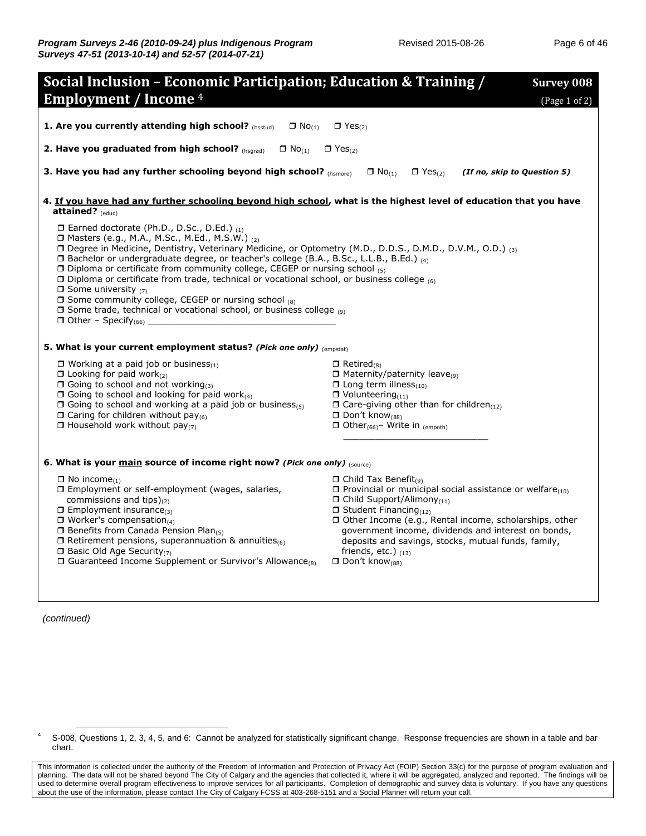| Social Inclusion - Economic Participation; Education & Training /                                                                                                                                                                                                                                                                                                                                                                                                                                                                                                                                                                                                                                                                                                       | <b>Survey 008</b>                                                                                                                                                                                                                                                                                                                                                                                                                                             |
|-------------------------------------------------------------------------------------------------------------------------------------------------------------------------------------------------------------------------------------------------------------------------------------------------------------------------------------------------------------------------------------------------------------------------------------------------------------------------------------------------------------------------------------------------------------------------------------------------------------------------------------------------------------------------------------------------------------------------------------------------------------------------|---------------------------------------------------------------------------------------------------------------------------------------------------------------------------------------------------------------------------------------------------------------------------------------------------------------------------------------------------------------------------------------------------------------------------------------------------------------|
| <b>Employment / Income 4</b>                                                                                                                                                                                                                                                                                                                                                                                                                                                                                                                                                                                                                                                                                                                                            |                                                                                                                                                                                                                                                                                                                                                                                                                                                               |
|                                                                                                                                                                                                                                                                                                                                                                                                                                                                                                                                                                                                                                                                                                                                                                         | (Page 1 of 2)                                                                                                                                                                                                                                                                                                                                                                                                                                                 |
| 1. Are you currently attending high school? (hsstud)<br>$\Box$ No <sub>(1)</sub>                                                                                                                                                                                                                                                                                                                                                                                                                                                                                                                                                                                                                                                                                        | $\Box$ Yes <sub>(2)</sub>                                                                                                                                                                                                                                                                                                                                                                                                                                     |
| 2. Have you graduated from high school? (hsqrad)<br>$\Box$ No <sub>(1)</sub>                                                                                                                                                                                                                                                                                                                                                                                                                                                                                                                                                                                                                                                                                            | $\Box$ Yes <sub>(2)</sub>                                                                                                                                                                                                                                                                                                                                                                                                                                     |
| 3. Have you had any further schooling beyond high school? (hsmore)                                                                                                                                                                                                                                                                                                                                                                                                                                                                                                                                                                                                                                                                                                      | $\Box$ No <sub>(1)</sub><br>(If no, skip to Question 5)<br>$\Box$ Yes <sub>(2)</sub>                                                                                                                                                                                                                                                                                                                                                                          |
| 4. If you have had any further schooling beyond high school, what is the highest level of education that you have<br>attained? $_{(educ)}$                                                                                                                                                                                                                                                                                                                                                                                                                                                                                                                                                                                                                              |                                                                                                                                                                                                                                                                                                                                                                                                                                                               |
| $\Box$ Earned doctorate (Ph.D., D.Sc., D.Ed.) $_{(1)}$<br>□ Masters (e.g., M.A., M.Sc., M.Ed., M.S.W.) (2)<br>□ Degree in Medicine, Dentistry, Veterinary Medicine, or Optometry (M.D., D.D.S., D.M.D., D.V.M., O.D.) (3)<br>□ Bachelor or undergraduate degree, or teacher's college (B.A., B.Sc., L.L.B., B.Ed.) (4)<br>$\Box$ Diploma or certificate from community college, CEGEP or nursing school $_{(5)}$<br>$\Box$ Diploma or certificate from trade, technical or vocational school, or business college $_{(6)}$<br>$\Box$ Some university $(7)$<br><b><math>\Box</math></b> Some community college, CEGEP or nursing school $(8)$<br><b>If</b> Some trade, technical or vocational school, or business college (9)<br>$\Box$ Other – Specify <sub>(66)</sub> |                                                                                                                                                                                                                                                                                                                                                                                                                                                               |
| <b>5. What is your current employment status? (Pick one only)</b> (empstat)                                                                                                                                                                                                                                                                                                                                                                                                                                                                                                                                                                                                                                                                                             |                                                                                                                                                                                                                                                                                                                                                                                                                                                               |
| $\Box$ Working at a paid job or business $_{(1)}$<br>$\Box$ Looking for paid work $_{(2)}$<br>$\Box$ Going to school and not working(3)<br>$\Box$ Going to school and looking for paid work $_{(4)}$<br>$\Box$ Going to school and working at a paid job or business(5)<br>$\Box$ Caring for children without pay <sub>(6)</sub><br>$\Box$ Household work without pay <sub>(7)</sub>                                                                                                                                                                                                                                                                                                                                                                                    | $\Box$ Retired <sub>(8)</sub><br>$\Box$ Maternity/paternity leave(9)<br>$\Box$ Long term illness <sub>(10)</sub><br>$\Box$ Volunteering <sub>(11)</sub><br>$\Box$ Care-giving other than for children(12)<br>$\Box$ Don't know <sub>(88)</sub><br>$\Box$ Other <sub>(66)</sub> – Write in <sub>(empoth)</sub>                                                                                                                                                 |
| 6. What is your main source of income right now? (Pick one only) (source)                                                                                                                                                                                                                                                                                                                                                                                                                                                                                                                                                                                                                                                                                               |                                                                                                                                                                                                                                                                                                                                                                                                                                                               |
| $\Box$ No income <sub>(1)</sub><br>□ Employment or self-employment (wages, salaries,<br>commissions and tips) $_{(2)}$<br>$\Box$ Employment insurance(3)<br>$\Box$ Worker's compensation(4)<br>$\Box$ Benefits from Canada Pension Plan(5)<br>$\Box$ Retirement pensions, superannuation & annuities(6)<br>$\Box$ Basic Old Age Security(7)<br>$\Box$ Guaranteed Income Supplement or Survivor's Allowance(8)                                                                                                                                                                                                                                                                                                                                                           | $\Box$ Child Tax Benefit <sub>(9)</sub><br>$\Box$ Provincial or municipal social assistance or welfare <sub>(10)</sub><br>$\Box$ Child Support/Alimony <sub>(11)</sub><br>$\Box$ Student Financing <sub>(12)</sub><br>□ Other Income (e.g., Rental income, scholarships, other<br>government income, dividends and interest on bonds,<br>deposits and savings, stocks, mutual funds, family,<br>friends, etc.) $_{(13)}$<br>$\Box$ Don't know <sub>(88)</sub> |

*(continued)*

<sup>&</sup>lt;sup>4</sup> S-008, Questions 1, 2, 3, 4, 5, and 6: Cannot be analyzed for statistically significant change. Response frequencies are shown in a table and bar chart.

This information is collected under the authority of the Freedom of Information and Protection of Privacy Act (FOIP) Section 33(c) for the purpose of program evaluation and planning. The data will not be shared beyond The City of Calgary and the agencies that collected it, where it will be aggregated, analyzed and reported. The findings will be used to determine overall program effectiveness to improve services for all participants. Completion of demographic and survey data is voluntary. If you have any questions about the use of the information, please contact The City of Calgary FCSS at 403-268-5151 and a Social Planner will return your call.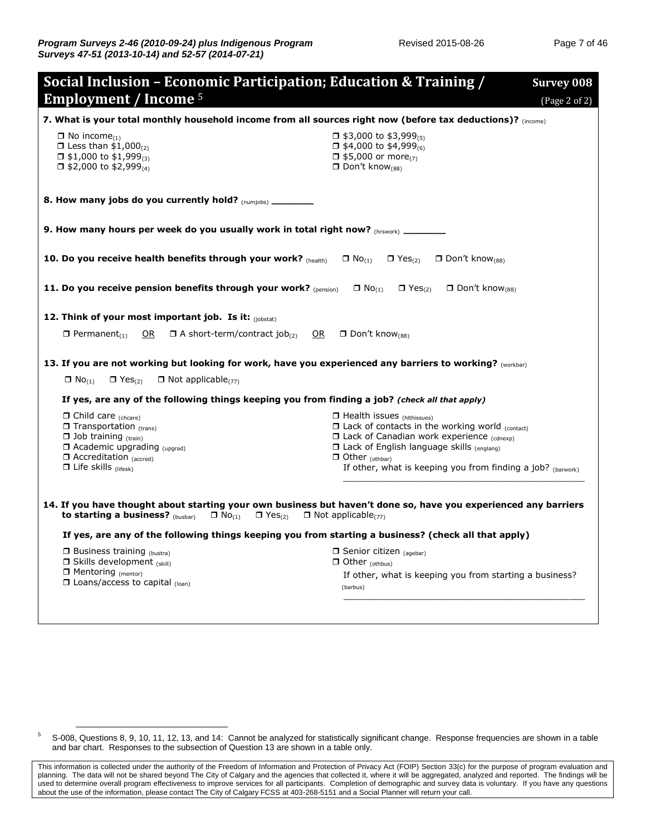| Social Inclusion - Economic Participation; Education & Training /<br><b>Employment / Income</b> 5                                                                                                                                                     | <b>Survey 008</b><br>(Page 2 of 2)                                                                                                                                                                                                                                                                  |  |  |  |  |  |
|-------------------------------------------------------------------------------------------------------------------------------------------------------------------------------------------------------------------------------------------------------|-----------------------------------------------------------------------------------------------------------------------------------------------------------------------------------------------------------------------------------------------------------------------------------------------------|--|--|--|--|--|
| 7. What is your total monthly household income from all sources right now (before tax deductions)? (income)                                                                                                                                           |                                                                                                                                                                                                                                                                                                     |  |  |  |  |  |
| $\Box$ No income <sub>(1)</sub><br>$\Box$ Less than \$1,000 $\alpha$<br>$\Box$ \$1,000 to \$1,999 <sub>(3)</sub><br>$\Box$ \$2,000 to \$2,999(4)                                                                                                      | $\Box$ \$3,000 to \$3,999 <sub>(5)</sub><br>$\Box$ \$4,000 to \$4,999 <sub>(6)</sub><br>$\Box$ \$5,000 or more <sub>(7)</sub><br>$\Box$ Don't know <sub>(88)</sub>                                                                                                                                  |  |  |  |  |  |
| 8. How many jobs do you currently hold? (numjobs) ________                                                                                                                                                                                            |                                                                                                                                                                                                                                                                                                     |  |  |  |  |  |
| 9. How many hours per week do you usually work in total right now? $(n_{\text{rswork}})$                                                                                                                                                              |                                                                                                                                                                                                                                                                                                     |  |  |  |  |  |
| 10. Do you receive health benefits through your work? (health)                                                                                                                                                                                        | $\Box$ No <sub>(1)</sub><br>$\Box$ Yes <sub>(2)</sub><br>$\Box$ Don't know <sub>(88)</sub>                                                                                                                                                                                                          |  |  |  |  |  |
| 11. Do you receive pension benefits through your work? (pension)                                                                                                                                                                                      | $\Box$ No <sub>(1)</sub><br>$\Box$ Yes <sub>(2)</sub><br>$\Box$ Don't know <sub>(88)</sub>                                                                                                                                                                                                          |  |  |  |  |  |
| 12. Think of your most important job. Is it: $_{(i)$ obstat)                                                                                                                                                                                          |                                                                                                                                                                                                                                                                                                     |  |  |  |  |  |
| $\Box$ A short-term/contract job <sub>(2)</sub><br>OR<br>$\Box$ Permanent <sub>(1)</sub><br>OR                                                                                                                                                        | $\Box$ Don't know <sub>(88)</sub>                                                                                                                                                                                                                                                                   |  |  |  |  |  |
| 13. If you are not working but looking for work, have you experienced any barriers to working? (Workbar)                                                                                                                                              |                                                                                                                                                                                                                                                                                                     |  |  |  |  |  |
| $\Box$ No <sub>(1)</sub><br>$\Box$ Yes <sub>(2)</sub><br>$\Box$ Not applicable <sub>(77)</sub>                                                                                                                                                        |                                                                                                                                                                                                                                                                                                     |  |  |  |  |  |
| If yes, are any of the following things keeping you from finding a job? (check all that apply)                                                                                                                                                        |                                                                                                                                                                                                                                                                                                     |  |  |  |  |  |
| $\Box$ Child care (cheare)<br>$\Box$ Transportation (trans)<br>$\Box$ Job training (train)<br>$\Box$ Academic upgrading <sub>(upgrad)</sub><br>$\Box$ Accreditation (accred)<br>$\Box$ Life skills (lifesk)                                           | $\Box$ Health issues (hlthissues)<br>$\Box$ Lack of contacts in the working world (contact)<br>$\Box$ Lack of Canadian work experience (cdnexp)<br><b>I Lack of English language skills (englang)</b><br>$\Box$ Other (othbar)<br>If other, what is keeping you from finding a job? $_{(baryor k)}$ |  |  |  |  |  |
| 14. If you have thought about starting your own business but haven't done so, have you experienced any barriers<br>to starting a business? (busbar)<br>$\Box$ Not applicable <sub>(77)</sub><br>$\Box$ No <sub>(1)</sub><br>$\Box$ Yes <sub>(2)</sub> |                                                                                                                                                                                                                                                                                                     |  |  |  |  |  |
| If yes, are any of the following things keeping you from starting a business? (check all that apply)                                                                                                                                                  |                                                                                                                                                                                                                                                                                                     |  |  |  |  |  |
| $\Box$ Business training (bustra)<br>Skills development (skill)                                                                                                                                                                                       | $\Box$ Senior citizen (agebar)<br>$\Box$ Other (othbus)                                                                                                                                                                                                                                             |  |  |  |  |  |
| □ Mentoring (mentor)<br>$\Box$ Loans/access to capital $_{(loan)}$                                                                                                                                                                                    | If other, what is keeping you from starting a business?<br>(barbus)                                                                                                                                                                                                                                 |  |  |  |  |  |

<sup>&</sup>lt;sup>5</sup> S-008, Questions 8, 9, 10, 11, 12, 13, and 14: Cannot be analyzed for statistically significant change. Response frequencies are shown in a table and bar chart. Responses to the subsection of Question 13 are shown in a table only.

This information is collected under the authority of the Freedom of Information and Protection of Privacy Act (FOIP) Section 33(c) for the purpose of program evaluation and planning. The data will not be shared beyond The City of Calgary and the agencies that collected it, where it will be aggregated, analyzed and reported. The findings will be used to determine overall program effectiveness to improve services for all participants. Completion of demographic and survey data is voluntary. If you have any questions about the use of the information, please contact The City of Calgary FCSS at 403-268-5151 and a Social Planner will return your call.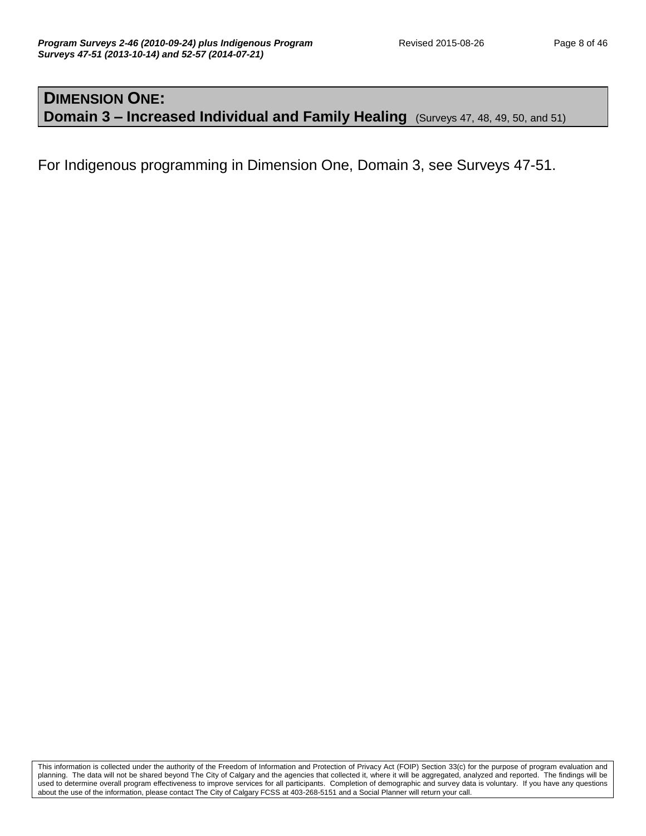#### **DIMENSION ONE: Domain 3 – Increased Individual and Family Healing** (Surveys 47, 48, 49, 50, and 51)

For Indigenous programming in Dimension One, Domain 3, see Surveys 47-51.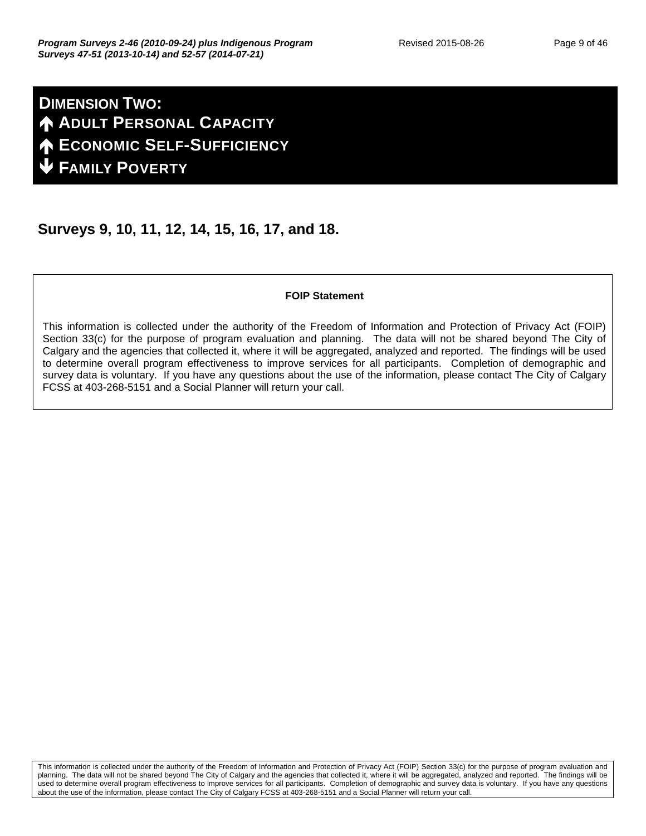## **DIMENSION TWO: ADULT PERSONAL CAPACITY ECONOMIC SELF-SUFFICIENCY FAMILY POVERTY**

### **Surveys 9, 10, 11, 12, 14, 15, 16, 17, and 18.**

#### **FOIP Statement**

This information is collected under the authority of the Freedom of Information and Protection of Privacy Act (FOIP) Section 33(c) for the purpose of program evaluation and planning. The data will not be shared beyond The City of Calgary and the agencies that collected it, where it will be aggregated, analyzed and reported. The findings will be used to determine overall program effectiveness to improve services for all participants. Completion of demographic and survey data is voluntary. If you have any questions about the use of the information, please contact The City of Calgary FCSS at 403-268-5151 and a Social Planner will return your call.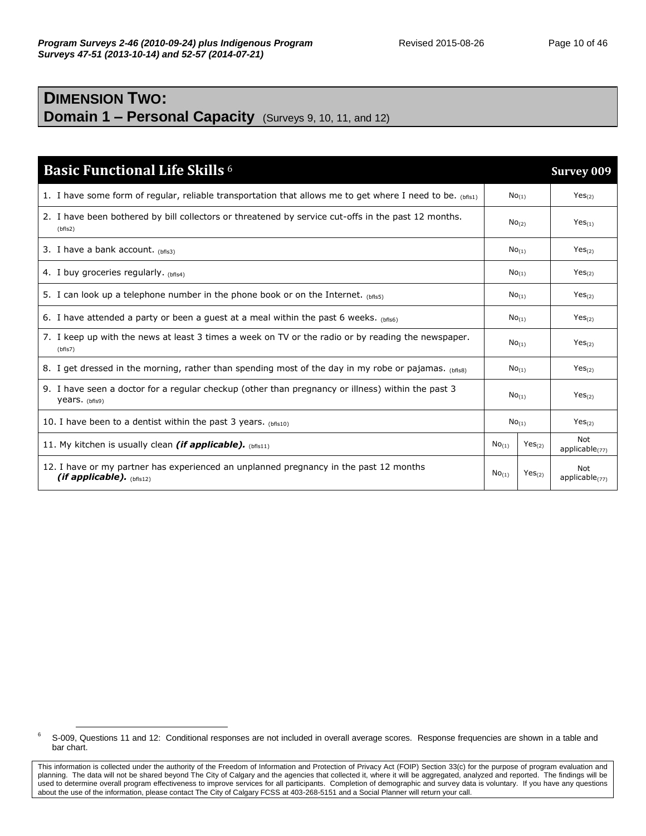#### **DIMENSION TWO: Domain 1 – Personal Capacity** (Surveys 9, 10, 11, and 12)

| <b>Basic Functional Life Skills 6</b>                                                                                 |                     |                    | <b>Survey 009</b>               |
|-----------------------------------------------------------------------------------------------------------------------|---------------------|--------------------|---------------------------------|
| 1. I have some form of regular, reliable transportation that allows me to get where I need to be. $_{(hfi51)}$        |                     | No(1)              | Yes <sub>(2)</sub>              |
| 2. I have been bothered by bill collectors or threatened by service cut-offs in the past 12 months.<br>(bfls2)        |                     | $No_{(2)}$         | $Yes_{(1)}$                     |
| 3. I have a bank account. $_{(bfls3)}$                                                                                | No <sub>(1)</sub>   |                    | Yes <sub>(2)</sub>              |
| 4. I buy groceries regularly. $(bf _{S4})$                                                                            | $No$ <sub>(1)</sub> |                    | Yes <sub>(2)</sub>              |
| 5. I can look up a telephone number in the phone book or on the Internet. (bfls5)                                     | $No_{(1)}$          |                    | Yes <sub>(2)</sub>              |
| 6. I have attended a party or been a guest at a meal within the past 6 weeks. (bfis6)                                 | $No$ <sub>(1)</sub> |                    | Yes <sub>(2)</sub>              |
| 7. I keep up with the news at least 3 times a week on TV or the radio or by reading the newspaper.<br>(bfls7)         | No <sub>(1)</sub>   |                    | Yes <sub>(2)</sub>              |
| 8. I get dressed in the morning, rather than spending most of the day in my robe or pajamas. $_{\text{(bfis8)}}$      | $No$ <sub>(1)</sub> |                    | Yes <sub>(2)</sub>              |
| 9. I have seen a doctor for a regular checkup (other than pregnancy or illness) within the past 3<br>years. $(bf s9)$ | No(1)               |                    | Yes <sub>(2)</sub>              |
| 10. I have been to a dentist within the past 3 years. $(bf s10)$                                                      | No <sub>(1)</sub>   |                    | Yes <sub>(2)</sub>              |
| 11. My kitchen is usually clean <i>(if applicable).</i> (bfis11)                                                      | No <sub>(1)</sub>   | Yes <sub>(2)</sub> | <b>Not</b><br>applicable $(77)$ |
| 12. I have or my partner has experienced an unplanned pregnancy in the past 12 months<br>(if applicable). $(bf s12)$  | No <sub>(1)</sub>   | $Yes_{(2)}$        | Not<br>applicable $(77)$        |

<sup>&</sup>lt;sup>6</sup> S-009, Questions 11 and 12: Conditional responses are not included in overall average scores. Response frequencies are shown in a table and bar chart.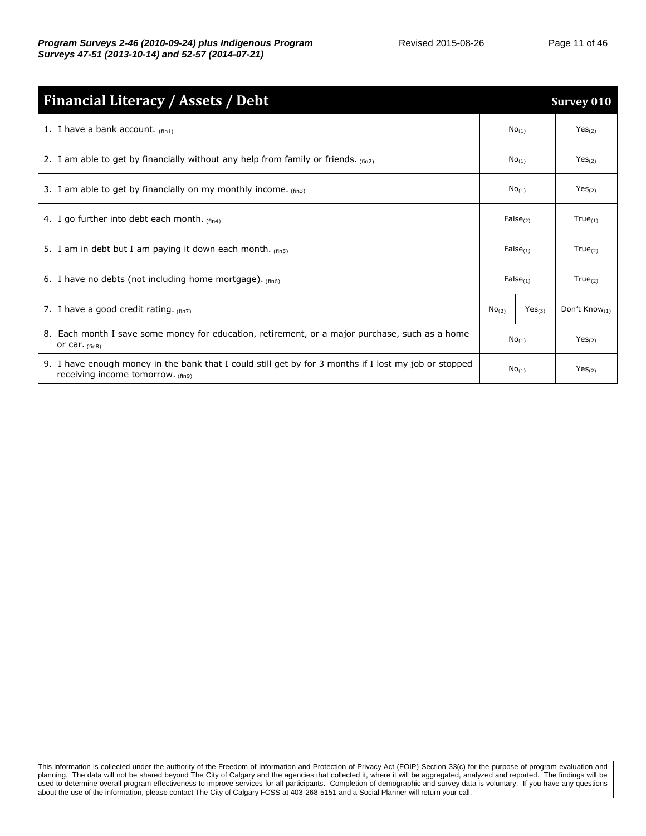| <b>Financial Literacy / Assets / Debt</b>                                                                                                  |                   |                    | <b>Survey 010</b>   |
|--------------------------------------------------------------------------------------------------------------------------------------------|-------------------|--------------------|---------------------|
| 1. I have a bank account. $_{(fin1)}$                                                                                                      |                   | $No_{(1)}$         | Yes <sub>(2)</sub>  |
| 2. I am able to get by financially without any help from family or friends. $_{(fin2)}$                                                    |                   | No <sub>(1)</sub>  | Yes <sub>(2)</sub>  |
| 3. I am able to get by financially on my monthly income. $(f_{fin3})$                                                                      |                   | $No_{(1)}$         | Yes <sub>(2)</sub>  |
| 4. I go further into debt each month. $(fin4)$                                                                                             |                   | $False_{(2)}$      | $True_{(1)}$        |
| 5. I am in debt but I am paying it down each month. $(f_{fin5})$                                                                           |                   | $False_{(1)}$      | $True_{(2)}$        |
| 6. I have no debts (not including home mortgage). $_{(fin6)}$                                                                              |                   | $False_{(1)}$      | $True_{(2)}$        |
| 7. I have a good credit rating. $(f_{\text{in}})$                                                                                          | No <sub>(2)</sub> | Yes <sub>(3)</sub> | Don't Know $_{(1)}$ |
| 8. Each month I save some money for education, retirement, or a major purchase, such as a home<br>or car. $(fin8)$                         | $No_{(1)}$        |                    | Yes <sub>(2)</sub>  |
| 9. I have enough money in the bank that I could still get by for 3 months if I lost my job or stopped<br>receiving income tomorrow. (fin9) | No <sub>(1)</sub> |                    | Yes <sub>(2)</sub>  |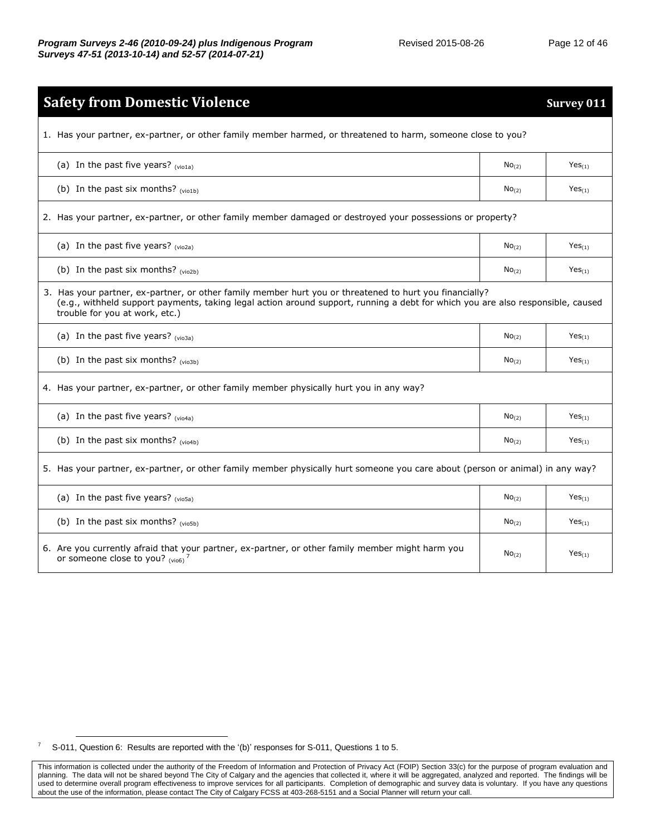| <b>Safety from Domestic Violence</b>                                                                                                                                                                                                                                         |                   | Survey 011         |  |  |  |
|------------------------------------------------------------------------------------------------------------------------------------------------------------------------------------------------------------------------------------------------------------------------------|-------------------|--------------------|--|--|--|
| 1. Has your partner, ex-partner, or other family member harmed, or threatened to harm, someone close to you?                                                                                                                                                                 |                   |                    |  |  |  |
| (a) In the past five years? $(vio1a)$                                                                                                                                                                                                                                        | No <sub>(2)</sub> | $Yes_{(1)}$        |  |  |  |
| (b) In the past six months? (vio1b)                                                                                                                                                                                                                                          | No <sub>(2)</sub> | $Yes_{(1)}$        |  |  |  |
| 2. Has your partner, ex-partner, or other family member damaged or destroyed your possessions or property?                                                                                                                                                                   |                   |                    |  |  |  |
| (a) In the past five years? $(vio2a)$                                                                                                                                                                                                                                        | No <sub>(2)</sub> | $Yes_{(1)}$        |  |  |  |
| (b) In the past six months? $(vio2b)$                                                                                                                                                                                                                                        | No <sub>(2)</sub> | $Yes_{(1)}$        |  |  |  |
| 3. Has your partner, ex-partner, or other family member hurt you or threatened to hurt you financially?<br>(e.g., withheld support payments, taking legal action around support, running a debt for which you are also responsible, caused<br>trouble for you at work, etc.) |                   |                    |  |  |  |
| (a) In the past five years? (vio3a)                                                                                                                                                                                                                                          | No <sub>(2)</sub> | $Yes_{(1)}$        |  |  |  |
| (b) In the past six months? (vio3b)                                                                                                                                                                                                                                          | No <sub>(2)</sub> | $Yes_{(1)}$        |  |  |  |
| 4. Has your partner, ex-partner, or other family member physically hurt you in any way?                                                                                                                                                                                      |                   |                    |  |  |  |
| (a) In the past five years? $(vio4a)$                                                                                                                                                                                                                                        | No <sub>(2)</sub> | $Yes_{(1)}$        |  |  |  |
| (b) In the past six months? $(vio4b)$                                                                                                                                                                                                                                        | No <sub>(2)</sub> | $Yes_{(1)}$        |  |  |  |
| 5. Has your partner, ex-partner, or other family member physically hurt someone you care about (person or animal) in any way?                                                                                                                                                |                   |                    |  |  |  |
| (a) In the past five years? (vio5a)                                                                                                                                                                                                                                          | No <sub>(2)</sub> | $Yes_{(1)}$        |  |  |  |
| (b) In the past six months? $(vio5b)$                                                                                                                                                                                                                                        | No <sub>(2)</sub> | $Yes_{(1)}$        |  |  |  |
| 6. Are you currently afraid that your partner, ex-partner, or other family member might harm you<br>or someone close to you? $(vio6)^7$                                                                                                                                      | No <sub>(2)</sub> | Yes <sub>(1)</sub> |  |  |  |

 $7$  S-011, Question 6: Results are reported with the '(b)' responses for S-011, Questions 1 to 5.

This information is collected under the authority of the Freedom of Information and Protection of Privacy Act (FOIP) Section 33(c) for the purpose of program evaluation and planning. The data will not be shared beyond The City of Calgary and the agencies that collected it, where it will be aggregated, analyzed and reported. The findings will be used to determine overall program effectiveness to improve services for all participants. Completion of demographic and survey data is voluntary. If you have any questions about the use of the information, please contact The City of Calgary FCSS at 403-268-5151 and a Social Planner will return your call.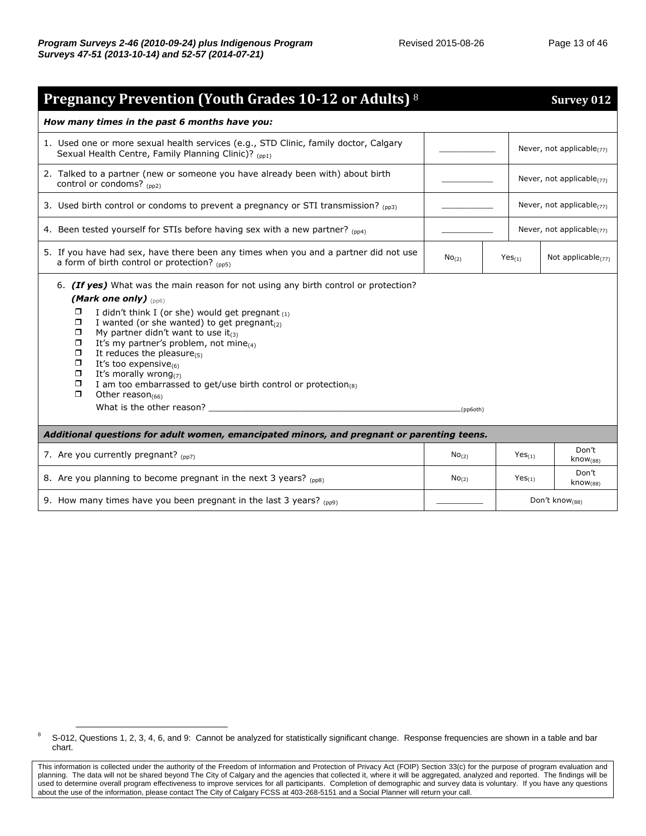| <b>Pregnancy Prevention (Youth Grades 10-12 or Adults)</b> 8                                                                                                                                                                                                                                                                                                                                                                                                                                                                                                                                                                 |                   |                                 |                                 | <b>Survey 012</b>               |
|------------------------------------------------------------------------------------------------------------------------------------------------------------------------------------------------------------------------------------------------------------------------------------------------------------------------------------------------------------------------------------------------------------------------------------------------------------------------------------------------------------------------------------------------------------------------------------------------------------------------------|-------------------|---------------------------------|---------------------------------|---------------------------------|
| How many times in the past 6 months have you:                                                                                                                                                                                                                                                                                                                                                                                                                                                                                                                                                                                |                   |                                 |                                 |                                 |
| 1. Used one or more sexual health services (e.g., STD Clinic, family doctor, Calgary<br>Sexual Health Centre, Family Planning Clinic)? (pp1)                                                                                                                                                                                                                                                                                                                                                                                                                                                                                 |                   |                                 |                                 | Never, not applicable $(77)$    |
| 2. Talked to a partner (new or someone you have already been with) about birth<br>control or condoms? (pp2)                                                                                                                                                                                                                                                                                                                                                                                                                                                                                                                  |                   | Never, not applicable $_{(77)}$ |                                 |                                 |
| 3. Used birth control or condoms to prevent a pregnancy or STI transmission? $_{(pp3)}$                                                                                                                                                                                                                                                                                                                                                                                                                                                                                                                                      |                   |                                 | Never, not applicable $_{(77)}$ |                                 |
| 4. Been tested yourself for STIs before having sex with a new partner? (pp4)                                                                                                                                                                                                                                                                                                                                                                                                                                                                                                                                                 |                   |                                 |                                 | Never, not applicable $_{(77)}$ |
| 5. If you have had sex, have there been any times when you and a partner did not use<br>a form of birth control or protection? $_{(pp5)}$                                                                                                                                                                                                                                                                                                                                                                                                                                                                                    | No <sub>(2)</sub> | Yes <sub>(1)</sub>              |                                 | Not applicable $(77)$           |
| 6. (If yes) What was the main reason for not using any birth control or protection?<br>(Mark one only) $_{(pp6)}$<br>ο<br>I didn't think I (or she) would get pregnant $(1)$<br>I wanted (or she wanted) to get pregnant $_{(2)}$<br>ο<br>My partner didn't want to use it $_{(3)}$<br>$\Box$<br>$\Box$<br>It's my partner's problem, not mine $_{(4)}$<br>$\Box$<br>It reduces the pleasure $_{(5)}$<br>ο<br>It's too expensive $_{(6)}$<br>$\Box$<br>It's morally wrong $(7)$<br>$\Box$<br>I am too embarrassed to get/use birth control or protection(8)<br>$\Box$<br>Other reason $(66)$<br>What is the other reason? __ | (pp6oth)          |                                 |                                 |                                 |
| Additional questions for adult women, emancipated minors, and pregnant or parenting teens.                                                                                                                                                                                                                                                                                                                                                                                                                                                                                                                                   |                   |                                 |                                 |                                 |
| 7. Are you currently pregnant? (pp7)                                                                                                                                                                                                                                                                                                                                                                                                                                                                                                                                                                                         | No <sub>(2)</sub> |                                 | $Yes_{(1)}$                     | Don't<br>know <sub>(88)</sub>   |
| 8. Are you planning to become pregnant in the next 3 years? (pp8)                                                                                                                                                                                                                                                                                                                                                                                                                                                                                                                                                            | No <sub>(2)</sub> |                                 | Yes <sub>(1)</sub>              | Don't<br>know <sub>(88)</sub>   |
| 9. How many times have you been pregnant in the last 3 years? $_{(pp9)}$                                                                                                                                                                                                                                                                                                                                                                                                                                                                                                                                                     |                   |                                 |                                 | Don't know <sub>(88)</sub>      |

<sup>&</sup>lt;sup>8</sup> S-012, Questions 1, 2, 3, 4, 6, and 9: Cannot be analyzed for statistically significant change. Response frequencies are shown in a table and bar chart.

This information is collected under the authority of the Freedom of Information and Protection of Privacy Act (FOIP) Section 33(c) for the purpose of program evaluation and planning. The data will not be shared beyond The City of Calgary and the agencies that collected it, where it will be aggregated, analyzed and reported. The findings will be used to determine overall program effectiveness to improve services for all participants. Completion of demographic and survey data is voluntary. If you have any questions about the use of the information, please contact The City of Calgary FCSS at 403-268-5151 and a Social Planner will return your call.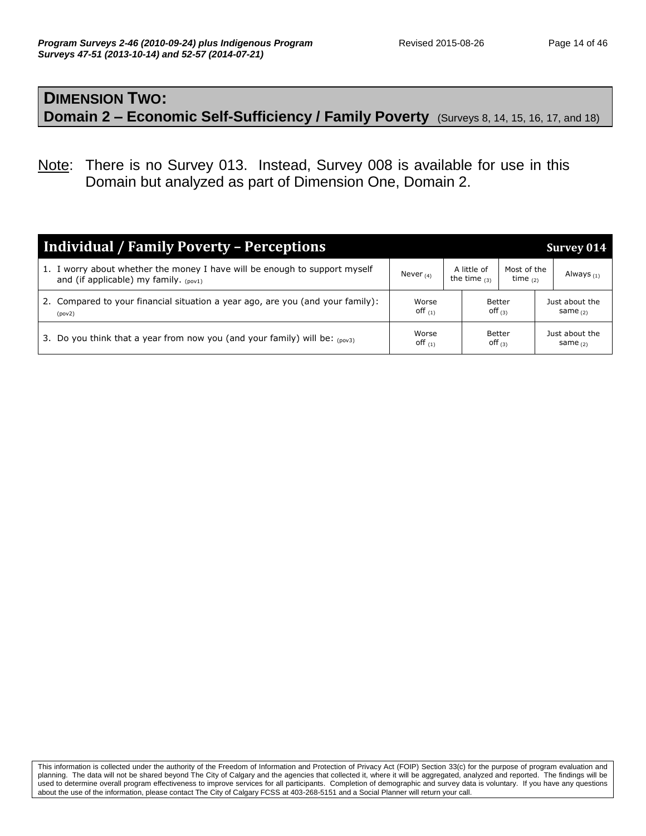#### **DIMENSION TWO: Domain 2 – Economic Self-Sufficiency / Family Poverty** (Surveys 8, 14, 15, 16, 17, and 18)

Note: There is no Survey 013. Instead, Survey 008 is available for use in this Domain but analyzed as part of Dimension One, Domain 2.

| <b>Individual / Family Poverty - Perceptions</b>                                                                         |                    |  |                               |                           | Survey 014                   |  |  |                     |                              |
|--------------------------------------------------------------------------------------------------------------------------|--------------------|--|-------------------------------|---------------------------|------------------------------|--|--|---------------------|------------------------------|
| 1. I worry about whether the money I have will be enough to support myself<br>and (if applicable) my family. $_{(poy1)}$ | Never $(4)$        |  | A little of<br>the time $(3)$ | Most of the<br>time $(2)$ | Always <sub>(1)</sub>        |  |  |                     |                              |
| 2. Compared to your financial situation a year ago, are you (and your family):<br>(pov2)                                 | Worse<br>off $(1)$ |  |                               | Better<br>Off $(3)$       | Just about the<br>same $(2)$ |  |  |                     |                              |
| Do you think that a year from now you (and your family) will be: $_{(p0v3)}$<br>3.                                       | Worse<br>off $(1)$ |  |                               |                           |                              |  |  | Better<br>off $(3)$ | Just about the<br>same $(2)$ |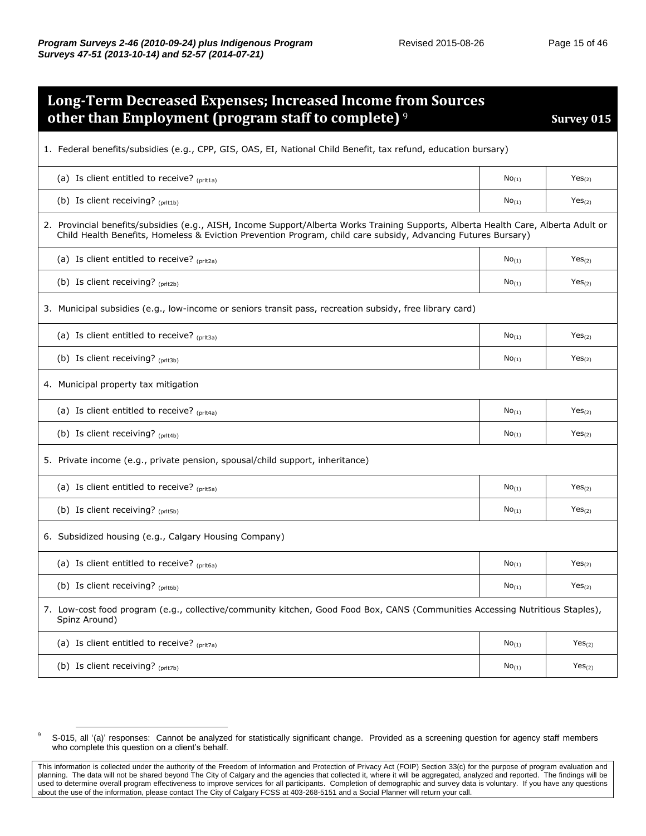| <b>Long-Term Decreased Expenses; Increased Income from Sources</b>                                                                                                                                                                                   |                     |                    |  |  |  |
|------------------------------------------------------------------------------------------------------------------------------------------------------------------------------------------------------------------------------------------------------|---------------------|--------------------|--|--|--|
| other than Employment (program staff to complete) <sup>9</sup>                                                                                                                                                                                       |                     | Survey 015         |  |  |  |
| 1. Federal benefits/subsidies (e.g., CPP, GIS, OAS, EI, National Child Benefit, tax refund, education bursary)                                                                                                                                       |                     |                    |  |  |  |
| (a) Is client entitled to receive? $_{(prlta)}$                                                                                                                                                                                                      | $No_{(1)}$          | Yes <sub>(2)</sub> |  |  |  |
| (b) Is client receiving? $(prit1b)$                                                                                                                                                                                                                  | No <sub>(1)</sub>   | Yes <sub>(2)</sub> |  |  |  |
| 2. Provincial benefits/subsidies (e.g., AISH, Income Support/Alberta Works Training Supports, Alberta Health Care, Alberta Adult or<br>Child Health Benefits, Homeless & Eviction Prevention Program, child care subsidy, Advancing Futures Bursary) |                     |                    |  |  |  |
| (a) Is client entitled to receive? $_{(pritza)}$                                                                                                                                                                                                     | NO(1)               | Yes <sub>(2)</sub> |  |  |  |
| (b) Is client receiving? $(prit2b)$                                                                                                                                                                                                                  | $No_{(1)}$          | Yes <sub>(2)</sub> |  |  |  |
| 3. Municipal subsidies (e.g., low-income or seniors transit pass, recreation subsidy, free library card)                                                                                                                                             |                     |                    |  |  |  |
| (a) Is client entitled to receive? (prit3a)                                                                                                                                                                                                          | $No_{(1)}$          | Yes <sub>(2)</sub> |  |  |  |
| (b) Is client receiving? (prit3b)                                                                                                                                                                                                                    | $No_{(1)}$          | Yes <sub>(2)</sub> |  |  |  |
| 4. Municipal property tax mitigation                                                                                                                                                                                                                 |                     |                    |  |  |  |
| (a) Is client entitled to receive? $(prit4a)$                                                                                                                                                                                                        | $No_{(1)}$          | Yes <sub>(2)</sub> |  |  |  |
| (b) Is client receiving? (prit4b)                                                                                                                                                                                                                    | $No_{(1)}$          | Yes <sub>(2)</sub> |  |  |  |
| 5. Private income (e.g., private pension, spousal/child support, inheritance)                                                                                                                                                                        |                     |                    |  |  |  |
| (a) Is client entitled to receive? (prit5a)                                                                                                                                                                                                          | $No_{(1)}$          | Yes <sub>(2)</sub> |  |  |  |
| (b) Is client receiving? (prit5b)                                                                                                                                                                                                                    | $No_{(1)}$          | Yes <sub>(2)</sub> |  |  |  |
| 6. Subsidized housing (e.g., Calgary Housing Company)                                                                                                                                                                                                |                     |                    |  |  |  |
| (a) Is client entitled to receive? (prit6a)                                                                                                                                                                                                          | $\mathsf{No}_{(1)}$ | Yes <sub>(2)</sub> |  |  |  |
| (b) Is client receiving? (prit6b)                                                                                                                                                                                                                    | $No_{(1)}$          | Yes <sub>(2)</sub> |  |  |  |
| 7. Low-cost food program (e.g., collective/community kitchen, Good Food Box, CANS (Communities Accessing Nutritious Staples),<br>Spinz Around)                                                                                                       |                     |                    |  |  |  |
| (a) Is client entitled to receive? (prit7a)                                                                                                                                                                                                          | No <sub>(1)</sub>   | Yes <sub>(2)</sub> |  |  |  |
| (b) Is client receiving? (prit7b)                                                                                                                                                                                                                    | $No_{(1)}$          | Yes <sub>(2)</sub> |  |  |  |

 $\overline{a}$ <sup>9</sup> S-015, all '(a)' responses: Cannot be analyzed for statistically significant change. Provided as a screening question for agency staff members who complete this question on a client's behalf.

This information is collected under the authority of the Freedom of Information and Protection of Privacy Act (FOIP) Section 33(c) for the purpose of program evaluation and planning. The data will not be shared beyond The City of Calgary and the agencies that collected it, where it will be aggregated, analyzed and reported. The findings will be used to determine overall program effectiveness to improve services for all participants. Completion of demographic and survey data is voluntary. If you have any questions about the use of the information, please contact The City of Calgary FCSS at 403-268-5151 and a Social Planner will return your call.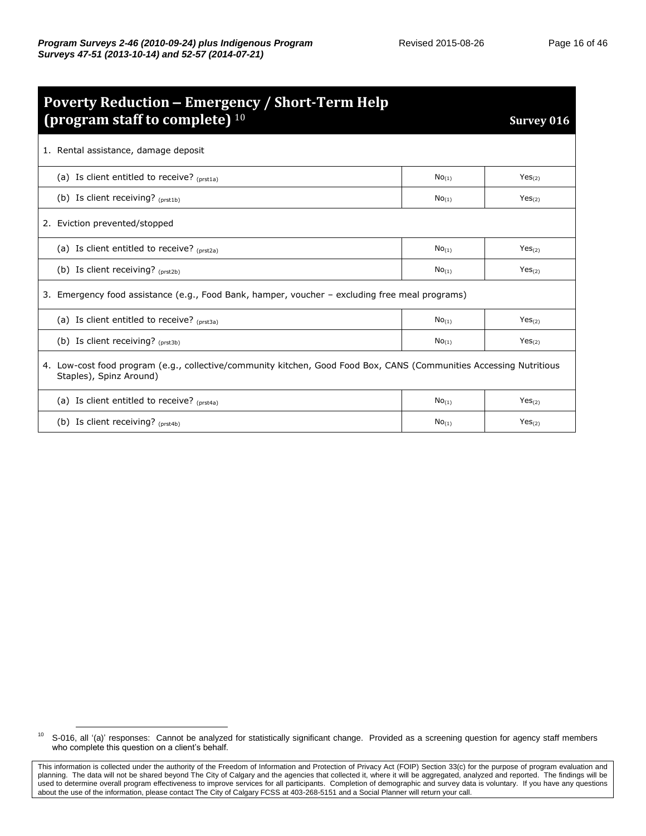| <b>Poverty Reduction – Emergency / Short-Term Help</b>                                                                                         |                     |                    |  |  |  |  |
|------------------------------------------------------------------------------------------------------------------------------------------------|---------------------|--------------------|--|--|--|--|
| (program staff to complete) $10$                                                                                                               |                     | Survey 016         |  |  |  |  |
| 1. Rental assistance, damage deposit                                                                                                           |                     |                    |  |  |  |  |
| (a) Is client entitled to receive? $(nrst1a)$                                                                                                  | $No_{(1)}$          | Yes <sub>(2)</sub> |  |  |  |  |
| (b) Is client receiving? $_{(prst1b)}$                                                                                                         | No <sub>(1)</sub>   | Yes <sub>(2)</sub> |  |  |  |  |
| 2. Eviction prevented/stopped                                                                                                                  |                     |                    |  |  |  |  |
| (a) Is client entitled to receive? $_{(prst2a)}$                                                                                               | $No_{(1)}$          | Yes <sub>(2)</sub> |  |  |  |  |
| (b) Is client receiving? (prst2b)                                                                                                              | $No$ <sub>(1)</sub> | Yes <sub>(2)</sub> |  |  |  |  |
| 3. Emergency food assistance (e.g., Food Bank, hamper, voucher – excluding free meal programs)                                                 |                     |                    |  |  |  |  |
| (a) Is client entitled to receive? $(nrst3a)$                                                                                                  | $No_{(1)}$          | Yes <sub>(2)</sub> |  |  |  |  |
| (b) Is client receiving? $_{(prst3b)}$                                                                                                         | $No$ <sub>(1)</sub> | Yes <sub>(2)</sub> |  |  |  |  |
| 4. Low-cost food program (e.g., collective/community kitchen, Good Food Box, CANS (Communities Accessing Nutritious<br>Staples), Spinz Around) |                     |                    |  |  |  |  |
| (a) Is client entitled to receive? $_{(prst4a)}$                                                                                               | $No_{(1)}$          | Yes <sub>(2)</sub> |  |  |  |  |
| (b) Is client receiving? $(prst4b)$                                                                                                            | $No_{(1)}$          | Yes <sub>(2)</sub> |  |  |  |  |

<sup>&</sup>lt;sup>10</sup> S-016, all '(a)' responses: Cannot be analyzed for statistically significant change. Provided as a screening question for agency staff members who complete this question on a client's behalf.

This information is collected under the authority of the Freedom of Information and Protection of Privacy Act (FOIP) Section 33(c) for the purpose of program evaluation and planning. The data will not be shared beyond The City of Calgary and the agencies that collected it, where it will be aggregated, analyzed and reported. The findings will be used to determine overall program effectiveness to improve services for all participants. Completion of demographic and survey data is voluntary. If you have any questions about the use of the information, please contact The City of Calgary FCSS at 403-268-5151 and a Social Planner will return your call.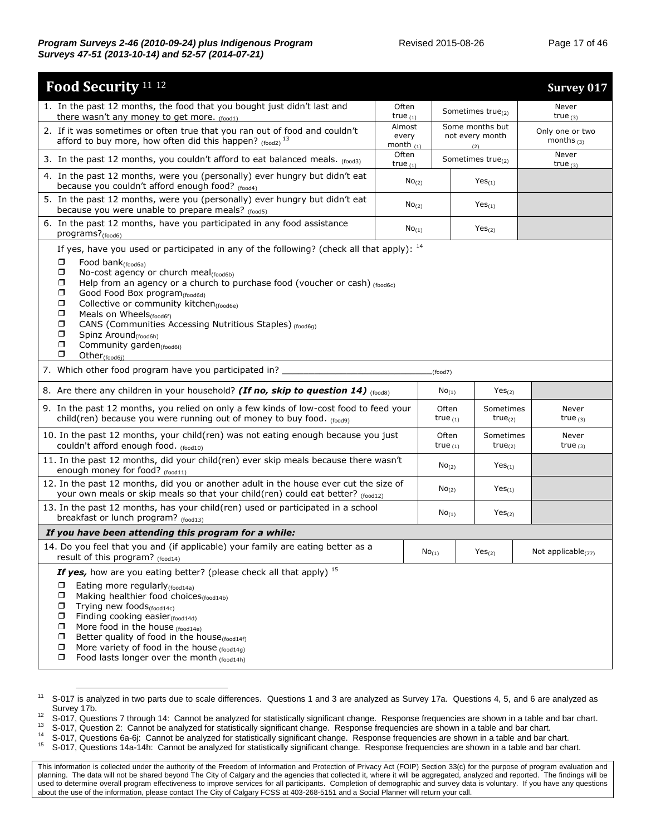| Food Security <sup>11 12</sup>                                                                                                                                                                                                                                                                                                                                                                                                                                                                                                                                                                                      |                                   |                     |                                           |                                  | <b>Survey 017</b>      |  |                                 |
|---------------------------------------------------------------------------------------------------------------------------------------------------------------------------------------------------------------------------------------------------------------------------------------------------------------------------------------------------------------------------------------------------------------------------------------------------------------------------------------------------------------------------------------------------------------------------------------------------------------------|-----------------------------------|---------------------|-------------------------------------------|----------------------------------|------------------------|--|---------------------------------|
| 1. In the past 12 months, the food that you bought just didn't last and<br>there wasn't any money to get more. (food1)                                                                                                                                                                                                                                                                                                                                                                                                                                                                                              | Often<br>true $(1)$               |                     | Sometimes true <sub>(2)</sub>             |                                  | Never<br>true $(3)$    |  |                                 |
| 2. If it was sometimes or often true that you ran out of food and couldn't<br>afford to buy more, how often did this happen? $_{(food2)}$ <sup>13</sup>                                                                                                                                                                                                                                                                                                                                                                                                                                                             | Almost<br>every<br>month $_{(1)}$ |                     | Some months but<br>not every month<br>(2) |                                  |                        |  | Only one or two<br>months $(3)$ |
| 3. In the past 12 months, you couldn't afford to eat balanced meals. (food3)                                                                                                                                                                                                                                                                                                                                                                                                                                                                                                                                        | Often<br>true $(1)$               |                     | Sometimes true $_{(2)}$                   |                                  | Never<br>true $(3)$    |  |                                 |
| 4. In the past 12 months, were you (personally) ever hungry but didn't eat<br>because you couldn't afford enough food? (food4)                                                                                                                                                                                                                                                                                                                                                                                                                                                                                      | No <sub>(2)</sub>                 |                     | Yes <sub>(1)</sub>                        |                                  |                        |  |                                 |
| 5. In the past 12 months, were you (personally) ever hungry but didn't eat<br>because you were unable to prepare meals? (food5)                                                                                                                                                                                                                                                                                                                                                                                                                                                                                     | No <sub>(2)</sub>                 |                     | $Yes_{(1)}$                               |                                  |                        |  |                                 |
| 6. In the past 12 months, have you participated in any food assistance<br>programs? <sub>(food6)</sub>                                                                                                                                                                                                                                                                                                                                                                                                                                                                                                              | $No_{(1)}$                        |                     | Yes <sub>(2)</sub>                        |                                  |                        |  |                                 |
| If yes, have you used or participated in any of the following? (check all that apply): 14<br>σ<br>Food bank <sub>(food6a)</sub><br>$\Box$<br>No-cost agency or church meal <sub>(food6b)</sub><br>σ<br>Help from an agency or a church to purchase food (voucher or cash) (food6c)<br>□<br>Good Food Box program(food6d)<br>σ<br>Collective or community kitchen <sub>(food6e)</sub><br>σ<br>Meals on Wheels <sub>(food6f)</sub><br>CANS (Communities Accessing Nutritious Staples) (food6q)<br>σ<br>σ<br>Spinz Around <sub>(food6h)</sub><br>σ<br>Community garden <sub>(food6i)</sub><br>σ<br>Other $_{(food6i)}$ |                                   |                     |                                           |                                  |                        |  |                                 |
| 7. Which other food program have you participated in? __                                                                                                                                                                                                                                                                                                                                                                                                                                                                                                                                                            |                                   | (food7)             |                                           |                                  |                        |  |                                 |
| 8. Are there any children in your household? (If no, skip to question 14) (foods)                                                                                                                                                                                                                                                                                                                                                                                                                                                                                                                                   |                                   | $No_{(1)}$          |                                           | Yes <sub>(2)</sub>               |                        |  |                                 |
| 9. In the past 12 months, you relied on only a few kinds of low-cost food to feed your<br>child(ren) because you were running out of money to buy food. (food9)                                                                                                                                                                                                                                                                                                                                                                                                                                                     |                                   | Often<br>true $(1)$ |                                           | Sometimes<br>true <sub>(2)</sub> | Never<br>true $_{(3)}$ |  |                                 |
| 10. In the past 12 months, your child(ren) was not eating enough because you just<br>couldn't afford enough food. (food10)                                                                                                                                                                                                                                                                                                                                                                                                                                                                                          |                                   | Often<br>true $(1)$ |                                           | Sometimes<br>$true_{(2)}$        | Never<br>true $(3)$    |  |                                 |
| 11. In the past 12 months, did your child(ren) ever skip meals because there wasn't<br>enough money for food? (food11)                                                                                                                                                                                                                                                                                                                                                                                                                                                                                              |                                   | $No_{(2)}$          |                                           | $Yes_{(1)}$                      |                        |  |                                 |
| 12. In the past 12 months, did you or another adult in the house ever cut the size of<br>your own meals or skip meals so that your child(ren) could eat better? (food12)                                                                                                                                                                                                                                                                                                                                                                                                                                            |                                   | No <sub>(2)</sub>   |                                           | $Yes_{(1)}$                      |                        |  |                                 |
| 13. In the past 12 months, has your child(ren) used or participated in a school<br>breakfast or lunch program? (food13)                                                                                                                                                                                                                                                                                                                                                                                                                                                                                             |                                   | $No_{(1)}$          |                                           | Yes <sub>(2)</sub>               |                        |  |                                 |
| If you have been attending this program for a while:                                                                                                                                                                                                                                                                                                                                                                                                                                                                                                                                                                |                                   |                     |                                           |                                  |                        |  |                                 |
| 14. Do you feel that you and (if applicable) your family are eating better as a<br>result of this program? (food14)                                                                                                                                                                                                                                                                                                                                                                                                                                                                                                 |                                   | No <sub>(1)</sub>   | Yes <sub>(2)</sub>                        |                                  | Not applicable $(77)$  |  |                                 |
| If yes, how are you eating better? (please check all that apply) <sup>15</sup><br>Eating more regularly (food14a)<br>□<br>σ<br>Making healthier food choices (food14b)<br>◻<br>Trying new foods(food14c)<br>Finding cooking easier <sub>(food14d)</sub><br>□<br>More food in the house (food14e)<br>□<br>Better quality of food in the house(food14f)<br>◻<br>More variety of food in the house (food14g)<br>σ<br>Food lasts longer over the month (food14h)<br>□                                                                                                                                                   |                                   |                     |                                           |                                  |                        |  |                                 |

<sup>&</sup>lt;sup>11</sup> S-017 is analyzed in two parts due to scale differences. Questions 1 and 3 are analyzed as Survey 17a. Questions 4, 5, and 6 are analyzed as Survey 17b.

<sup>12</sup> S-017, Questions 7 through 14: Cannot be analyzed for statistically significant change. Response frequencies are shown in a table and bar chart.

<sup>&</sup>lt;sup>13</sup> S-017, Question 2: Cannot be analyzed for statistically significant change. Response frequencies are shown in a table and bar chart.

<sup>&</sup>lt;sup>14</sup> S-017, Questions 6a-6j: Cannot be analyzed for statistically significant change. Response frequencies are shown in a table and bar chart.<br><sup>15</sup> S-017, Questions 14e 14b: Cannot be analyzed for statistically significan

<sup>15</sup> S-017, Questions 14a-14h: Cannot be analyzed for statistically significant change. Response frequencies are shown in a table and bar chart.

This information is collected under the authority of the Freedom of Information and Protection of Privacy Act (FOIP) Section 33(c) for the purpose of program evaluation and planning. The data will not be shared beyond The City of Calgary and the agencies that collected it, where it will be aggregated, analyzed and reported. The findings will be used to determine overall program effectiveness to improve services for all participants. Completion of demographic and survey data is voluntary. If you have any questions about the use of the information, please contact The City of Calgary FCSS at 403-268-5151 and a Social Planner will return your call.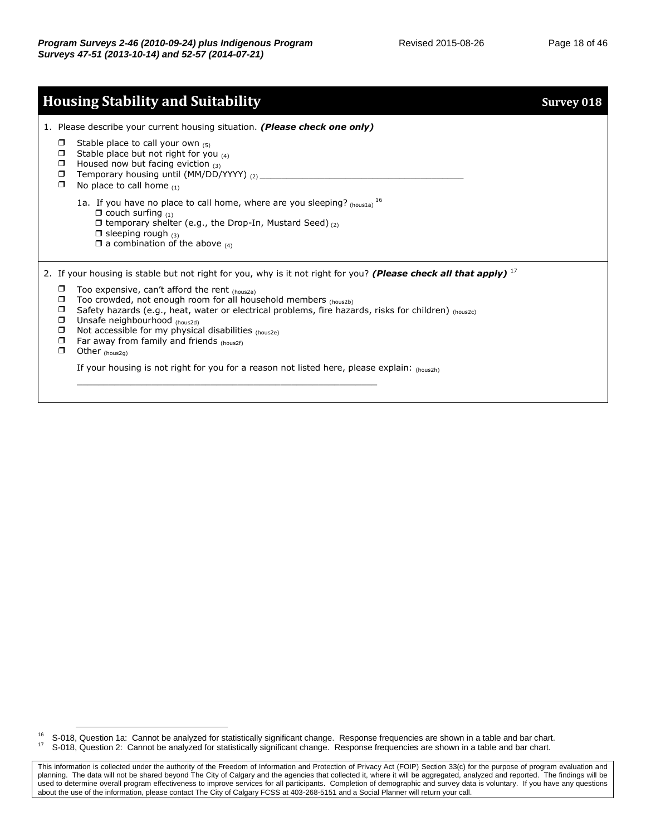|                                                     | <b>Housing Stability and Suitability</b>                                                                                                                                                                                                                                                                                                                                                        | <b>Survey 018</b> |
|-----------------------------------------------------|-------------------------------------------------------------------------------------------------------------------------------------------------------------------------------------------------------------------------------------------------------------------------------------------------------------------------------------------------------------------------------------------------|-------------------|
|                                                     | 1. Please describe your current housing situation. (Please check one only)                                                                                                                                                                                                                                                                                                                      |                   |
| $\Box$<br>П<br>◘<br>$\Box$<br>$\Box$                | Stable place to call your own $(5)$<br>Stable place but not right for you $_{(4)}$<br>Housed now but facing eviction $(3)$<br>Temporary housing until (MM/DD/YYYY) (2) _____<br>No place to call home $(1)$                                                                                                                                                                                     |                   |
|                                                     | 1a. If you have no place to call home, where are you sleeping? $_{(housta)}$ 16<br>$\Box$ couch surfing $(1)$<br>$\Box$ temporary shelter (e.g., the Drop-In, Mustard Seed) $(2)$<br>$\Box$ sleeping rough $_{(3)}$<br>$\Box$ a combination of the above $(4)$                                                                                                                                  |                   |
|                                                     | 2. If your housing is stable but not right for you, why is it not right for you? (Please check all that apply) $1/2$                                                                                                                                                                                                                                                                            |                   |
| ◘<br>□<br>◘<br>$\Box$<br>$\Box$<br>$\Box$<br>$\Box$ | Too expensive, can't afford the rent $_{(hous2a)}$<br>Too crowded, not enough room for all household members (hous2b)<br>Safety hazards (e.g., heat, water or electrical problems, fire hazards, risks for children) $_{(hous2c)}$<br>Unsafe neighbourhood (hous2d)<br>Not accessible for my physical disabilities (hous2e)<br>Far away from family and friends (hous2f)<br>Other $_{(hous2g)}$ |                   |
|                                                     | If your housing is not right for you for a reason not listed here, please explain: (hous2h)                                                                                                                                                                                                                                                                                                     |                   |

<sup>&</sup>lt;sup>16</sup> S-018, Question 1a: Cannot be analyzed for statistically significant change. Response frequencies are shown in a table and bar chart.<br><sup>17</sup> S-018, Question 2: Cannot be analyzed for statistically significant change. R <sup>17</sup> S-018, Question 2: Cannot be analyzed for statistically significant change. Response frequencies are shown in a table and bar chart.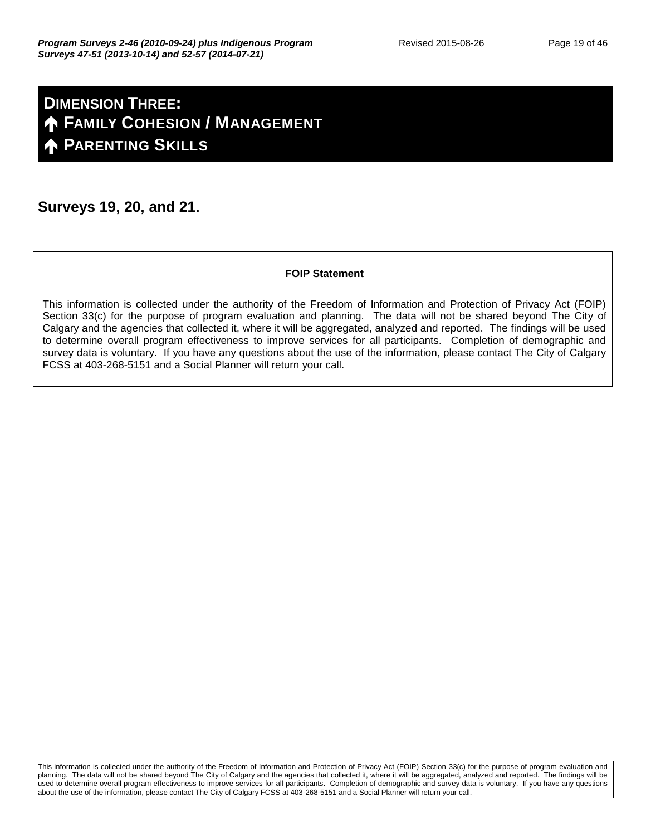## **DIMENSION THREE: FAMILY COHESION / MANAGEMENT PARENTING SKILLS**

#### **Surveys 19, 20, and 21.**

#### **FOIP Statement**

This information is collected under the authority of the Freedom of Information and Protection of Privacy Act (FOIP) Section 33(c) for the purpose of program evaluation and planning. The data will not be shared beyond The City of Calgary and the agencies that collected it, where it will be aggregated, analyzed and reported. The findings will be used to determine overall program effectiveness to improve services for all participants. Completion of demographic and survey data is voluntary. If you have any questions about the use of the information, please contact The City of Calgary FCSS at 403-268-5151 and a Social Planner will return your call.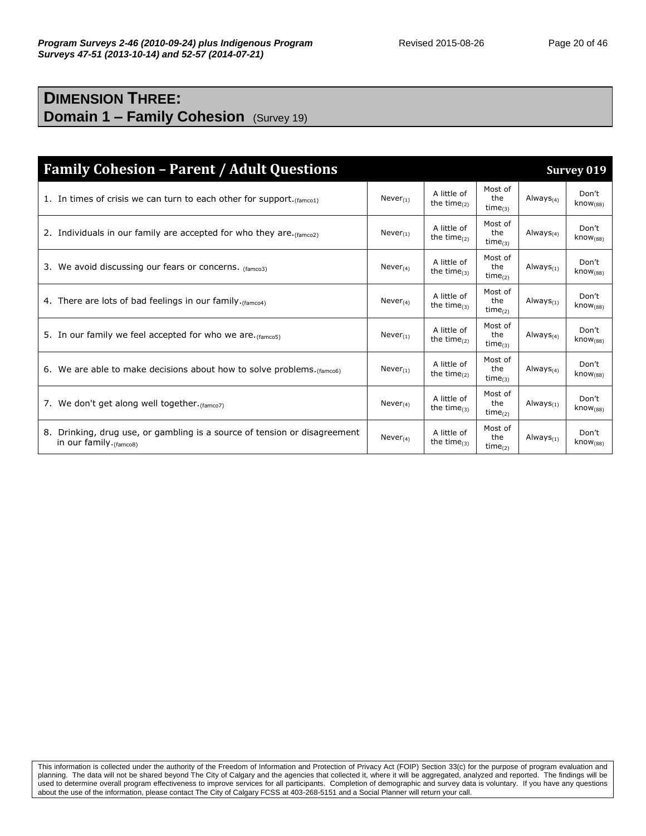### **DIMENSION THREE: Domain 1 – Family Cohesion** (Survey 19)

| <b>Family Cohesion - Parent / Adult Questions</b>                                                    |                |                                  |                                 |                 | Survey 019                    |
|------------------------------------------------------------------------------------------------------|----------------|----------------------------------|---------------------------------|-----------------|-------------------------------|
| 1. In times of crisis we can turn to each other for support. $(fame01)$                              | Never $_{(1)}$ | A little of<br>the time $(2)$    | Most of<br>the<br>$time_{(3)}$  | Always $(4)$    | Don't<br>know <sub>(88)</sub> |
| 2. Individuals in our family are accepted for who they are. $(f_{\text{amco2}})$                     | $Never_{(1)}$  | A little of<br>the time $(2)$    | Most of<br>the<br>time $_{(3)}$ | Always $_{(4)}$ | Don't<br>know <sub>(88)</sub> |
| 3. We avoid discussing our fears or concerns. (famco3)                                               | $Never_{(4)}$  | A little of<br>the time $_{(3)}$ | Most of<br>the<br>time $_{(2)}$ | Always $_{(1)}$ | Don't<br>know <sub>(88)</sub> |
| 4. There are lots of bad feelings in our family. (famco4)                                            | Never $(4)$    | A little of<br>the time $_{(3)}$ | Most of<br>the<br>$time_{(2)}$  | Always $_{(1)}$ | Don't<br>know <sub>(88)</sub> |
| 5. In our family we feel accepted for who we are. (famco5)                                           | $Never_{(1)}$  | A little of<br>the time $_{(2)}$ | Most of<br>the<br>time $_{(3)}$ | Always $(4)$    | Don't<br>$\text{know}_{(88)}$ |
| 6. We are able to make decisions about how to solve problems. $(f_{\text{amco6}})$                   | $Never_{(1)}$  | A little of<br>the time $(2)$    | Most of<br>the<br>time $_{(3)}$ | Always $_{(4)}$ | Don't<br>know <sub>(88)</sub> |
| 7. We don't get along well together. (famco7)                                                        | Never $_{(4)}$ | A little of<br>the time $(3)$    | Most of<br>the<br>$time_{(2)}$  | Always $_{(1)}$ | Don't<br>$k$ now $(88)$       |
| 8. Drinking, drug use, or gambling is a source of tension or disagreement<br>in our family. (famco8) | $Never_{(4)}$  | A little of<br>the time $(3)$    | Most of<br>the<br>$time_{(2)}$  | Always $_{(1)}$ | Don't<br>$k$ now $(88)$       |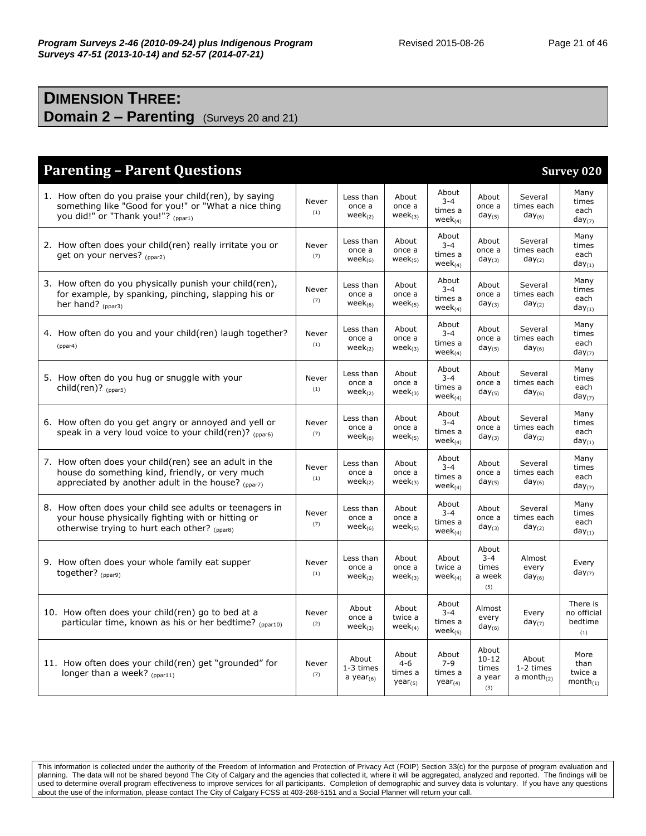### **DIMENSION THREE: Domain 2 – Parenting** (Surveys 20 and 21)

| <b>Parenting - Parent Questions</b><br><b>Survey 020</b>                                                                                                       |              |                                       |                                             |                                              |                                              |                                      |                                           |  |
|----------------------------------------------------------------------------------------------------------------------------------------------------------------|--------------|---------------------------------------|---------------------------------------------|----------------------------------------------|----------------------------------------------|--------------------------------------|-------------------------------------------|--|
| 1. How often do you praise your child(ren), by saying<br>something like "Good for you!" or "What a nice thing<br>you did!" or "Thank you!"? (ppar1)            | Never<br>(1) | Less than<br>once a<br>$week_{(2)}$   | About<br>once a<br>$week_{(3)}$             | About<br>$3 - 4$<br>times a<br>week $_{(4)}$ | About<br>once a<br>$day_{(5)}$               | Several<br>times each<br>$day_{(6)}$ | Many<br>times<br>each<br>$day_{(7)}$      |  |
| 2. How often does your child(ren) really irritate you or<br>get on your nerves? (ppar2)                                                                        | Never<br>(7) | Less than<br>once a<br>week $(6)$     | About<br>once a<br>$week_{(5)}$             | About<br>$3 - 4$<br>times a<br>$week_{(4)}$  | About<br>once a<br>$day_{(3)}$               | Several<br>times each<br>$day_{(2)}$ | Many<br>times<br>each<br>$day_{(1)}$      |  |
| 3. How often do you physically punish your child(ren),<br>for example, by spanking, pinching, slapping his or<br>her hand? $(p_{par3})$                        | Never<br>(7) | Less than<br>once a<br>week $_{(6)}$  | About<br>once a<br>$week_{(5)}$             | About<br>$3 - 4$<br>times a<br>$week_{(4)}$  | About<br>once a<br>$day_{(3)}$               | Several<br>times each<br>$day_{(2)}$ | Many<br>times<br>each<br>$day_{(1)}$      |  |
| 4. How often do you and your child(ren) laugh together?<br>(ppar4)                                                                                             | Never<br>(1) | Less than<br>once a<br>week $_{(2)}$  | About<br>once a<br>$week_{(3)}$             | About<br>$3 - 4$<br>times a<br>$week_{(4)}$  | About<br>once a<br>$day_{(5)}$               | Several<br>times each<br>$day_{(6)}$ | Many<br>times<br>each<br>$day_{(7)}$      |  |
| 5. How often do you hug or snuggle with your<br>child(ren)? <sub>(ppar5)</sub>                                                                                 | Never<br>(1) | Less than<br>once a<br>$week_{(2)}$   | About<br>once a<br>$week_{(3)}$             | About<br>$3 - 4$<br>times a<br>$week_{(4)}$  | About<br>once a<br>$day_{(5)}$               | Several<br>times each<br>$day_{(6)}$ | Many<br>times<br>each<br>$day_{(7)}$      |  |
| 6. How often do you get angry or annoyed and yell or<br>speak in a very loud voice to your child(ren)? $_{(ppar6)}$                                            | Never<br>(7) | Less than<br>once a<br>$week_{(6)}$   | About<br>once a<br>$week_{(5)}$             | About<br>$3 - 4$<br>times a<br>$week_{(4)}$  | About<br>once a<br>$day_{(3)}$               | Several<br>times each<br>$day_{(2)}$ | Many<br>times<br>each<br>$day_{(1)}$      |  |
| 7. How often does your child(ren) see an adult in the<br>house do something kind, friendly, or very much<br>appreciated by another adult in the house? (ppar7) | Never<br>(1) | Less than<br>once a<br>$week_{(2)}$   | About<br>once a<br>$week_{(3)}$             | About<br>$3 - 4$<br>times a<br>$week_{(4)}$  | About<br>once a<br>$day_{(5)}$               | Several<br>times each<br>$day_{(6)}$ | Many<br>times<br>each<br>$day_{(7)}$      |  |
| 8. How often does your child see adults or teenagers in<br>your house physically fighting with or hitting or<br>otherwise trying to hurt each other? (ppar8)   | Never<br>(7) | Less than<br>once a<br>week $_{(6)}$  | About<br>once a<br>$week_{(5)}$             | About<br>$3 - 4$<br>times a<br>$week_{(4)}$  | About<br>once a<br>$day_{(3)}$               | Several<br>times each<br>$day_{(2)}$ | Many<br>times<br>each<br>$day_{(1)}$      |  |
| 9. How often does your whole family eat supper<br>together? (ppar9)                                                                                            | Never<br>(1) | Less than<br>once a<br>$week_{(2)}$   | About<br>once a<br>$week_{(3)}$             | About<br>twice a<br>$week_{(4)}$             | About<br>$3 - 4$<br>times<br>a week<br>(5)   | Almost<br>every<br>$day_{(6)}$       | Every<br>$day_{(7)}$                      |  |
| 10. How often does your child(ren) go to bed at a<br>particular time, known as his or her bedtime? (ppar10)                                                    | Never<br>(2) | About<br>once a<br>$week_{(3)}$       | About<br>twice a<br>$week_{(4)}$            | About<br>$3 - 4$<br>times a<br>$week_{(5)}$  | Almost<br>every<br>$day_{(6)}$               | Every<br>$day_{(7)}$                 | There is<br>no official<br>bedtime<br>(1) |  |
| 11. How often does your child(ren) get "grounded" for<br>longer than a week? (ppar11)                                                                          | Never<br>(7) | About<br>1-3 times<br>a year $_{(6)}$ | About<br>$4 - 6$<br>times a<br>$year_{(5)}$ | About<br>$7 - 9$<br>times a<br>$year_{(4)}$  | About<br>$10 - 12$<br>times<br>a year<br>(3) | About<br>1-2 times<br>a month $(2)$  | More<br>than<br>twice a<br>$month_{(1)}$  |  |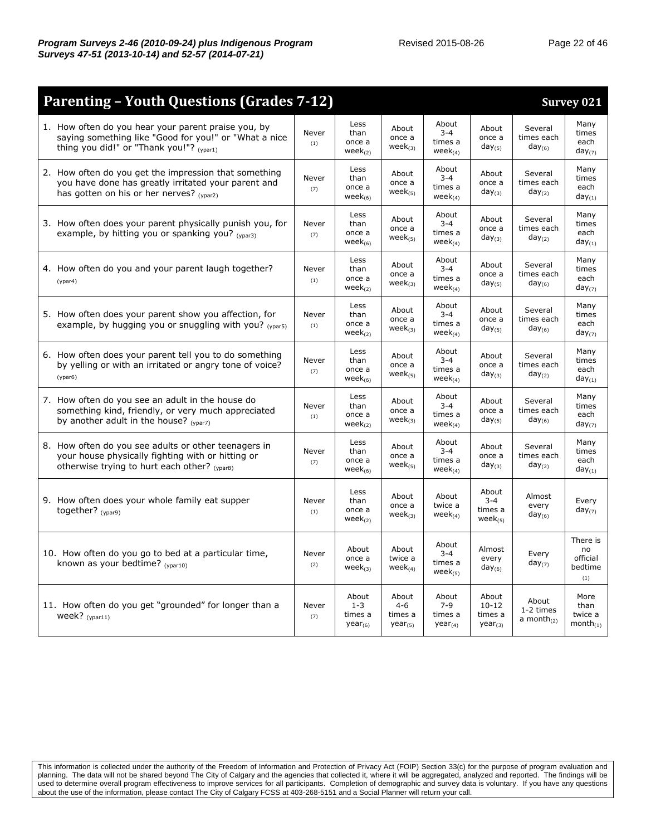| Page 22 of 4 |  |  |
|--------------|--|--|
|--------------|--|--|

| <b>Parenting - Youth Questions (Grades 7-12)</b>                                                                                                          |              |                                                    |                                             |                                              |                                               |                                        | <b>Survey 021</b>                            |
|-----------------------------------------------------------------------------------------------------------------------------------------------------------|--------------|----------------------------------------------------|---------------------------------------------|----------------------------------------------|-----------------------------------------------|----------------------------------------|----------------------------------------------|
| 1. How often do you hear your parent praise you, by<br>saying something like "Good for you!" or "What a nice<br>thing you did!" or "Thank you!"? (ypar1)  | Never<br>(1) | Less<br>than<br>once a<br>$week_{(2)}$             | About<br>once a<br>$week_{(3)}$             | About<br>$3 - 4$<br>times a<br>$week_{(4)}$  | About<br>once a<br>$day_{(5)}$                | Several<br>times each<br>$day_{(6)}$   | Many<br>times<br>each<br>$day_{(7)}$         |
| 2. How often do you get the impression that something<br>you have done has greatly irritated your parent and<br>has gotten on his or her nerves? (ypar2)  | Never<br>(7) | Less<br>than<br>once a<br>$week_{(6)}$             | About<br>once a<br>$week_{(5)}$             | About<br>$3 - 4$<br>times a<br>$week_{(4)}$  | About<br>once a<br>$day_{(3)}$                | Several<br>times each<br>$day_{(2)}$   | Many<br>times<br>each<br>$day_{(1)}$         |
| 3. How often does your parent physically punish you, for<br>example, by hitting you or spanking you? (ypar3)                                              | Never<br>(7) | Less<br>than<br>once a<br>$week_{(6)}$             | About<br>once a<br>$week_{(5)}$             | About<br>$3 - 4$<br>times a<br>$week_{(4)}$  | About<br>once a<br>$day_{(3)}$                | Several<br>times each<br>$day_{(2)}$   | Many<br>times<br>each<br>$day_{(1)}$         |
| 4. How often do you and your parent laugh together?<br>(ypar4)                                                                                            | Never<br>(1) | Less<br>than<br>once a<br>$week_{(2)}$             | About<br>once a<br>$week_{(3)}$             | About<br>$3 - 4$<br>times a<br>$week_{(4)}$  | About<br>once a<br>$day_{(5)}$                | Several<br>times each<br>$day_{(6)}$   | Many<br>times<br>each<br>$day_{(7)}$         |
| 5. How often does your parent show you affection, for<br>example, by hugging you or snuggling with you? $_{(var5)}$                                       | Never<br>(1) | Less<br>than<br>once a<br>$week_{(2)}$             | About<br>once a<br>$week_{(3)}$             | About<br>$3 - 4$<br>times a<br>week $_{(4)}$ | About<br>once a<br>$day_{(5)}$                | Several<br>times each<br>$day_{(6)}$   | Many<br>times<br>each<br>$day_{(7)}$         |
| 6. How often does your parent tell you to do something<br>by yelling or with an irritated or angry tone of voice?<br>(ypar6)                              | Never<br>(7) | Less<br>than<br>once a<br>wee $k_{(6)}$            | About<br>once a<br>$week_{(5)}$             | About<br>$3 - 4$<br>times a<br>$week_{(4)}$  | About<br>once a<br>$day_{(3)}$                | Several<br>times each<br>$day_{(2)}$   | Many<br>times<br>each<br>$day_{(1)}$         |
| 7. How often do you see an adult in the house do<br>something kind, friendly, or very much appreciated<br>by another adult in the house? $(y_{par7})$     | Never<br>(1) | Less<br>than<br>once a<br>$week_{(2)}$             | About<br>once a<br>$week_{(3)}$             | About<br>$3 - 4$<br>times a<br>$week_{(4)}$  | About<br>once a<br>$day_{(5)}$                | Several<br>times each<br>$day_{(6)}$   | Many<br>times<br>each<br>$day_{(7)}$         |
| 8. How often do you see adults or other teenagers in<br>your house physically fighting with or hitting or<br>otherwise trying to hurt each other? (ypar8) | Never<br>(7) | Less<br>than<br>once a<br>wee $k_{(6)}$            | About<br>once a<br>$week_{(5)}$             | About<br>$3 - 4$<br>times a<br>$week_{(4)}$  | About<br>once a<br>$day_{(3)}$                | Several<br>times each<br>$day_{(2)}$   | Many<br>times<br>each<br>$day_{(1)}$         |
| 9. How often does your whole family eat supper<br>together? $_{(vpar9)}$                                                                                  | Never<br>(1) | Less<br>than<br>once a<br>$week_{(2)}$             | About<br>once a<br>$week_{(3)}$             | About<br>twice a<br>$week_{(4)}$             | About<br>$3 - 4$<br>times a<br>$week_{(5)}$   | Almost<br>every<br>$day_{(6)}$         | Every<br>$day_{(7)}$                         |
| 10. How often do you go to bed at a particular time,<br>known as your bedtime? (ypar10)                                                                   | Never<br>(2) | About<br>once a<br>$week_{(3)}$                    | About<br>twice a<br>$week_{(4)}$            | About<br>$3 - 4$<br>times a<br>$week_{(5)}$  | Almost<br>every<br>$day_{(6)}$                | Every<br>$day_{(7)}$                   | There is<br>no<br>official<br>bedtime<br>(1) |
| 11. How often do you get "grounded" for longer than a<br>week? $_{(ypar11)}$                                                                              | Never<br>(7) | About<br>$1 - 3$<br>times a<br>year <sub>(6)</sub> | About<br>$4 - 6$<br>times a<br>$year_{(5)}$ | About<br>$7 - 9$<br>times a<br>$year_{(4)}$  | About<br>$10 - 12$<br>times a<br>$year_{(3)}$ | About<br>1-2 times<br>a month $_{(2)}$ | More<br>than<br>twice a<br>$month_{(1)}$     |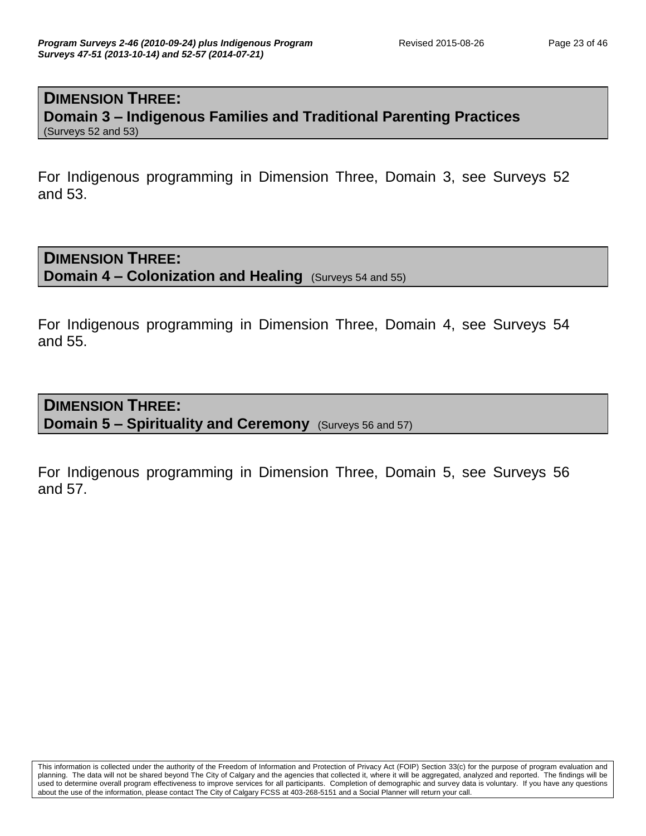#### **DIMENSION THREE: Domain 3 – Indigenous Families and Traditional Parenting Practices** (Surveys 52 and 53)

For Indigenous programming in Dimension Three, Domain 3, see Surveys 52 and 53.

**DIMENSION THREE: Domain 4 – Colonization and Healing** (Surveys 54 and 55)

For Indigenous programming in Dimension Three, Domain 4, see Surveys 54 and 55.

**DIMENSION THREE: Domain 5 – Spirituality and Ceremony** (Surveys 56 and 57)

For Indigenous programming in Dimension Three, Domain 5, see Surveys 56 and 57.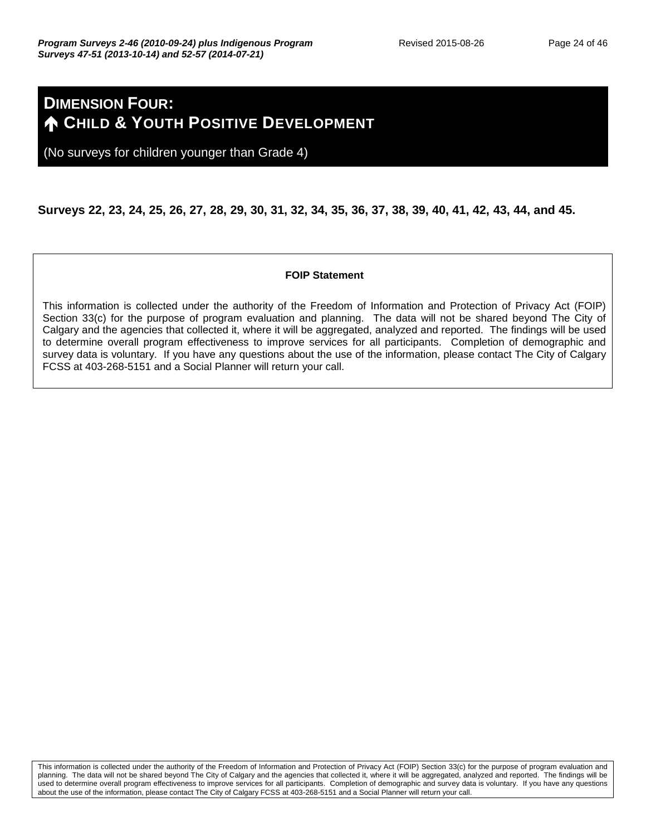## **DIMENSION FOUR: A** CHILD & YOUTH POSITIVE DEVELOPMENT

(No surveys for children younger than Grade 4)

#### **Surveys 22, 23, 24, 25, 26, 27, 28, 29, 30, 31, 32, 34, 35, 36, 37, 38, 39, 40, 41, 42, 43, 44, and 45.**

#### **FOIP Statement**

This information is collected under the authority of the Freedom of Information and Protection of Privacy Act (FOIP) Section 33(c) for the purpose of program evaluation and planning. The data will not be shared beyond The City of Calgary and the agencies that collected it, where it will be aggregated, analyzed and reported. The findings will be used to determine overall program effectiveness to improve services for all participants. Completion of demographic and survey data is voluntary. If you have any questions about the use of the information, please contact The City of Calgary FCSS at 403-268-5151 and a Social Planner will return your call.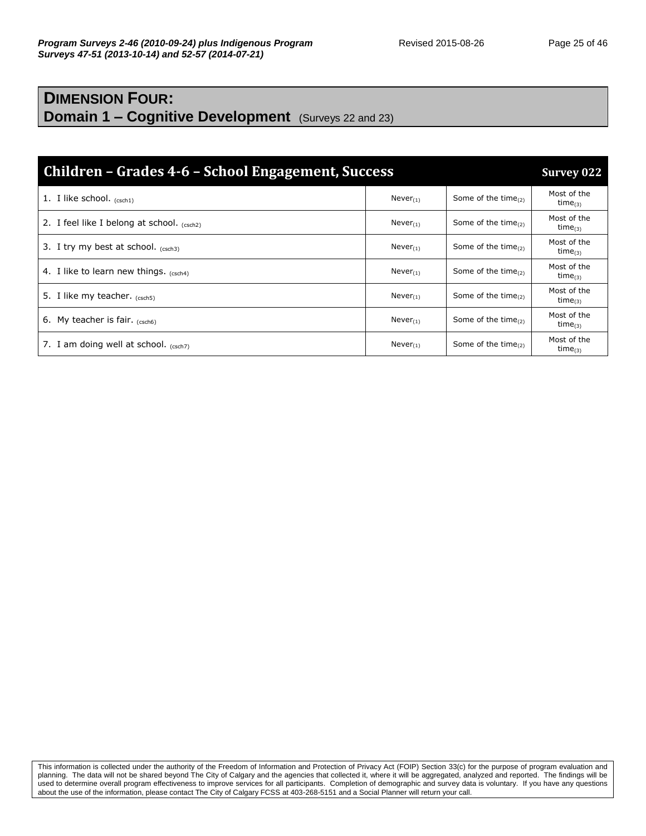#### **DIMENSION FOUR: Domain 1 – Cognitive Development** (Surveys 22 and 23)

| Children – Grades 4-6 – School Engagement, Success<br><b>Survey 022</b> |                |                           |                              |  |
|-------------------------------------------------------------------------|----------------|---------------------------|------------------------------|--|
| 1. I like school. $_{(csch1)}$                                          | $Never_{(1)}$  | Some of the time $_{(2)}$ | Most of the<br>time $_{(3)}$ |  |
| 2. I feel like I belong at school. $(csch2)$                            | Never $_{(1)}$ | Some of the time $_{(2)}$ | Most of the<br>$time_{(3)}$  |  |
| 3. I try my best at school. $(csch3)$                                   | Never $(1)$    | Some of the time $_{(2)}$ | Most of the<br>time $_{(3)}$ |  |
| 4. I like to learn new things. (csch4)                                  | $Never_{(1)}$  | Some of the time $_{(2)}$ | Most of the<br>time $_{(3)}$ |  |
| 5. I like my teacher. $(csch5)$                                         | Never $_{(1)}$ | Some of the time $_{(2)}$ | Most of the<br>$time_{(3)}$  |  |
| 6. My teacher is fair. $(csch6)$                                        | $Never_{(1)}$  | Some of the time $(2)$    | Most of the<br>time $_{(3)}$ |  |
| 7. I am doing well at school. $(csch7)$                                 | Never $_{(1)}$ | Some of the time $_{(2)}$ | Most of the<br>time $_{(3)}$ |  |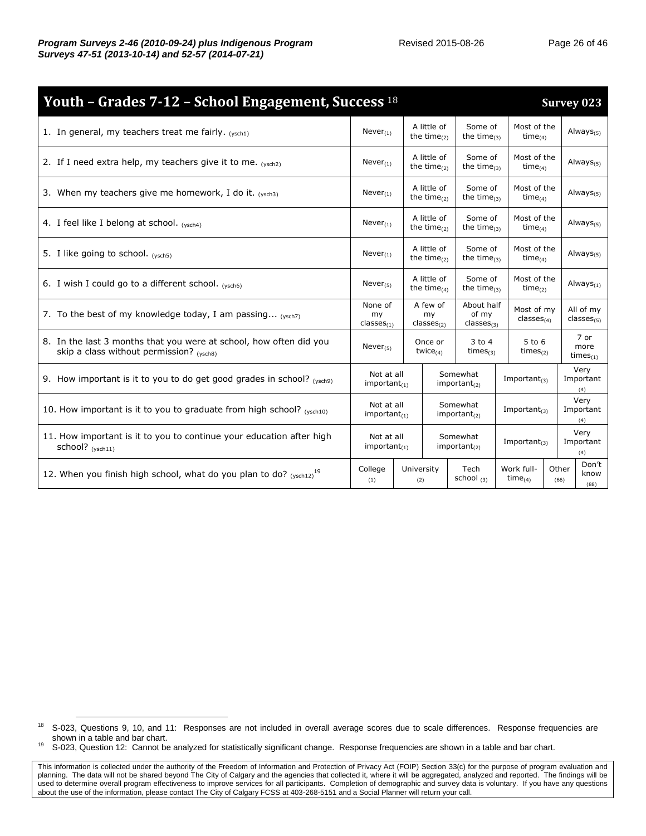| Youth - Grades 7-12 - School Engagement, Success 18                                                            |                                  |                   |                                          |                                               |                               |  |               | <b>Survey 023</b>              |
|----------------------------------------------------------------------------------------------------------------|----------------------------------|-------------------|------------------------------------------|-----------------------------------------------|-------------------------------|--|---------------|--------------------------------|
| 1. In general, my teachers treat me fairly. $(vsch1)$                                                          | $Never_{(1)}$                    |                   | A little of<br>the time $(2)$            | Some of<br>the time $_{(3)}$                  | Most of the<br>time $_{(4)}$  |  |               | Always $_{(5)}$                |
| 2. If I need extra help, my teachers give it to me. $(ysch2)$                                                  | $Never_{(1)}$                    |                   | A little of<br>the time $(2)$            | Some of<br>the time $_{(3)}$                  | Most of the<br>time $(4)$     |  |               | Always $_{(5)}$                |
| 3. When my teachers give me homework, I do it. $(vsch3)$                                                       | $Never_{(1)}$                    |                   | A little of<br>the time $_{(2)}$         | Some of<br>the time $_{(3)}$                  | Most of the<br>$time_{(4)}$   |  |               | Always $(5)$                   |
| 4. I feel like I belong at school. $(vsch4)$                                                                   | $Never_{(1)}$                    |                   | A little of<br>the time $_{(2)}$         | Some of<br>the time $_{(3)}$                  | Most of the<br>$time_{(4)}$   |  |               | Always $_{(5)}$                |
| 5. I like going to school. (ysch5)                                                                             | Never $_{(1)}$                   |                   | A little of<br>the time $_{(2)}$         | Some of<br>the time $_{(3)}$                  | Most of the<br>time $_{(4)}$  |  |               | Always $_{(5)}$                |
| 6. I wish I could go to a different school. (ysch6)                                                            | Never $_{(5)}$                   |                   | A little of<br>the time $(4)$            | Some of<br>the time $_{(3)}$                  | Most of the<br>time $(2)$     |  |               | Always $_{(1)}$                |
| 7. To the best of my knowledge today, I am passing $(ysch7)$                                                   | None of<br>my<br>$classes_{(1)}$ |                   | A few of<br>my<br>classes <sub>(2)</sub> | About half<br>of my<br>classes <sub>(3)</sub> | Most of my<br>$classes_{(4)}$ |  |               | All of my<br>$classes_{(5)}$   |
| 8. In the last 3 months that you were at school, how often did you<br>skip a class without permission? (ysch8) | Never $_{(5)}$                   |                   | Once or<br>twice $(4)$                   | $3$ to $4$<br>times $(3)$                     | $5$ to $6$<br>times $(2)$     |  |               | 7 or<br>more<br>times $_{(1)}$ |
| 9. How important is it to you to do get good grades in school? $(y_{\text{sch9}})$                             | Not at all<br>$important_{(1)}$  |                   |                                          | Somewhat<br>$important_{(2)}$                 | Important $_{(3)}$            |  |               | Very<br>Important<br>(4)       |
| 10. How important is it to you to graduate from high school? (ysch10)                                          | Not at all<br>important $_{(1)}$ |                   | Somewhat<br>$important_{(2)}$            |                                               | Important $_{(3)}$            |  |               | Very<br>Important<br>(4)       |
| 11. How important is it to you to continue your education after high<br>school? (ysch11)                       | Not at all<br>$important_{(1)}$  |                   |                                          | Somewhat<br>important <sub>(2)</sub>          | Important $_{(3)}$            |  |               | Very<br>Important<br>(4)       |
| 12. When you finish high school, what do you plan to do? $(ysch12)^{19}$                                       | College<br>(1)                   | University<br>(2) |                                          | Tech<br>school $(3)$                          | Work full-<br>$time_{(4)}$    |  | Other<br>(66) | Don't<br>know<br>(88)          |

<sup>&</sup>lt;sup>18</sup> S-023, Questions 9, 10, and 11: Responses are not included in overall average scores due to scale differences. Response frequencies are shown in a table and bar chart.

<sup>&</sup>lt;sup>19</sup> S-023, Question 12: Cannot be analyzed for statistically significant change. Response frequencies are shown in a table and bar chart.

This information is collected under the authority of the Freedom of Information and Protection of Privacy Act (FOIP) Section 33(c) for the purpose of program evaluation and planning. The data will not be shared beyond The City of Calgary and the agencies that collected it, where it will be aggregated, analyzed and reported. The findings will be used to determine overall program effectiveness to improve services for all participants. Completion of demographic and survey data is voluntary. If you have any questions about the use of the information, please contact The City of Calgary FCSS at 403-268-5151 and a Social Planner will return your call.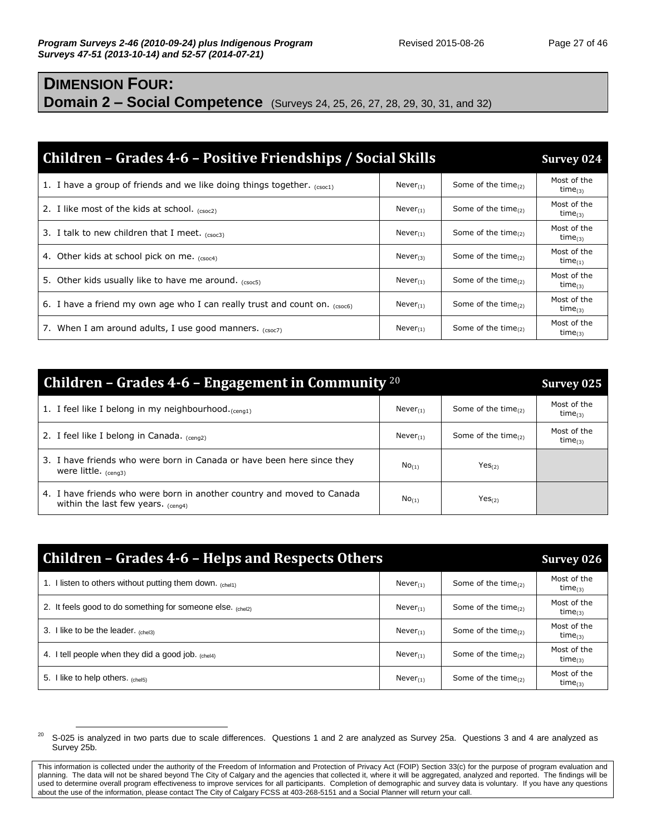## **DIMENSION FOUR: Domain 2 – Social Competence** (Surveys 24, 25, 26, 27, 28, 29, 30, 31, and 32)

| Children – Grades 4-6 – Positive Friendships / Social Skills                    |               |                           | <b>Survey 024</b>                  |
|---------------------------------------------------------------------------------|---------------|---------------------------|------------------------------------|
| 1. I have a group of friends and we like doing things together. $_{(csc1)}$     | $Never_{(1)}$ | Some of the time $_{(2)}$ | Most of the<br>time <sub>(3)</sub> |
| 2. I like most of the kids at school. $_{(csc2)}$                               | $Never_{(1)}$ | Some of the time $_{(2)}$ | Most of the<br>$time_{(3)}$        |
| 3. I talk to new children that I meet. $(csc3)$                                 | $Never_{(1)}$ | Some of the time $_{(2)}$ | Most of the<br>$time_{(3)}$        |
| 4. Other kids at school pick on me. (csoc4)                                     | $Never_{(3)}$ | Some of the time $_{(2)}$ | Most of the<br>time $_{(1)}$       |
| 5. Other kids usually like to have me around. (CSOC5)                           | $Never_{(1)}$ | Some of the time $_{(2)}$ | Most of the<br>time $_{(3)}$       |
| 6. I have a friend my own age who I can really trust and count on. $_{(ssocf)}$ | $Never_{(1)}$ | Some of the time $_{(2)}$ | Most of the<br>time $_{(3)}$       |
| 7. When I am around adults, I use good manners. $(csc7)$                        | $Never_{(1)}$ | Some of the time $_{(2)}$ | Most of the<br>time $_{(3)}$       |

| <b>Children – Grades 4-6 – Engagement in Community</b> $20$<br>Survey 025                                         |               |                           |                              |
|-------------------------------------------------------------------------------------------------------------------|---------------|---------------------------|------------------------------|
| 1. I feel like I belong in my neighbourhood. (ceng1)                                                              | $Never_{(1)}$ | Some of the time $(2)$    | Most of the<br>time $_{(3)}$ |
| 2. I feel like I belong in Canada. $_{(cena2)}$                                                                   | $Never_{(1)}$ | Some of the time $_{(2)}$ | Most of the<br>$time_{(3)}$  |
| 3. I have friends who were born in Canada or have been here since they<br>were little. <sub>(ceng3)</sub>         | $No_{(1)}$    | Yes <sub>(2)</sub>        |                              |
| 4. I have friends who were born in another country and moved to Canada<br>within the last few years. $_{(cena4)}$ | $No_{(1)}$    | $Yes_{(2)}$               |                              |

| Children – Grades 4-6 – Helps and Respects Others                 |               |                           | <b>Survey 026</b>            |
|-------------------------------------------------------------------|---------------|---------------------------|------------------------------|
| I listen to others without putting them down. $_{\text{(chel1)}}$ | $Never_{(1)}$ | Some of the time $_{(2)}$ | Most of the<br>time $_{(3)}$ |
| 2. It feels good to do something for someone else. (chel2)        | $Never_{(1)}$ | Some of the time $(2)$    | Most of the<br>time $_{(3)}$ |
| 3. I like to be the leader. $_{(che13)}$                          | $Never_{(1)}$ | Some of the time $_{(2)}$ | Most of the<br>$time_{(3)}$  |
| 4. I tell people when they did a good job. (chel4)                | $Never_{(1)}$ | Some of the time $_{(2)}$ | Most of the<br>time $_{(3)}$ |
| like to help others. $_{\text{(chel5)}}$<br>5. I                  | $Never_{(1)}$ | Some of the time $(2)$    | Most of the<br>$time_{(3)}$  |

<sup>&</sup>lt;sup>20</sup> S-025 is analyzed in two parts due to scale differences. Questions 1 and 2 are analyzed as Survey 25a. Questions 3 and 4 are analyzed as Survey 25b.

This information is collected under the authority of the Freedom of Information and Protection of Privacy Act (FOIP) Section 33(c) for the purpose of program evaluation and planning. The data will not be shared beyond The City of Calgary and the agencies that collected it, where it will be aggregated, analyzed and reported. The findings will be used to determine overall program effectiveness to improve services for all participants. Completion of demographic and survey data is voluntary. If you have any questions about the use of the information, please contact The City of Calgary FCSS at 403-268-5151 and a Social Planner will return your call.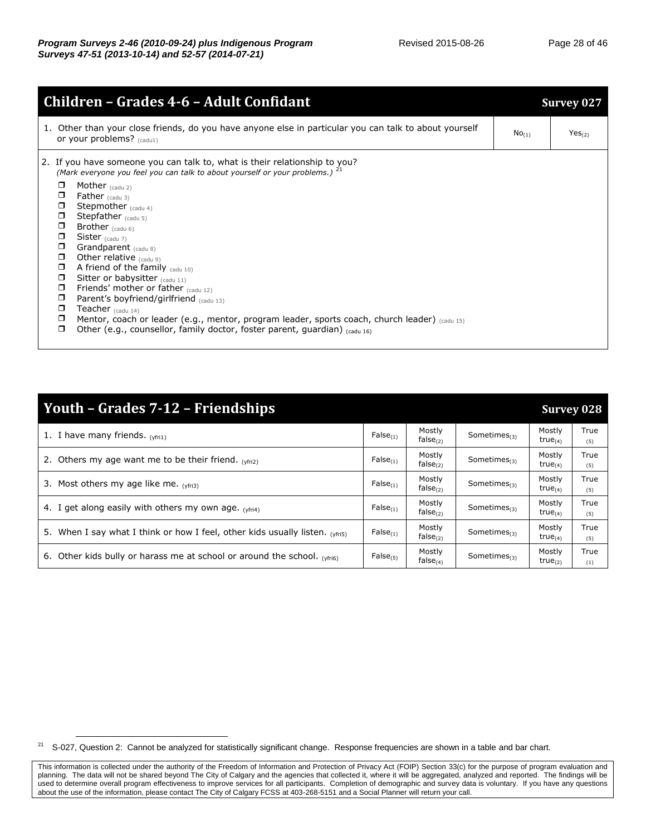| 1. Other than your close friends, do you have anyone else in particular you can talk to about yourself<br>Yes <sub>(2)</sub><br>No <sub>(1)</sub><br>or your problems? $(c_{\text{add1}})$<br>2. If you have someone you can talk to, what is their relationship to you?<br>(Mark everyone you feel you can talk to about yourself or your problems.) <sup>21</sup><br>$\Box$<br>Mother $_{\text{(cadu 2)}}$<br>$\Box$<br><b>Father</b> $(cadu 3)$<br>◘<br>Stepmother $_{\text{(cadv 4)}}$<br>0<br>Stepfather (cadu 5)<br>$\Box$<br>Brother $(cadu 6)$<br>$\Box$<br>Sister $_{\text{(cadu 7)}}$<br>$\Box$<br>Grandparent (cadu 8)<br>$\Box$<br>Other relative $_{(cadu 9)}$<br>$\Box$<br>A friend of the family $_{\text{cadv 10}}$<br>Sitter or babysitter (cadu 11)<br>$\Box$<br>Friends' mother or father $_{\text{(cadu 12)}}$<br>$\Box$<br>Parent's boyfriend/girlfriend (cadu 13)<br>$\Box$<br>$\Box$<br>Teacher $_{\text{(cadu 14)}}$<br>Mentor, coach or leader (e.g., mentor, program leader, sports coach, church leader) (cadu 15)<br>$\Box$<br>Other (e.g., counsellor, family doctor, foster parent, quardian) $_{\text{(cadu 16)}}$<br>$\Box$ | <b>Children - Grades 4-6 - Adult Confidant</b> | <b>Survey 027</b> |
|-------------------------------------------------------------------------------------------------------------------------------------------------------------------------------------------------------------------------------------------------------------------------------------------------------------------------------------------------------------------------------------------------------------------------------------------------------------------------------------------------------------------------------------------------------------------------------------------------------------------------------------------------------------------------------------------------------------------------------------------------------------------------------------------------------------------------------------------------------------------------------------------------------------------------------------------------------------------------------------------------------------------------------------------------------------------------------------------------------------------------------------------------------------|------------------------------------------------|-------------------|
|                                                                                                                                                                                                                                                                                                                                                                                                                                                                                                                                                                                                                                                                                                                                                                                                                                                                                                                                                                                                                                                                                                                                                             |                                                |                   |
|                                                                                                                                                                                                                                                                                                                                                                                                                                                                                                                                                                                                                                                                                                                                                                                                                                                                                                                                                                                                                                                                                                                                                             |                                                |                   |

| Youth – Grades 7-12 – Friendships                                              |               |                                |                    |                               | <b>Survey 028</b> |
|--------------------------------------------------------------------------------|---------------|--------------------------------|--------------------|-------------------------------|-------------------|
| 1. I have many friends. $(vfrit)$                                              | $False_{(1)}$ | Mostly<br>false <sub>(2)</sub> | Sometimes $_{(3)}$ | Mostly<br>true $(4)$          | True<br>(5)       |
| 2. Others my age want me to be their friend. $(v_{\text{fr}2})$                | $False_{(1)}$ | Mostly<br>$false_{(2)}$        | Sometimes $_{(3)}$ | Mostly<br>true $(4)$          | True<br>(5)       |
| 3. Most others my age like me. $(yfri3)$                                       | $False_{(1)}$ | Mostly<br>$false_{(2)}$        | Sometimes $_{(3)}$ | Mostly<br>true $(4)$          | True<br>(5)       |
| 4. I get along easily with others my own age. $(vfrin)$                        | $False_{(1)}$ | Mostly<br>false $_{(2)}$       | Sometimes $_{(3)}$ | Mostly<br>true $_{(4)}$       | True<br>(5)       |
| 5. When I say what I think or how I feel, other kids usually listen. $(vfrif)$ | $False_{(1)}$ | Mostly<br>$false_{(2)}$        | Sometimes $_{(3)}$ | Mostly<br>true $_{(4)}$       | True<br>(5)       |
| 6. Other kids bully or harass me at school or around the school. (yfri6)       | $False_{(5)}$ | Mostly<br>$false_{(4)}$        | Sometimes $_{(3)}$ | Mostly<br>true <sub>(2)</sub> | True<br>(1)       |

<sup>&</sup>lt;sup>21</sup> S-027, Question 2: Cannot be analyzed for statistically significant change. Response frequencies are shown in a table and bar chart.

This information is collected under the authority of the Freedom of Information and Protection of Privacy Act (FOIP) Section 33(c) for the purpose of program evaluation and planning. The data will not be shared beyond The City of Calgary and the agencies that collected it, where it will be aggregated, analyzed and reported. The findings will be used to determine overall program effectiveness to improve services for all participants. Completion of demographic and survey data is voluntary. If you have any questions about the use of the information, please contact The City of Calgary FCSS at 403-268-5151 and a Social Planner will return your call.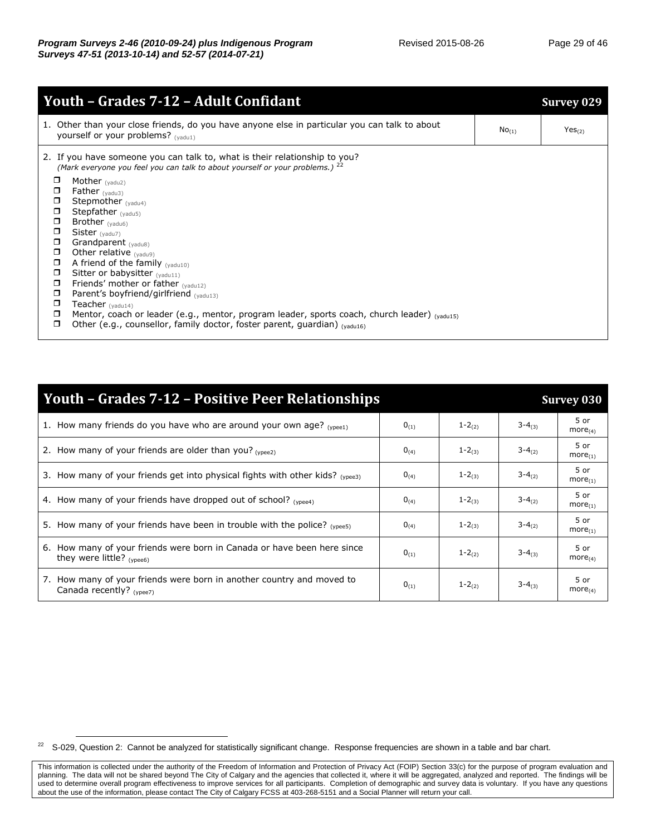|                  | <u> Youth - Grades 7-12 - Adult Confidant</u>                                                                                                                         |            | Survey 029         |
|------------------|-----------------------------------------------------------------------------------------------------------------------------------------------------------------------|------------|--------------------|
|                  | 1. Other than your close friends, do you have anyone else in particular you can talk to about<br>yourself or your problems? $_{(vadu1)}$                              | $No_{(1)}$ | Yes <sub>(2)</sub> |
|                  | 2. If you have someone you can talk to, what is their relationship to you?<br>(Mark everyone you feel you can talk to about yourself or your problems.) <sup>22</sup> |            |                    |
| o<br>$\Box$      | Mother $(yadu2)$<br>Father $(yadu3)$                                                                                                                                  |            |                    |
| $\Box$           | Stepmother (yadu4)                                                                                                                                                    |            |                    |
| $\Box$           | Stepfather $_{(yadu5)}$                                                                                                                                               |            |                    |
| $\Box$           | Brother $(yadu6)$                                                                                                                                                     |            |                    |
| $\Box$           | Sister $_{(yadu7)}$                                                                                                                                                   |            |                    |
| α                | Grandparent (yadu8)                                                                                                                                                   |            |                    |
| $\Box$<br>$\Box$ | Other relative $_{(yadu9)}$<br>A friend of the family $(y_{\text{add10}})$                                                                                            |            |                    |
| $\Box$           | Sitter or babysitter (yadu11)                                                                                                                                         |            |                    |
| ◘                | Friends' mother or father $_{(yadu12)}$                                                                                                                               |            |                    |
| ◘                | Parent's boyfriend/girlfriend $_{(vadu13)}$                                                                                                                           |            |                    |
| ▫                | Teacher $(yadu14)$                                                                                                                                                    |            |                    |
| ◘                | Mentor, coach or leader (e.g., mentor, program leader, sports coach, church leader) (vadu15)                                                                          |            |                    |
| $\Box$           | Other (e.g., counsellor, family doctor, foster parent, quardian) $_{(vadul6)}$                                                                                        |            |                    |

| <b>Youth - Grades 7-12 - Positive Peer Relationships</b>                                             |           |            |               | <b>Survey 030</b>      |  |  |
|------------------------------------------------------------------------------------------------------|-----------|------------|---------------|------------------------|--|--|
| 1. How many friends do you have who are around your own age? $_{(y^{\text{peel}})}$                  | $0_{(1)}$ | $1 - 2(2)$ | $3 - 4(3)$    | 5 or<br>$more_{(4)}$   |  |  |
| 2. How many of your friends are older than you? $_{(vnee2)}$                                         | $0_{(4)}$ | $1 - 2(3)$ | $3 - 4(2)$    | 5 or<br>$more_{(1)}$   |  |  |
| 3. How many of your friends get into physical fights with other kids? $_{(ypees)}$                   | $0_{(4)}$ | $1 - 2(3)$ | $3 - 4(2)$    | 5 or<br>$more_{(1)}$   |  |  |
| 4. How many of your friends have dropped out of school? (vpee4)                                      | $0_{(4)}$ | $1 - 2(3)$ | $3 - 4_{(2)}$ | 5 or<br>$more_{(1)}$   |  |  |
| 5. How many of your friends have been in trouble with the police? $_{(v^{\text{pees}})}$             | $0_{(4)}$ | $1 - 2(3)$ | $3 - 4(2)$    | $5$ or<br>$more_{(1)}$ |  |  |
| 6. How many of your friends were born in Canada or have been here since<br>they were little? (ypee6) | $0_{(1)}$ | $1 - 2(2)$ | $3 - 4(3)$    | 5 or<br>$more_{(4)}$   |  |  |
| 7. How many of your friends were born in another country and moved to<br>Canada recently? (ypee7)    | $0_{(1)}$ | $1 - 2(2)$ | $3 - 4_{(3)}$ | 5 or<br>$more_{(4)}$   |  |  |

 $^{22}$  S-029, Question 2: Cannot be analyzed for statistically significant change. Response frequencies are shown in a table and bar chart.

This information is collected under the authority of the Freedom of Information and Protection of Privacy Act (FOIP) Section 33(c) for the purpose of program evaluation and planning. The data will not be shared beyond The City of Calgary and the agencies that collected it, where it will be aggregated, analyzed and reported. The findings will be used to determine overall program effectiveness to improve services for all participants. Completion of demographic and survey data is voluntary. If you have any questions about the use of the information, please contact The City of Calgary FCSS at 403-268-5151 and a Social Planner will return your call.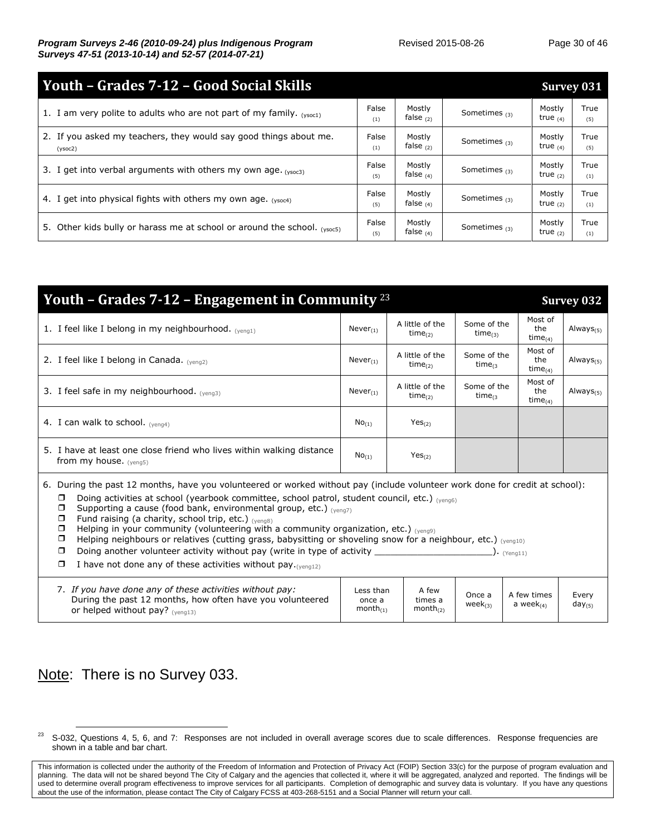| Youth - Grades 7-12 - Good Social Skills                                         |              |                       |                 |                      |             |  |
|----------------------------------------------------------------------------------|--------------|-----------------------|-----------------|----------------------|-------------|--|
| 1. I am very polite to adults who are not part of my family. $(y_{\text{soc1}})$ | False<br>(1) | Mostly<br>false $(2)$ | Sometimes $(3)$ | Mostly<br>true $(4)$ | True<br>(5) |  |
| 2. If you asked my teachers, they would say good things about me.<br>(ysoc2)     | False<br>(1) | Mostly<br>false $(2)$ | Sometimes $(3)$ | Mostly<br>true $(4)$ | True<br>(5) |  |
| 3. I get into verbal arguments with others my own age. (ysoc3)                   | False<br>(5) | Mostly<br>false $(4)$ | Sometimes $(3)$ | Mostly<br>true $(2)$ | True<br>(1) |  |
| 4. I get into physical fights with others my own age. $(ys_0c4)$                 | False<br>(5) | Mostly<br>false $(4)$ | Sometimes $(3)$ | Mostly<br>true $(2)$ | True<br>(1) |  |
| 5. Other kids bully or harass me at school or around the school. (ysoc5)         | False<br>(5) | Mostly<br>false $(4)$ | Sometimes $(3)$ | Mostly<br>true $(2)$ | True<br>(1) |  |

| Youth - Grades 7-12 - Engagement in Community $^{23}$                                                                                                                                                                                                                                                                                                                                                                                                                                                                                                                                                                                                                                                                                                                                                                                |                                      | <b>Survey 032</b>                        |                              |                                 |                      |  |  |  |  |
|--------------------------------------------------------------------------------------------------------------------------------------------------------------------------------------------------------------------------------------------------------------------------------------------------------------------------------------------------------------------------------------------------------------------------------------------------------------------------------------------------------------------------------------------------------------------------------------------------------------------------------------------------------------------------------------------------------------------------------------------------------------------------------------------------------------------------------------|--------------------------------------|------------------------------------------|------------------------------|---------------------------------|----------------------|--|--|--|--|
| 1. I feel like I belong in my neighbourhood. $(venq1)$                                                                                                                                                                                                                                                                                                                                                                                                                                                                                                                                                                                                                                                                                                                                                                               | $Never_{(1)}$                        | A little of the<br>time $_{(2)}$         | Some of the<br>time $_{(3)}$ | Most of<br>the<br>time $_{(4)}$ | Always $_{(5)}$      |  |  |  |  |
| 2. I feel like I belong in Canada. $(vena2)$                                                                                                                                                                                                                                                                                                                                                                                                                                                                                                                                                                                                                                                                                                                                                                                         | $Never_{(1)}$                        | A little of the<br>time $_{(2)}$         | Some of the<br>time $_{(3)}$ | Most of<br>the<br>time $_{(4)}$ | Always $_{(5)}$      |  |  |  |  |
| 3. I feel safe in my neighbourhood. (yeng3)                                                                                                                                                                                                                                                                                                                                                                                                                                                                                                                                                                                                                                                                                                                                                                                          | $Never_{(1)}$                        | A little of the<br>time $_{(2)}$         | Some of the<br>time $_{(3)}$ | Most of<br>the<br>time $_{(4)}$ | Always $(5)$         |  |  |  |  |
| 4. I can walk to school. $(yeng4)$                                                                                                                                                                                                                                                                                                                                                                                                                                                                                                                                                                                                                                                                                                                                                                                                   | $No_{(1)}$                           | Yes <sub>(2)</sub>                       |                              |                                 |                      |  |  |  |  |
| 5. I have at least one close friend who lives within walking distance<br>from my house. $(v_{enq5})$                                                                                                                                                                                                                                                                                                                                                                                                                                                                                                                                                                                                                                                                                                                                 | $No_{(1)}$<br>Yes <sub>(2)</sub>     |                                          |                              |                                 |                      |  |  |  |  |
| 6. During the past 12 months, have you volunteered or worked without pay (include volunteer work done for credit at school):<br>Doing activities at school (yearbook committee, school patrol, student council, etc.) (yeng6)<br>$\Box$<br>Supporting a cause (food bank, environmental group, etc.) (yeng7)<br>$\Box$<br>Fund raising (a charity, school trip, etc.) (yeng8)<br>$\Box$<br>Helping in your community (volunteering with a community organization, etc.) $_{\text{Vengo}}$<br>$\Box$<br>Helping neighbours or relatives (cutting grass, babysitting or shoveling snow for a neighbour, etc.) (yeng10)<br>$\Box$<br>Doing another volunteer activity without pay (write in type of activity _______________<br>$\Box$<br>$\cdot$ (Yeng11)<br>I have not done any of these activities without pay. $(vena12)$<br>$\Box$ |                                      |                                          |                              |                                 |                      |  |  |  |  |
| 7. If you have done any of these activities without pay:<br>During the past 12 months, how often have you volunteered<br>or helped without pay? $_{(yeng13)}$                                                                                                                                                                                                                                                                                                                                                                                                                                                                                                                                                                                                                                                                        | Less than<br>once a<br>$month_{(1)}$ | A few<br>times a<br>month <sub>(2)</sub> | Once a<br>$week_{(3)}$       | A few times<br>a week $_{(4)}$  | Every<br>$day_{(5)}$ |  |  |  |  |

Note: There is no Survey 033.

<sup>&</sup>lt;sup>23</sup> S-032, Questions 4, 5, 6, and 7: Responses are not included in overall average scores due to scale differences. Response frequencies are shown in a table and bar chart.

This information is collected under the authority of the Freedom of Information and Protection of Privacy Act (FOIP) Section 33(c) for the purpose of program evaluation and planning. The data will not be shared beyond The City of Calgary and the agencies that collected it, where it will be aggregated, analyzed and reported. The findings will be used to determine overall program effectiveness to improve services for all participants. Completion of demographic and survey data is voluntary. If you have any questions about the use of the information, please contact The City of Calgary FCSS at 403-268-5151 and a Social Planner will return your call.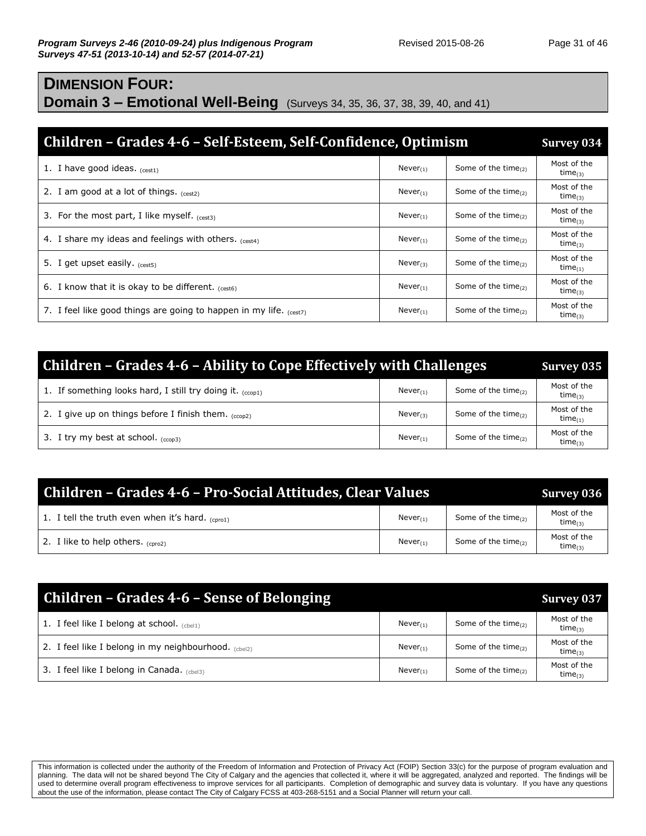## **DIMENSION FOUR: Domain 3 – Emotional Well-Being** (Surveys 34, 35, 36, 37, 38, 39, 40, and 41)

| Children – Grades 4-6 – Self-Esteem, Self-Confidence, Optimism          |               |                           |                              |  |  |  |
|-------------------------------------------------------------------------|---------------|---------------------------|------------------------------|--|--|--|
| 1. I have good ideas. $(cest1)$                                         | $Never_{(1)}$ | Some of the time $_{(2)}$ | Most of the<br>$time_{(3)}$  |  |  |  |
| 2. I am good at a lot of things. $(cest2)$                              | $Never_{(1)}$ | Some of the time $_{(2)}$ | Most of the<br>time $_{(3)}$ |  |  |  |
| 3. For the most part, I like myself. $_{(rest3)}$                       | $Never_{(1)}$ | Some of the time $_{(2)}$ | Most of the<br>time $_{(3)}$ |  |  |  |
| 4. I share my ideas and feelings with others. $_{(cest4)}$              | $Never_{(1)}$ | Some of the time $_{(2)}$ | Most of the<br>time $_{(3)}$ |  |  |  |
| 5. I get upset easily. $(cest5)$                                        | $Never_{(3)}$ | Some of the time $_{(2)}$ | Most of the<br>time $_{(1)}$ |  |  |  |
| 6. I know that it is okay to be different. $_{(cest6)}$                 | $Never_{(1)}$ | Some of the time $_{(2)}$ | Most of the<br>$time_{(3)}$  |  |  |  |
| 7. I feel like good things are going to happen in my life. $_{(cest7)}$ | $Never_{(1)}$ | Some of the time $_{(2)}$ | Most of the<br>$time_{(3)}$  |  |  |  |

| Children - Grades 4-6 - Ability to Cope Effectively with Challenges |               |                           |                              |  |  |  |
|---------------------------------------------------------------------|---------------|---------------------------|------------------------------|--|--|--|
| 1. If something looks hard, I still try doing it. $(1, 1)$          | $Never_{(1)}$ | Some of the time $_{(2)}$ | Most of the<br>$time_{(3)}$  |  |  |  |
| 2. I give up on things before I finish them. $(cc_{0.02})$          | Never $(3)$   | Some of the time $_{(2)}$ | Most of the<br>$time_{(1)}$  |  |  |  |
| 3. I try my best at school. $(ccon3)$                               | $Never_{(1)}$ | Some of the time $_{(2)}$ | Most of the<br>time $_{(3)}$ |  |  |  |

| Children - Grades 4-6 - Pro-Social Attitudes, Clear Values |               |                           |                              |  |  |
|------------------------------------------------------------|---------------|---------------------------|------------------------------|--|--|
| 1. I tell the truth even when it's hard. $_{(corot)}$      | $Never_{(1)}$ | Some of the time $(2)$    | Most of the<br>time $_{(3)}$ |  |  |
| 2. I like to help others $_{(cm02)}$                       | $Never_{(1)}$ | Some of the time $_{(2)}$ | Most of the<br>$time_{(3)}$  |  |  |

| <b>Children - Grades 4-6 - Sense of Belonging</b>    |               |                           | <b>Survey 037</b>            |
|------------------------------------------------------|---------------|---------------------------|------------------------------|
| 1. I feel like I belong at school. $_{(cbel1)}$      | $Never_{(1)}$ | Some of the time $_{(2)}$ | Most of the<br>time $_{(3)}$ |
| 2. I feel like I belong in my neighbourhood. (cbel2) | $Never_{(1)}$ | Some of the time $(2)$    | Most of the<br>time $_{(3)}$ |
| 3. I feel like I belong in Canada. $(CD)$            | $Never_{(1)}$ | Some of the time $_{(2)}$ | Most of the<br>$time_{(3)}$  |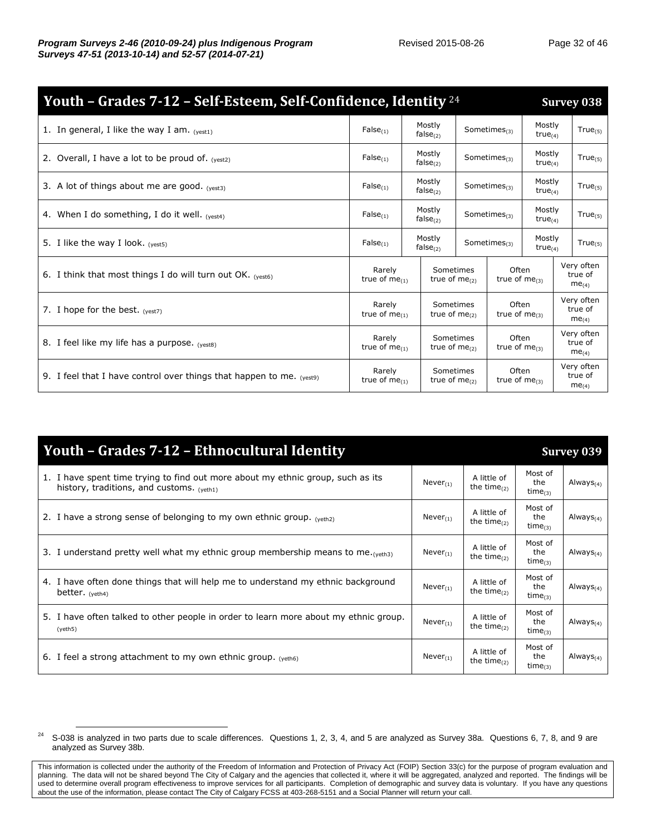| Youth - Grades 7-12 - Self-Esteem, Self-Confidence, Identity <sup>24</sup> |                                       |                       |                                          |                    |                             |                               | <b>Survey 038</b>                          |                         |                    |                      |              |
|----------------------------------------------------------------------------|---------------------------------------|-----------------------|------------------------------------------|--------------------|-----------------------------|-------------------------------|--------------------------------------------|-------------------------|--------------------|----------------------|--------------|
| 1. In general, I like the way I am. $(yest1)$                              | $False_{(1)}$                         |                       | Mostly<br>false <sub>(2)</sub>           |                    |                             |                               |                                            |                         | Sometimes $_{(3)}$ | Mostly<br>true $(4)$ | $True_{(5)}$ |
| 2. Overall, I have a lot to be proud of. $_{(yest2)}$                      | $False_{(1)}$                         |                       | Mostly<br>false $(2)$                    |                    | Sometimes $_{(3)}$          | Mostly<br>true <sub>(4)</sub> | $True_{(5)}$                               |                         |                    |                      |              |
| 3. A lot of things about me are good. $(yest3)$                            | $False_{(1)}$                         |                       | Mostly<br>$false_{(2)}$                  |                    |                             | Sometimes $_{(3)}$            |                                            | Mostly<br>true $_{(4)}$ | $True_{(5)}$       |                      |              |
| 4. When I do something, I do it well. $_{(vest4)}$                         | $False_{(1)}$                         |                       | Mostly<br>$false_{(2)}$                  |                    | Sometimes $_{(3)}$          | Mostly<br>true $(4)$          | $True_{(5)}$                               |                         |                    |                      |              |
| 5. I like the way I look. $(vest5)$                                        | $False_{(1)}$                         | Mostly<br>false $(2)$ |                                          | Sometimes $_{(3)}$ |                             | Mostly<br>$true_{(4)}$        | $True_{(5)}$                               |                         |                    |                      |              |
| 6. I think that most things I do will turn out OK. $_{(vest6)}$            | Rarely<br>true of $me$ <sub>(1)</sub> |                       | Sometimes<br>true of $me(2)$             |                    | Often<br>true of $me_{(3)}$ |                               | Very often<br>true of<br>me <sub>(4)</sub> |                         |                    |                      |              |
| 7. I hope for the best. $(yest)$                                           | Rarely<br>true of $me$ <sub>(1)</sub> |                       | Sometimes<br>true of $me$ <sub>(2)</sub> |                    | Often<br>true of $me(3)$    |                               | Very often<br>true of<br>me <sub>(4)</sub> |                         |                    |                      |              |
| 8. I feel like my life has a purpose. (yest8)                              | Rarely<br>true of $me(1)$             |                       | Sometimes<br>true of $me$ <sub>(2)</sub> |                    | Often<br>true of $me_{(3)}$ |                               | Very often<br>true of<br>$me_{(4)}$        |                         |                    |                      |              |
| 9. I feel that I have control over things that happen to me. $(yest9)$     | Rarely<br>true of $me$ <sub>(1)</sub> |                       | Sometimes<br>true of $me(2)$             |                    | Often<br>true of $me_{(3)}$ |                               | Very often<br>true of<br>me <sub>(4)</sub> |                         |                    |                      |              |

| Youth - Grades 7-12 - Ethnocultural Identity                                                                                   |               |                               |                                 | Survey 039      |
|--------------------------------------------------------------------------------------------------------------------------------|---------------|-------------------------------|---------------------------------|-----------------|
| 1. I have spent time trying to find out more about my ethnic group, such as its<br>history, traditions, and customs. $(veth1)$ | $Never_{(1)}$ | A little of<br>the time $(2)$ | Most of<br>the<br>time $_{(3)}$ | Always $_{(4)}$ |
| 2. I have a strong sense of belonging to my own ethnic group. $_{(yeth2)}$                                                     | $Never_{(1)}$ | A little of<br>the time $(2)$ | Most of<br>the<br>$time_{(3)}$  | Always $_{(4)}$ |
| 3. I understand pretty well what my ethnic group membership means to me. (yeth3)                                               | $Never_{(1)}$ | A little of<br>the time $(2)$ | Most of<br>the<br>time $_{(3)}$ | Always $_{(4)}$ |
| 4. I have often done things that will help me to understand my ethnic background<br>better. $(yeth4)$                          | $Never_{(1)}$ | A little of<br>the time $(2)$ | Most of<br>the<br>time $_{(3)}$ | Always $_{(4)}$ |
| 5. I have often talked to other people in order to learn more about my ethnic group.<br>(yeth5)                                | $Never_{(1)}$ | A little of<br>the time $(2)$ | Most of<br>the<br>$time_{(3)}$  | Always $_{(4)}$ |
| 6. I feel a strong attachment to my own ethnic group. $_{(yeth6)}$                                                             | $Never_{(1)}$ | A little of<br>the time $(2)$ | Most of<br>the<br>$time_{(3)}$  | Always $_{(4)}$ |

 $24$  S-038 is analyzed in two parts due to scale differences. Questions 1, 2, 3, 4, and 5 are analyzed as Survey 38a. Questions 6, 7, 8, and 9 are analyzed as Survey 38b.

This information is collected under the authority of the Freedom of Information and Protection of Privacy Act (FOIP) Section 33(c) for the purpose of program evaluation and planning. The data will not be shared beyond The City of Calgary and the agencies that collected it, where it will be aggregated, analyzed and reported. The findings will be used to determine overall program effectiveness to improve services for all participants. Completion of demographic and survey data is voluntary. If you have any questions about the use of the information, please contact The City of Calgary FCSS at 403-268-5151 and a Social Planner will return your call.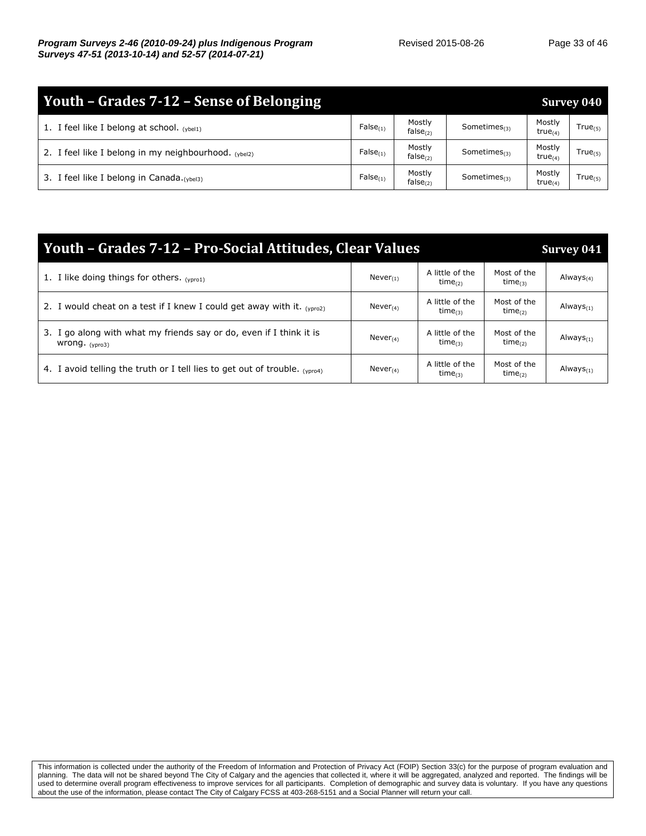| Youth – Grades 7-12 – Sense of Belonging                  |               |                          |                    |                               |              |  |  |
|-----------------------------------------------------------|---------------|--------------------------|--------------------|-------------------------------|--------------|--|--|
| 1. I feel like I belong at school. $(v_{\text{bell}})$    | $False_{(1)}$ | Mostly<br>false $(2)$    | Sometimes $_{(3)}$ | Mostly<br>true <sub>(4)</sub> | $True_{(5)}$ |  |  |
| 2. I feel like I belong in my neighbourhood. $_{(vhel2)}$ | $False_{(1)}$ | Mostly<br>$false_{(2)}$  | Sometimes $_{(3)}$ | Mostly<br>true <sub>(4)</sub> | $True_{(5)}$ |  |  |
| 3. I feel like I belong in Canada. (ybel3)                | False(1)      | Mostly<br>false $_{(2)}$ | Sometimes $(3)$    | Mostly<br>true <sub>(4)</sub> | $True_{(5)}$ |  |  |

| Youth - Grades 7-12 - Pro-Social Attitudes, Clear Values                                | Survey 041     |                                        |                                    |                       |
|-----------------------------------------------------------------------------------------|----------------|----------------------------------------|------------------------------------|-----------------------|
| 1. I like doing things for others. $(v_{\text{orol}})$                                  | $Never_{(1)}$  | A little of the<br>$time_{(2)}$        | Most of the<br>time <sub>(3)</sub> | Always <sub>(4)</sub> |
| 2. I would cheat on a test if I knew I could get away with it. $_{(vpro2)}$             | Never $_{(4)}$ | A little of the<br>$time_{(3)}$        | Most of the<br>$time_{(2)}$        | Always $_{(1)}$       |
| 3. I go along with what my friends say or do, even if I think it is<br>wrong. $(ypro3)$ | Never $_{(4)}$ | A little of the<br>$time_{(3)}$        | Most of the<br>time $_{(2)}$       | Always $_{(1)}$       |
| 4. I avoid telling the truth or I tell lies to get out of trouble. $_{(yproj)}$         | Never $_{(4)}$ | A little of the<br>time <sub>(3)</sub> | Most of the<br>time <sub>(2)</sub> | Always <sub>(1)</sub> |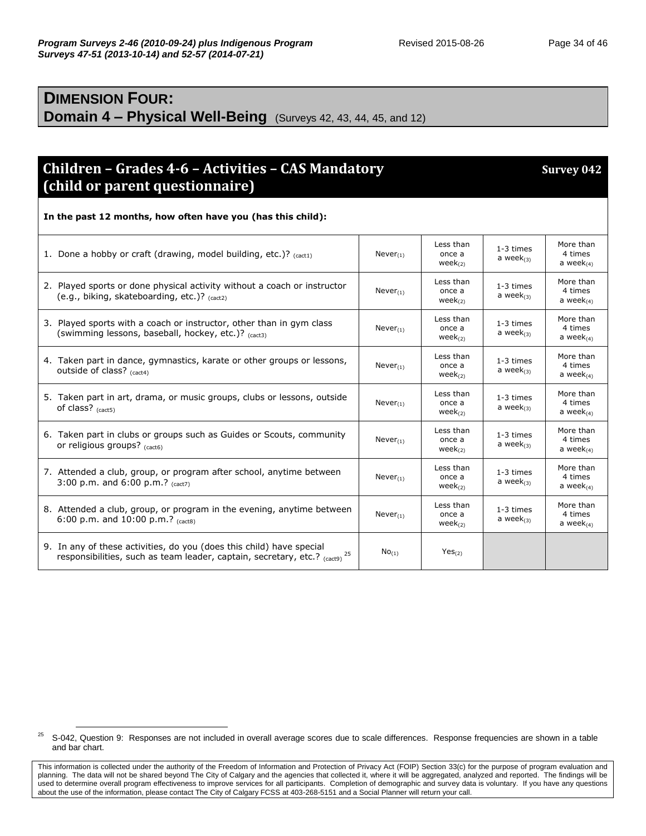#### **DIMENSION FOUR: Domain 4 – Physical Well-Being** (Surveys 42, 43, 44, 45, and 12)

#### **Children – Grades 4-6 – Activities – CAS Mandatory Survey 042 (child or parent questionnaire)**

**In the past 12 months, how often have you (has this child):** 1. Done a hobby or craft (drawing, model building, etc.)?  $_{(cat1)}$  Never<sub>(1)</sub> Less than once a  $week_{(2)}$ 1-3 times a wee $k_{(3)}$ More than 4 times a wee $k_{(4)}$ 2. Played sports or done physical activity without a coach or instructor (e.g., biking, skateboarding, etc.)? (cact2)  $Never_{(1)}$ Less than once a week(2) 1-3 times a wee $k_{(3)}$ More than 4 times a wee $k_{(4)}$ 3. Played sports with a coach or instructor, other than in gym class (swimming lessons, baseball, hockey, etc.)? (cact3)  $Never_{(1)}$ Less than once a  $week<sub>(2)</sub>$ 1-3 times a wee $k_{(3)}$ More than 4 times a wee $k_{(4)}$ 4. Taken part in dance, gymnastics, karate or other groups or lessons, outside of class? (cact4)  $Never<sub>(1)</sub>$ Less than once a  $week_{(2)}$ 1-3 times a wee $k_{(3)}$ More than 4 times a wee $k_{(4)}$ 5. Taken part in art, drama, or music groups, clubs or lessons, outside of class? (cact5)  $Never_{(1)}$ Less than once a week(2) 1-3 times a wee $k_{(3)}$ More than 4 times a wee $k_{(4)}$ 6. Taken part in clubs or groups such as Guides or Scouts, community or religious groups? (cact6) Never(1) Less than once a week(2) 1-3 times a wee $k_{(3)}$ More than 4 times a wee $k_{(4)}$ 7. Attended a club, group, or program after school, anytime between 3:00 p.m. and 6:00 p.m.? (cact7)  $Never<sub>(1)</sub>$ Less than once a  $week_{(2)}$ 1-3 times a wee $k_{(3)}$ More than 4 times a week $_{(4)}$ 8. Attended a club, group, or program in the evening, anytime between 6:00 p.m. and 10:00 p.m.? (cact8)  $Never_{(1)}$ Less than once a week(2) 1-3 times a wee $k_{(3)}$ More than 4 times a wee $k_{(4)}$ 9. In any of these activities, do you (does this child) have special responsibilities, such as team leader, captain, secretary, etc.?  $_{\rm (cact9)}$ <sup>25</sup>  $No_{(1)}$   $Yes_{(2)}$ 

<sup>&</sup>lt;sup>25</sup> S-042, Question 9: Responses are not included in overall average scores due to scale differences. Response frequencies are shown in a table and bar chart.

This information is collected under the authority of the Freedom of Information and Protection of Privacy Act (FOIP) Section 33(c) for the purpose of program evaluation and planning. The data will not be shared beyond The City of Calgary and the agencies that collected it, where it will be aggregated, analyzed and reported. The findings will be used to determine overall program effectiveness to improve services for all participants. Completion of demographic and survey data is voluntary. If you have any questions about the use of the information, please contact The City of Calgary FCSS at 403-268-5151 and a Social Planner will return your call.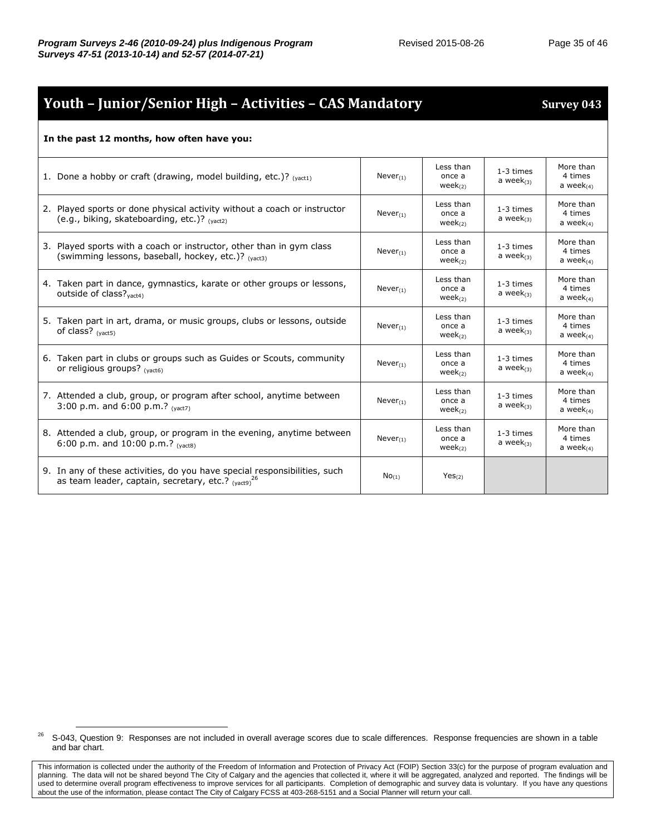## **Youth – Junior/Senior High – Activities – CAS Mandatory Survey 043**

#### **In the past 12 months, how often have you:**

| 1. Done a hobby or craft (drawing, model building, etc.)? $_{(vact1)}$                                                                   | $Never_{(1)}$  | Less than<br>once a<br>$week_{(2)}$  | 1-3 times<br>a week $_{(3)}$ | More than<br>4 times<br>a week $(4)$    |
|------------------------------------------------------------------------------------------------------------------------------------------|----------------|--------------------------------------|------------------------------|-----------------------------------------|
| 2. Played sports or done physical activity without a coach or instructor<br>(e.g., biking, skateboarding, etc.)? $_{(vact2)}$            | Never $_{(1)}$ | Less than<br>once a<br>$week_{(2)}$  | 1-3 times<br>a week $_{(3)}$ | More than<br>4 times<br>a week $_{(4)}$ |
| 3. Played sports with a coach or instructor, other than in gym class<br>(swimming lessons, baseball, hockey, etc.)? (vact3)              | $Never_{(1)}$  | Less than<br>once a<br>$week_{(2)}$  | 1-3 times<br>a week $_{(3)}$ | More than<br>4 times<br>a week $(4)$    |
| 4. Taken part in dance, gymnastics, karate or other groups or lessons,<br>outside of class? $v_{\text{act4}}$                            | $Never_{(1)}$  | Less than<br>once a<br>$week_{(2)}$  | 1-3 times<br>a week $_{(3)}$ | More than<br>4 times<br>a week $_{(4)}$ |
| 5. Taken part in art, drama, or music groups, clubs or lessons, outside<br>of class? $(v, z, z)$                                         | $Never_{(1)}$  | Less than<br>once a<br>$week_{(2)}$  | 1-3 times<br>a week $_{(3)}$ | More than<br>4 times<br>a week $(4)$    |
| 6. Taken part in clubs or groups such as Guides or Scouts, community<br>or religious groups? (yact6)                                     | $Never_{(1)}$  | Less than<br>once a<br>week $_{(2)}$ | 1-3 times<br>a week $(3)$    | More than<br>4 times<br>a week $_{(4)}$ |
| 7. Attended a club, group, or program after school, anytime between<br>3:00 p.m. and 6:00 p.m.? $($                                      | $Never_{(1)}$  | Less than<br>once a<br>$week_{(2)}$  | 1-3 times<br>a week $_{(3)}$ | More than<br>4 times<br>a week $(4)$    |
| 8. Attended a club, group, or program in the evening, anytime between<br>6:00 p.m. and 10:00 p.m.? $_{(vacts)}$                          | $Never_{(1)}$  | Less than<br>once a<br>week $_{(2)}$ | 1-3 times<br>a week $_{(3)}$ | More than<br>4 times<br>a week $_{(4)}$ |
| 9. In any of these activities, do you have special responsibilities, such<br>as team leader, captain, secretary, etc.? $_{(vact9)}^{26}$ | $No_{(1)}$     | Yes <sub>(2)</sub>                   |                              |                                         |

<sup>&</sup>lt;sup>26</sup> S-043, Question 9: Responses are not included in overall average scores due to scale differences. Response frequencies are shown in a table and bar chart.

This information is collected under the authority of the Freedom of Information and Protection of Privacy Act (FOIP) Section 33(c) for the purpose of program evaluation and planning. The data will not be shared beyond The City of Calgary and the agencies that collected it, where it will be aggregated, analyzed and reported. The findings will be used to determine overall program effectiveness to improve services for all participants. Completion of demographic and survey data is voluntary. If you have any questions about the use of the information, please contact The City of Calgary FCSS at 403-268-5151 and a Social Planner will return your call.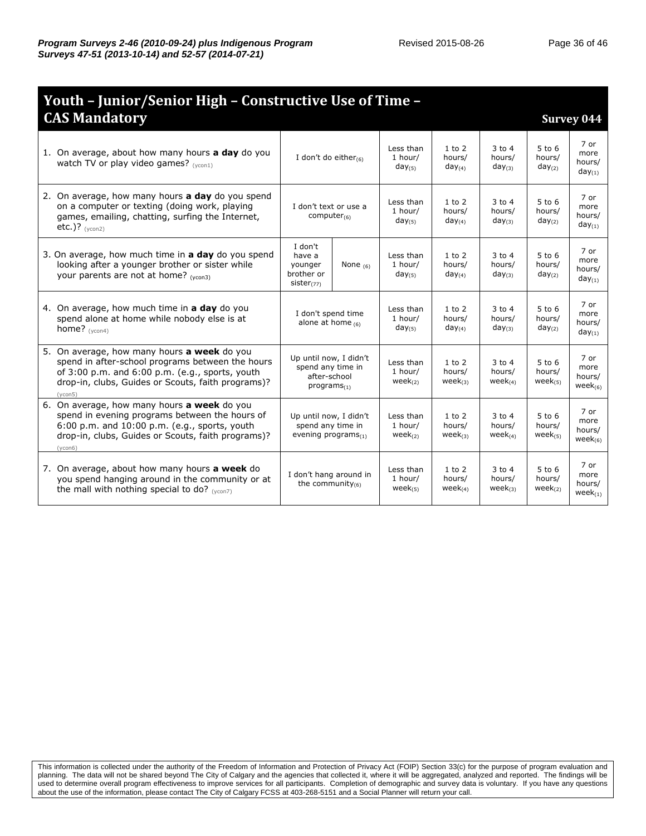| Youth - Junior/Senior High - Constructive Use of Time -                                                                                                                                                                    |                                                                                 |            |                                      |                                      |                                      |                                     |                                         |  |
|----------------------------------------------------------------------------------------------------------------------------------------------------------------------------------------------------------------------------|---------------------------------------------------------------------------------|------------|--------------------------------------|--------------------------------------|--------------------------------------|-------------------------------------|-----------------------------------------|--|
| <b>CAS Mandatory</b>                                                                                                                                                                                                       |                                                                                 |            |                                      |                                      |                                      |                                     | <b>Survey 044</b>                       |  |
| 1. On average, about how many hours <b>a day</b> do you<br>watch TV or play video games? $(v_{\text{cont}})$                                                                                                               | I don't do either $(6)$                                                         |            | Less than<br>1 hour/<br>$day_{(5)}$  | $1$ to $2$<br>hours/<br>$day_{(4)}$  | $3$ to $4$<br>hours/<br>$day_{(3)}$  | $5$ to $6$<br>hours/<br>$day_{(2)}$ | 7 or<br>more<br>hours/<br>$day_{(1)}$   |  |
| 2. On average, how many hours a day do you spend<br>on a computer or texting (doing work, playing<br>games, emailing, chatting, surfing the Internet,<br>etc.)? $(1)$                                                      | I don't text or use a<br>computer $(6)$                                         |            | Less than<br>1 hour/<br>$day_{(5)}$  | $1$ to $2$<br>hours/<br>$day_{(4)}$  | $3$ to $4$<br>hours/<br>$day_{(3)}$  | $5$ to $6$<br>hours/<br>$day_{(2)}$ | 7 or<br>more<br>hours/<br>$day_{(1)}$   |  |
| 3. On average, how much time in a day do you spend<br>looking after a younger brother or sister while<br>your parents are not at home? (vcon3)                                                                             | I don't<br>have a<br>younger<br>brother or<br>sister $(77)$                     | None $(6)$ | Less than<br>1 hour/<br>$day_{(5)}$  | $1$ to $2$<br>hours/<br>$day_{(4)}$  | $3$ to 4<br>hours/<br>$day_{(3)}$    | 5 to 6<br>hours/<br>$day_{(2)}$     | 7 or<br>more<br>hours/<br>$day_{(1)}$   |  |
| 4. On average, how much time in a day do you<br>spend alone at home while nobody else is at<br>home? $(vcon4)$                                                                                                             | I don't spend time<br>alone at home $(6)$                                       |            | Less than<br>1 hour/<br>$day_{(5)}$  | $1$ to $2$<br>hours/<br>$day_{(4)}$  | $3$ to 4<br>hours/<br>$day_{(3)}$    | 5 to 6<br>hours/<br>$day_{(2)}$     | 7 or<br>more<br>hours/<br>$day_{(1)}$   |  |
| 5. On average, how many hours <b>a week</b> do you<br>spend in after-school programs between the hours<br>of 3:00 p.m. and 6:00 p.m. (e.g., sports, youth<br>drop-in, clubs, Guides or Scouts, faith programs)?<br>(ycon5) | Up until now, I didn't<br>spend any time in<br>after-school<br>$programs_{(1)}$ |            | Less than<br>1 hour/<br>$week_{(2)}$ | $1$ to $2$<br>hours/<br>$week_{(3)}$ | $3$ to 4<br>hours/<br>$week_{(4)}$   | $5$ to 6<br>hours/<br>$week_{(5)}$  | 7 or<br>more<br>hours/<br>$week_{(6)}$  |  |
| 6. On average, how many hours a week do you<br>spend in evening programs between the hours of<br>6:00 p.m. and 10:00 p.m. (e.g., sports, youth<br>drop-in, clubs, Guides or Scouts, faith programs)?<br>(ycon6)            | Up until now, I didn't<br>spend any time in<br>evening programs $_{(1)}$        |            | Less than<br>1 hour/<br>$week_{(2)}$ | $1$ to $2$<br>hours/<br>$week_{(3)}$ | $3$ to 4<br>hours/<br>week $_{(4)}$  | $5$ to 6<br>hours/<br>$week_{(5)}$  | 7 or<br>more<br>hours/<br>wee $k_{(6)}$ |  |
| 7. On average, about how many hours <b>a week</b> do<br>you spend hanging around in the community or at<br>the mall with nothing special to do? $(ycon7)$                                                                  | I don't hang around in<br>the community $(6)$                                   |            | Less than<br>1 hour/<br>$week_{(5)}$ | $1$ to $2$<br>hours/<br>$week_{(4)}$ | $3$ to $4$<br>hours/<br>$week_{(3)}$ | $5$ to 6<br>hours/<br>$week_{(2)}$  | 7 or<br>more<br>hours/<br>$week_{(1)}$  |  |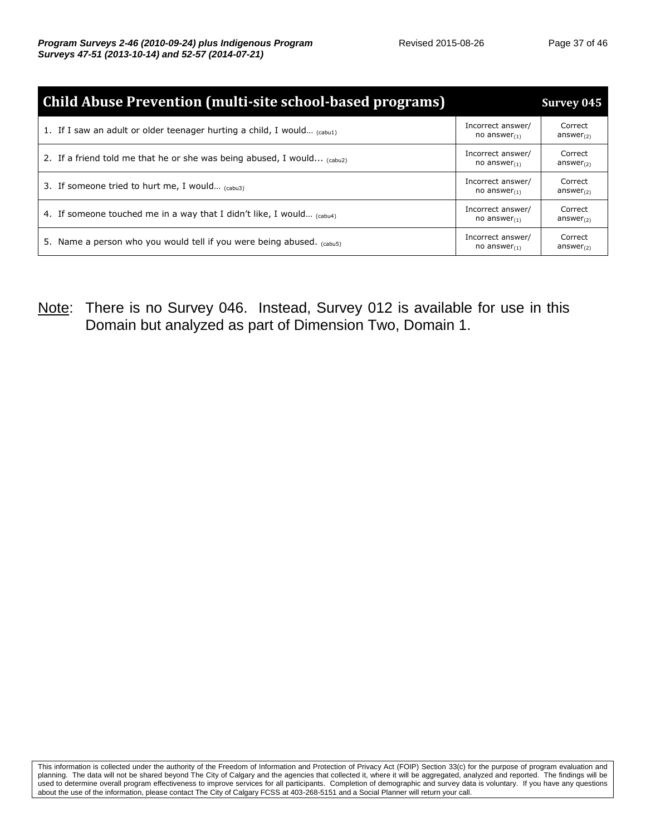| <b>Child Abuse Prevention (multi-site school-based programs)</b>             |                                         | <b>Survey 045</b>                |
|------------------------------------------------------------------------------|-----------------------------------------|----------------------------------|
| 1. If I saw an adult or older teenager hurting a child, I would $_{(cabu1)}$ | Incorrect answer/<br>no answer $(1)$    | Correct<br>answer <sub>(2)</sub> |
| 2. If a friend told me that he or she was being abused, I would $_{(cabu2)}$ | Incorrect answer/<br>no answer $(1)$    | Correct<br>answer <sub>(2)</sub> |
| 3. If someone tried to hurt me, I would $_{(cabu3)}$                         | Incorrect answer/<br>no answer $_{(1)}$ | Correct<br>answer $_{(2)}$       |
| 4. If someone touched me in a way that I didn't like, I would $_{(cabu4)}$   | Incorrect answer/<br>no answer $(1)$    | Correct<br>answer $_{(2)}$       |
| 5. Name a person who you would tell if you were being abused. $_{(cabu5)}$   | Incorrect answer/<br>no answer $(1)$    | Correct<br>answer <sub>(2)</sub> |

Note: There is no Survey 046. Instead, Survey 012 is available for use in this Domain but analyzed as part of Dimension Two, Domain 1.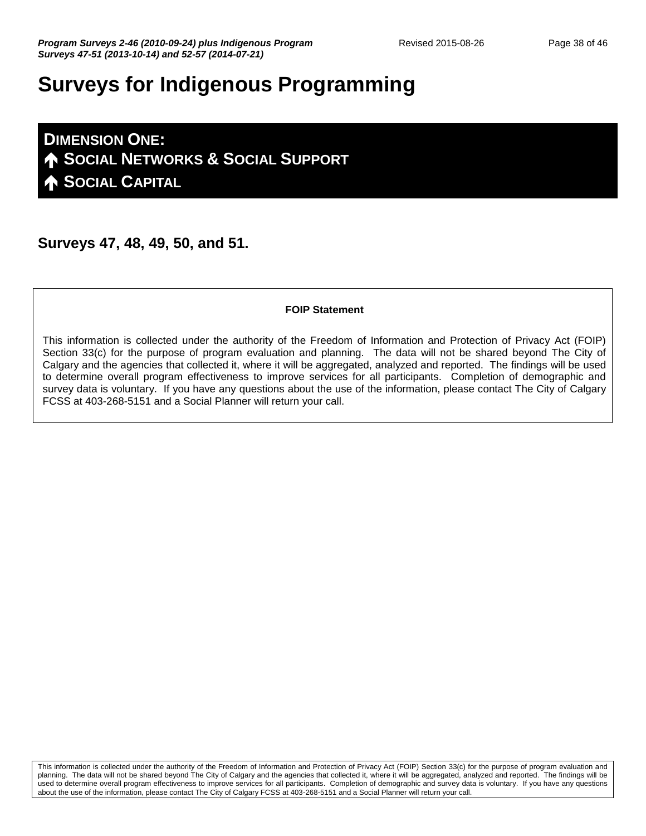# **Surveys for Indigenous Programming**

**DIMENSION ONE: SOCIAL NETWORKS & SOCIAL SUPPORT SOCIAL CAPITAL**

**Surveys 47, 48, 49, 50, and 51.** 

#### **FOIP Statement**

This information is collected under the authority of the Freedom of Information and Protection of Privacy Act (FOIP) Section 33(c) for the purpose of program evaluation and planning. The data will not be shared beyond The City of Calgary and the agencies that collected it, where it will be aggregated, analyzed and reported. The findings will be used to determine overall program effectiveness to improve services for all participants. Completion of demographic and survey data is voluntary. If you have any questions about the use of the information, please contact The City of Calgary FCSS at 403-268-5151 and a Social Planner will return your call.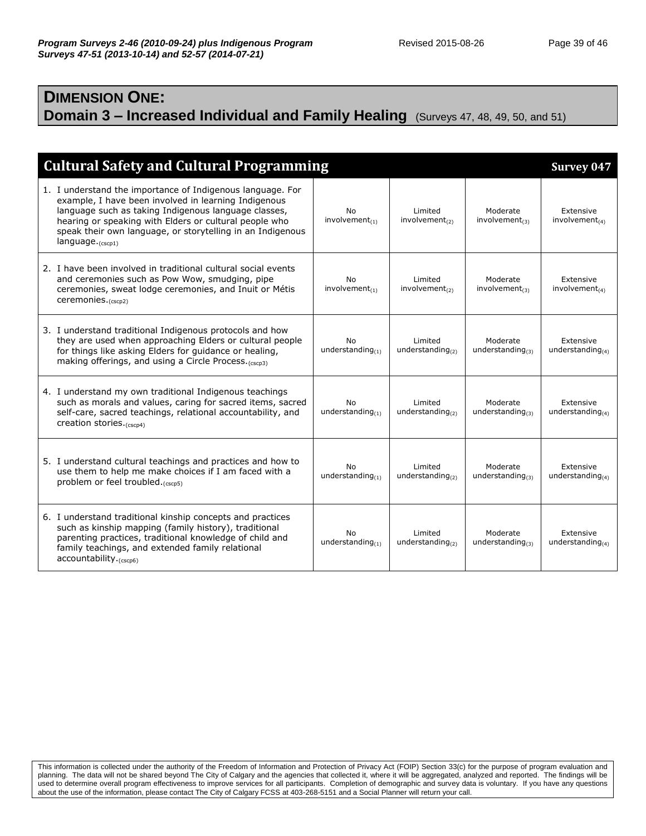#### **DIMENSION ONE: Domain 3 – Increased Individual and Family Healing** (Surveys 47, 48, 49, 50, and 51)

| <b>Cultural Safety and Cultural Programming</b>                                                                                                                                                                                                                                                                            |                            |                                       |                                    | <b>Survey 047</b>                 |
|----------------------------------------------------------------------------------------------------------------------------------------------------------------------------------------------------------------------------------------------------------------------------------------------------------------------------|----------------------------|---------------------------------------|------------------------------------|-----------------------------------|
| 1. I understand the importance of Indigenous language. For<br>example, I have been involved in learning Indigenous<br>language such as taking Indigenous language classes,<br>hearing or speaking with Elders or cultural people who<br>speak their own language, or storytelling in an Indigenous<br>$language._(cscp1)}$ | No<br>$involvement_{(1)}$  | Limited<br>involvement <sub>(2)</sub> | Moderate<br>$involvement_{(3)}$    | Extensive<br>$involvement_{(4)}$  |
| 2. I have been involved in traditional cultural social events<br>and ceremonies such as Pow Wow, smudging, pipe<br>ceremonies, sweat lodge ceremonies, and Inuit or Métis<br>ceremonies. $(cscp2)$                                                                                                                         | No<br>involvement $_{(1)}$ | Limited<br>involvement $_{(2)}$       | Moderate<br>involvement $_{(3)}$   | Extensive<br>involvement $_{(4)}$ |
| 3. I understand traditional Indigenous protocols and how<br>they are used when approaching Elders or cultural people<br>for things like asking Elders for guidance or healing,<br>making offerings, and using a Circle Process. (cscn3)                                                                                    | No<br>understanding $(1)$  | Limited<br>understanding $(2)$        | Moderate<br>understanding $(3)$    | Extensive<br>understanding $(4)$  |
| 4. I understand my own traditional Indigenous teachings<br>such as morals and values, caring for sacred items, sacred<br>self-care, sacred teachings, relational accountability, and<br>creation stories. <sub>(cscp4)</sub>                                                                                               | No<br>understanding $(1)$  | Limited<br>understanding $(2)$        | Moderate<br>understanding $(3)$    | Extensive<br>understanding $(4)$  |
| 5. I understand cultural teachings and practices and how to<br>use them to help me make choices if I am faced with a<br>problem or feel troubled. (cscp5)                                                                                                                                                                  | No<br>understanding $(1)$  | Limited<br>understanding $(2)$        | Moderate<br>understanding $_{(3)}$ | Extensive<br>understanding $(4)$  |
| 6. I understand traditional kinship concepts and practices<br>such as kinship mapping (family history), traditional<br>parenting practices, traditional knowledge of child and<br>family teachings, and extended family relational<br>accountability.(cscp6)                                                               | No<br>understanding $(1)$  | Limited<br>understanding $(2)$        | Moderate<br>understanding $(3)$    | Extensive<br>understanding $(4)$  |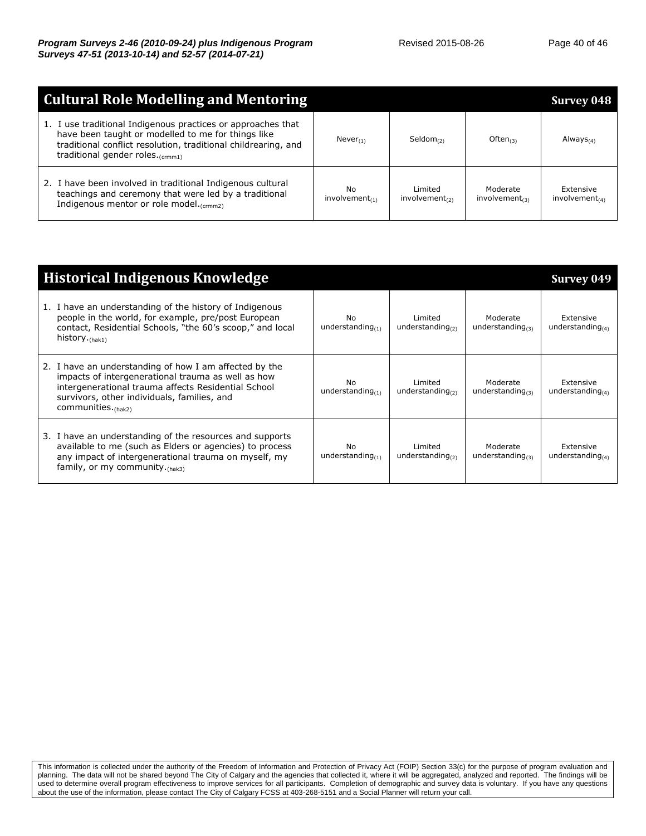| <b>Cultural Role Modelling and Mentoring</b>                                                                                                                                                                                                 |                           |                                |                                 | <b>Survey 048</b>                  |
|----------------------------------------------------------------------------------------------------------------------------------------------------------------------------------------------------------------------------------------------|---------------------------|--------------------------------|---------------------------------|------------------------------------|
| 1. I use traditional Indigenous practices or approaches that<br>have been taught or modelled to me for things like<br>traditional conflict resolution, traditional childrearing, and<br>traditional gender roles. $\epsilon_{\text{crmmt1}}$ | $Never_{(1)}$             | Seldom $(2)$                   | Often $(3)$                     | Always $(4)$                       |
| 2. I have been involved in traditional Indigenous cultural<br>teachings and ceremony that were led by a traditional<br>Indigenous mentor or role model. <sub>(crmm2)</sub>                                                                   | No<br>$involvement_{(1)}$ | Limited<br>$involvement_{(2)}$ | Moderate<br>$involvement_{(3)}$ | Extensive<br>involvement $t_{(4)}$ |

| <b>Historical Indigenous Knowledge</b>                                                                                                                                                                                                      |                                  |                                   |                                    | Survey 049                       |
|---------------------------------------------------------------------------------------------------------------------------------------------------------------------------------------------------------------------------------------------|----------------------------------|-----------------------------------|------------------------------------|----------------------------------|
| 1. I have an understanding of the history of Indigenous<br>people in the world, for example, pre/post European<br>contact, Residential Schools, "the 60's scoop," and local<br>history. $(hak1)$                                            | <b>No</b><br>understanding $(1)$ | Limited<br>understanding $_{(2)}$ | Moderate<br>understanding $_{(3)}$ | Extensive<br>understanding $(4)$ |
| 2. I have an understanding of how I am affected by the<br>impacts of intergenerational trauma as well as how<br>intergenerational trauma affects Residential School<br>survivors, other individuals, families, and<br>communities. $(hak2)$ | <b>No</b><br>understanding $(1)$ | Limited<br>understanding $_{(2)}$ | Moderate<br>understanding $_{(3)}$ | Extensive<br>understanding $(4)$ |
| 3. I have an understanding of the resources and supports<br>available to me (such as Elders or agencies) to process<br>any impact of intergenerational trauma on myself, my<br>family, or my community. $(hak3)$                            | No.<br>understanding $(1)$       | Limited<br>understanding $(2)$    | Moderate<br>understanding $(3)$    | Extensive<br>understanding $(4)$ |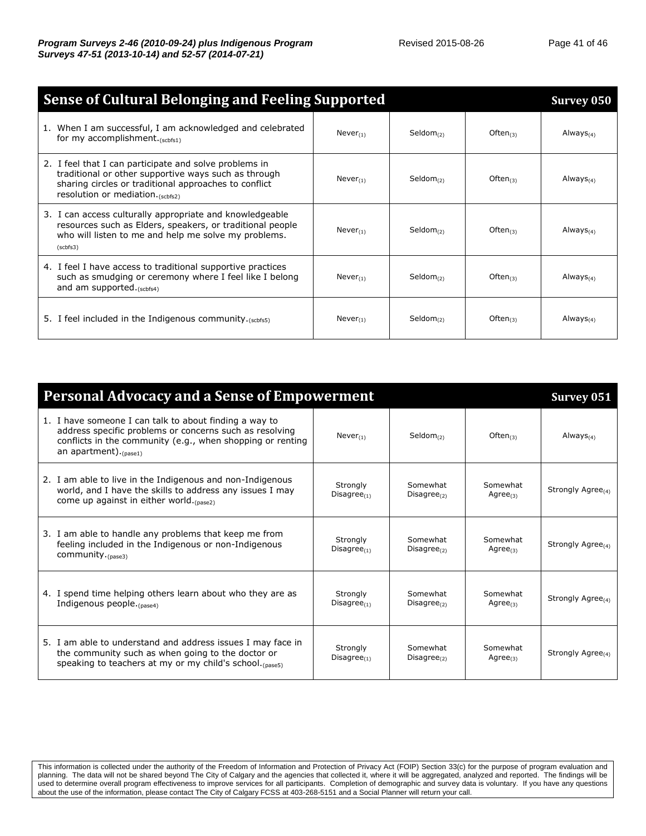| <b>Sense of Cultural Belonging and Feeling Supported</b><br><b>Survey 050</b>                                                                                                                                |                |                       |                |                 |
|--------------------------------------------------------------------------------------------------------------------------------------------------------------------------------------------------------------|----------------|-----------------------|----------------|-----------------|
| 1. When I am successful, I am acknowledged and celebrated<br>for my accomplishment $(schfs1)$                                                                                                                | $Never_{(1)}$  | Seldom $_{(2)}$       | Often $(3)$    | Always $(4)$    |
| 2. I feel that I can participate and solve problems in<br>traditional or other supportive ways such as through<br>sharing circles or traditional approaches to conflict<br>resolution or mediation. (scbfs2) | $Never_{(1)}$  | Seldom <sub>(2)</sub> | Often $(3)$    | Always $(4)$    |
| 3. I can access culturally appropriate and knowledgeable<br>resources such as Elders, speakers, or traditional people<br>who will listen to me and help me solve my problems.<br>(scbfs3)                    | $Never_{(1)}$  | Seldom <sub>(2)</sub> | Often $(3)$    | Always $(4)$    |
| 4. I feel I have access to traditional supportive practices<br>such as smudging or ceremony where I feel like I belong<br>and am supported. $(scbfs4)$                                                       | Never $_{(1)}$ | Seldom $_{(2)}$       | Often $(3)$    | Always $_{(4)}$ |
| 5. I feel included in the Indigenous community.(scbfs5)                                                                                                                                                      | $Never_{(1)}$  | Seldom $_{(2)}$       | Often $_{(3)}$ | Always $_{(4)}$ |

| <b>Personal Advocacy and a Sense of Empowerment</b>                                                                                                                                                            |                               |                                     |                            |                               |
|----------------------------------------------------------------------------------------------------------------------------------------------------------------------------------------------------------------|-------------------------------|-------------------------------------|----------------------------|-------------------------------|
| 1. I have someone I can talk to about finding a way to<br>address specific problems or concerns such as resolving<br>conflicts in the community (e.g., when shopping or renting<br>an apartment). $_{(pase1)}$ | Never $_{(1)}$                | Seldom $_{(2)}$                     | Often $(3)$                | Always $(4)$                  |
| 2. I am able to live in the Indigenous and non-Indigenous<br>world, and I have the skills to address any issues I may<br>come up against in either world. (pase2)                                              | Stronalv<br>Disagree $(1)$    | Somewhat<br>Disagree <sub>(2)</sub> | Somewhat<br>Agree $(3)$    | Strongly Agree <sub>(4)</sub> |
| 3. I am able to handle any problems that keep me from<br>feeling included in the Indigenous or non-Indigenous<br>community. $_{(base3)}$                                                                       | Strongly<br>Disagree $(1)$    | Somewhat<br>Disagree $_{(2)}$       | Somewhat<br>Agree $_{(3)}$ | Strongly Agree(4)             |
| 4. I spend time helping others learn about who they are as<br>Indigenous people. $_{(base4)}$                                                                                                                  | Strongly<br>Disagree $_{(1)}$ | Somewhat<br>Disagree $_{(2)}$       | Somewhat<br>Agree $_{(3)}$ | Strongly Agree <sub>(4)</sub> |
| 5. I am able to understand and address issues I may face in<br>the community such as when going to the doctor or<br>speaking to teachers at my or my child's school. (pase5)                                   | Strongly<br>Disagree $_{(1)}$ | Somewhat<br>Disagree $_{(2)}$       | Somewhat<br>Agree $_{(3)}$ | Strongly Agree <sub>(4)</sub> |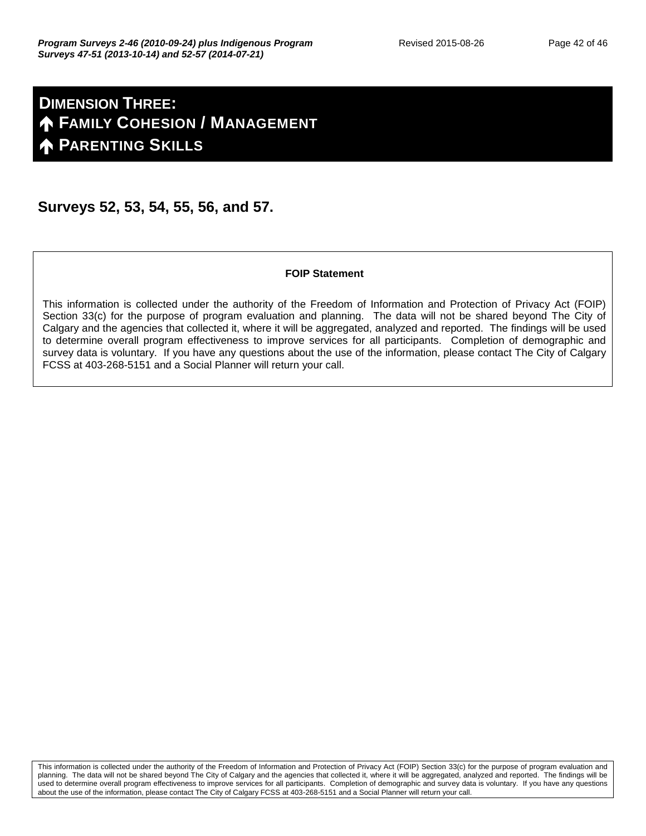## **DIMENSION THREE: FAMILY COHESION / MANAGEMENT PARENTING SKILLS**

#### **Surveys 52, 53, 54, 55, 56, and 57.**

#### **FOIP Statement**

This information is collected under the authority of the Freedom of Information and Protection of Privacy Act (FOIP) Section 33(c) for the purpose of program evaluation and planning. The data will not be shared beyond The City of Calgary and the agencies that collected it, where it will be aggregated, analyzed and reported. The findings will be used to determine overall program effectiveness to improve services for all participants. Completion of demographic and survey data is voluntary. If you have any questions about the use of the information, please contact The City of Calgary FCSS at 403-268-5151 and a Social Planner will return your call.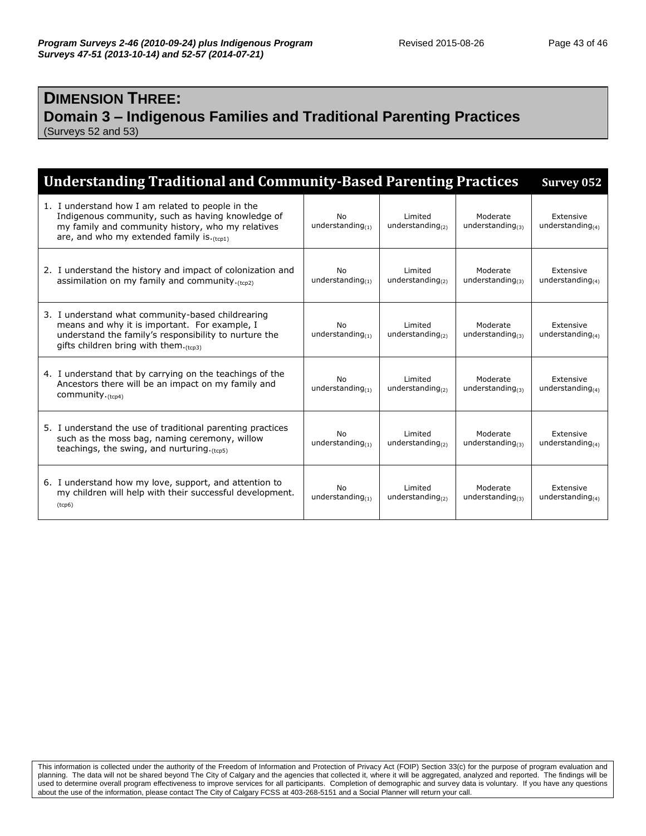#### **DIMENSION THREE: Domain 3 – Indigenous Families and Traditional Parenting Practices** (Surveys 52 and 53)

| <b>Understanding Traditional and Community-Based Parenting Practices</b>                                                                                                                                             |                                  |                                   |                                    | Survey 052                          |
|----------------------------------------------------------------------------------------------------------------------------------------------------------------------------------------------------------------------|----------------------------------|-----------------------------------|------------------------------------|-------------------------------------|
| 1. I understand how I am related to people in the<br>Indigenous community, such as having knowledge of<br>my family and community history, who my relatives<br>are, and who my extended family is $(t_{\text{cpl}})$ | No<br>understanding $_{(1)}$     | Limited<br>understanding $_{(2)}$ | Moderate<br>understanding $_{(3)}$ | Extensive<br>understanding $(4)$    |
| 2. I understand the history and impact of colonization and<br>assimilation on my family and community. (tcp2)                                                                                                        | <b>No</b><br>understanding $(1)$ | Limited<br>understanding $_{(2)}$ | Moderate<br>understanding $_{(3)}$ | Extensive<br>understanding $(4)$    |
| 3. I understand what community-based childrearing<br>means and why it is important. For example, I<br>understand the family's responsibility to nurture the<br>gifts children bring with them. $(tcp3)$              | No<br>understanding $(1)$        | Limited<br>understanding $_{(2)}$ | Moderate<br>understanding $_{(3)}$ | Extensive<br>understanding $(4)$    |
| 4. I understand that by carrying on the teachings of the<br>Ancestors there will be an impact on my family and<br>community. <sub>(tcp4)</sub>                                                                       | <b>No</b><br>understanding $(1)$ | Limited<br>understanding $_{(2)}$ | Moderate<br>understanding $_{(3)}$ | Extensive<br>understanding $(4)$    |
| 5. I understand the use of traditional parenting practices<br>such as the moss bag, naming ceremony, willow<br>teachings, the swing, and nurturing. $(t_{\text{cn5}})$                                               | No<br>understanding $(1)$        | Limited<br>understanding $_{(2)}$ | Moderate<br>understanding $_{(3)}$ | Extensive<br>understanding $_{(4)}$ |
| 6. I understand how my love, support, and attention to<br>my children will help with their successful development.<br>(tcp6)                                                                                         | No<br>understanding $(1)$        | Limited<br>understanding $(2)$    | Moderate<br>understanding $(3)$    | Extensive<br>understanding $(4)$    |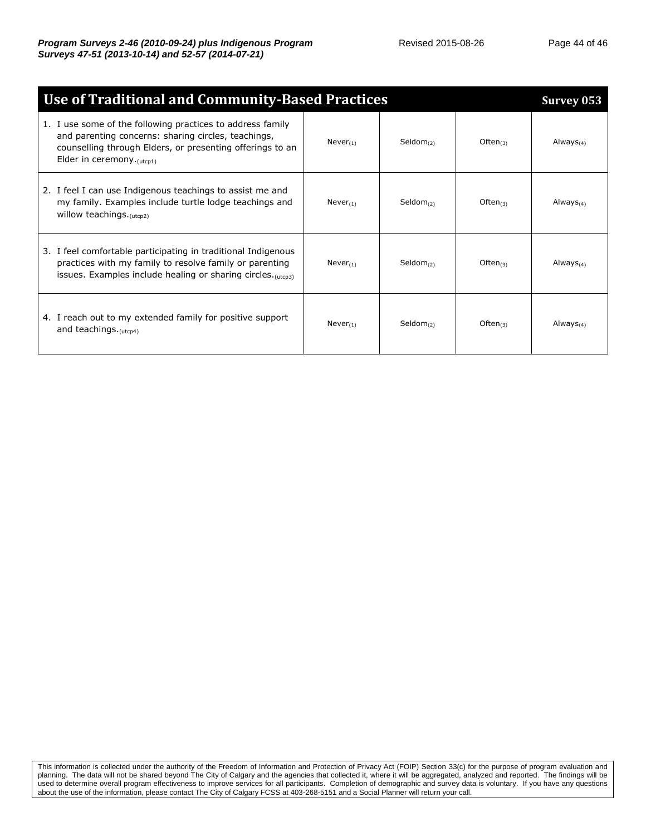| <b>Use of Traditional and Community-Based Practices</b> |                                                                                                                                                                                                             |               |                |                | Survey 053   |
|---------------------------------------------------------|-------------------------------------------------------------------------------------------------------------------------------------------------------------------------------------------------------------|---------------|----------------|----------------|--------------|
|                                                         | 1. I use some of the following practices to address family<br>and parenting concerns: sharing circles, teachings,<br>counselling through Elders, or presenting offerings to an<br>Elder in ceremony.(utcp1) | $Never_{(1)}$ | $Seldom_{(2)}$ | Often $(3)$    | Always $(4)$ |
|                                                         | 2. I feel I can use Indigenous teachings to assist me and<br>my family. Examples include turtle lodge teachings and<br>willow teachings. (utcp2)                                                            | $Never_{(1)}$ | $Seldom_{(2)}$ | Often $(3)$    | Always $(4)$ |
|                                                         | 3. I feel comfortable participating in traditional Indigenous<br>practices with my family to resolve family or parenting<br>issues. Examples include healing or sharing circles. $(utcn3)$                  | $Never_{(1)}$ | $Seldom_{(2)}$ | Often $(3)$    | Always $(4)$ |
|                                                         | 4. I reach out to my extended family for positive support<br>and teachings. (utcp4)                                                                                                                         | $Never_{(1)}$ | $Seldom_{(2)}$ | Often $_{(3)}$ | Always $(4)$ |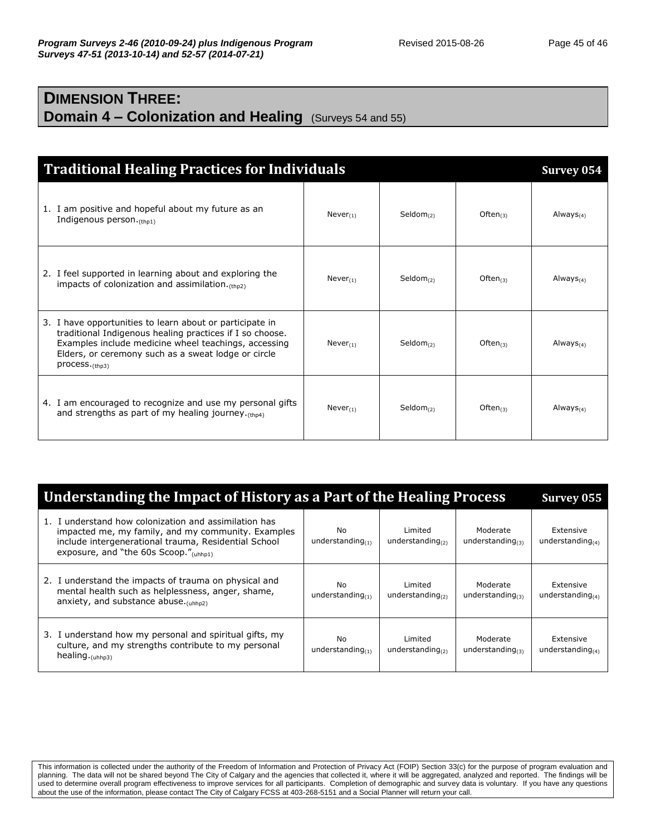## **DIMENSION THREE: Domain 4 – Colonization and Healing** (Surveys 54 and 55)

| <b>Traditional Healing Practices for Individuals</b>                                                                                                                                                                                                              |               |                       |             | Survey 054     |
|-------------------------------------------------------------------------------------------------------------------------------------------------------------------------------------------------------------------------------------------------------------------|---------------|-----------------------|-------------|----------------|
| 1. I am positive and hopeful about my future as an<br>Indigenous person. (thp1)                                                                                                                                                                                   | $Never_{(1)}$ | $Seldom_{(2)}$        | Often $(3)$ | $Always_{(4)}$ |
| 2. I feel supported in learning about and exploring the<br>impacts of colonization and assimilation. $(t_{\text{ho2}})$                                                                                                                                           | $Never_{(1)}$ | Seldom <sub>(2)</sub> | Often $(3)$ | Always $(4)$   |
| 3. I have opportunities to learn about or participate in<br>traditional Indigenous healing practices if I so choose.<br>Examples include medicine wheel teachings, accessing<br>Elders, or ceremony such as a sweat lodge or circle<br>$process._{\text{(thp3)}}$ | $Never_{(1)}$ | Seldom <sub>(2)</sub> | Often $(3)$ | Always $(4)$   |
| 4. I am encouraged to recognize and use my personal gifts<br>and strengths as part of my healing journey. $(th)$                                                                                                                                                  | $Never_{(1)}$ | $Seldom_{(2)}$        | Often $(3)$ | Always $(4)$   |

| Understanding the Impact of History as a Part of the Healing Process                                                                                                                                         |                                  |                                |                                 |                                  |
|--------------------------------------------------------------------------------------------------------------------------------------------------------------------------------------------------------------|----------------------------------|--------------------------------|---------------------------------|----------------------------------|
| 1. I understand how colonization and assimilation has<br>impacted me, my family, and my community. Examples<br>include intergenerational trauma, Residential School<br>exposure, and "the 60s Scoop."(uhhp1) | No<br>understanding $(1)$        | Limited<br>understanding $(2)$ | Moderate<br>understanding $(3)$ | Extensive<br>understanding $(4)$ |
| 2. I understand the impacts of trauma on physical and<br>mental health such as helplessness, anger, shame,<br>anxiety, and substance abuse. $(uhho2)$                                                        | Nο<br>understanding $(1)$        | Limited<br>understanding $(2)$ | Moderate<br>understanding $(3)$ | Extensive<br>understanding $(4)$ |
| 3. I understand how my personal and spiritual gifts, my<br>culture, and my strengths contribute to my personal<br>healing. $_{(uhhp3)}$                                                                      | <b>No</b><br>understanding $(1)$ | Limited<br>understanding $(2)$ | Moderate<br>understanding $(3)$ | Extensive<br>understanding $(4)$ |